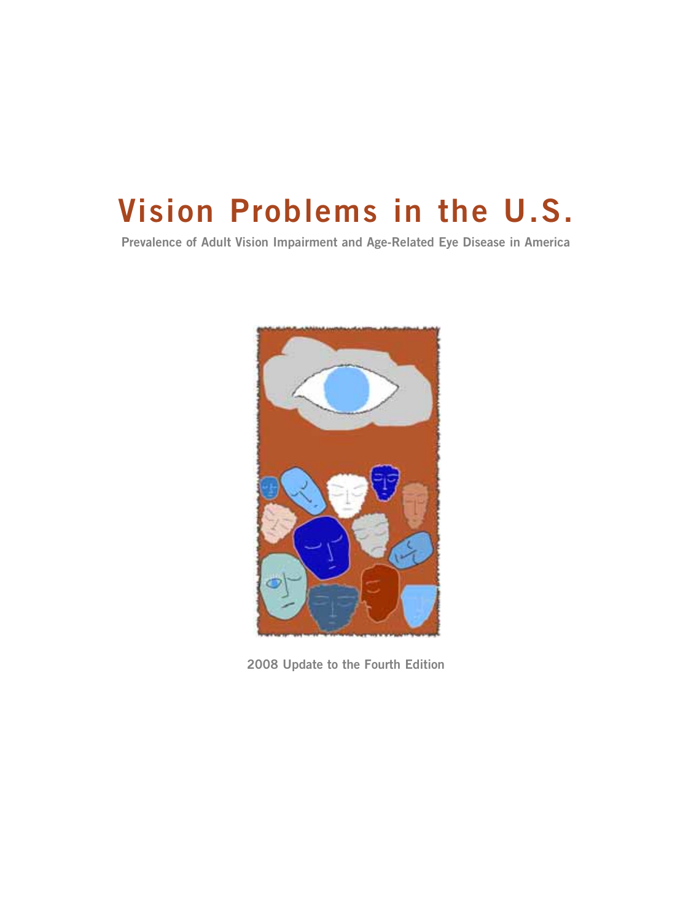# **Vision Problems in the U.S.**

**Prevalence of Adult Vision Impairment and Age-Related Eye Disease in America**



**2008 Update to the Fourth Edition**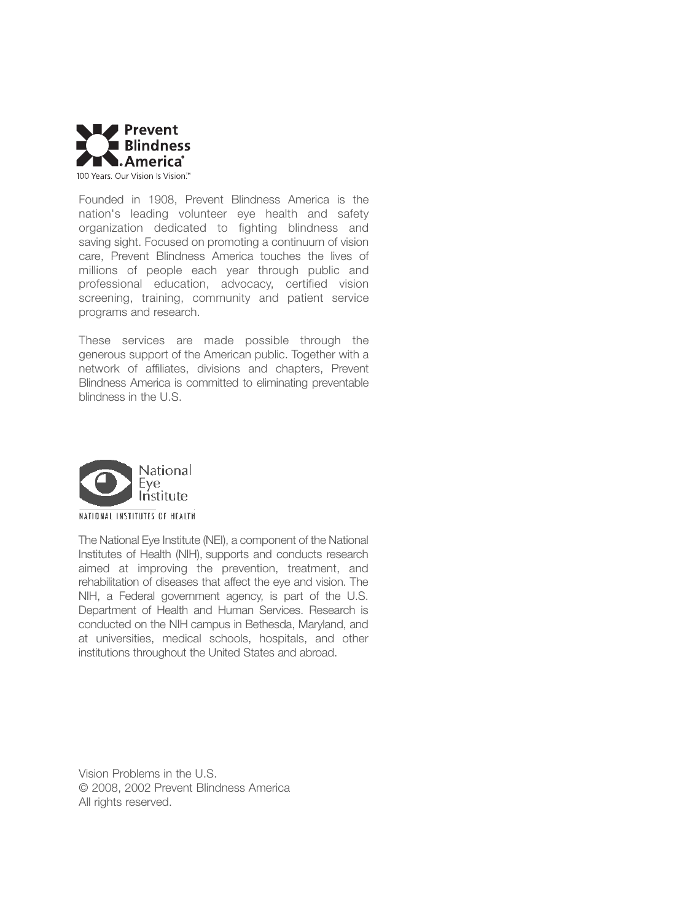

Founded in 1908, Prevent Blindness America is the nation's leading volunteer eye health and safety organization dedicated to fighting blindness and saving sight. Focused on promoting a continuum of vision care, Prevent Blindness America touches the lives of millions of people each year through public and professional education, advocacy, certified vision screening, training, community and patient service programs and research.

These services are made possible through the generous support of the American public. Together with a network of affiliates, divisions and chapters, Prevent Blindness America is committed to eliminating preventable blindness in the U.S.



The National Eye Institute (NEI), a component of the National Institutes of Health (NIH), supports and conducts research aimed at improving the prevention, treatment, and rehabilitation of diseases that affect the eye and vision. The NIH, a Federal government agency, is part of the U.S. Department of Health and Human Services. Research is conducted on the NIH campus in Bethesda, Maryland, and at universities, medical schools, hospitals, and other institutions throughout the United States and abroad.

Vision Problems in the U.S. © 2008, 2002 Prevent Blindness America All rights reserved.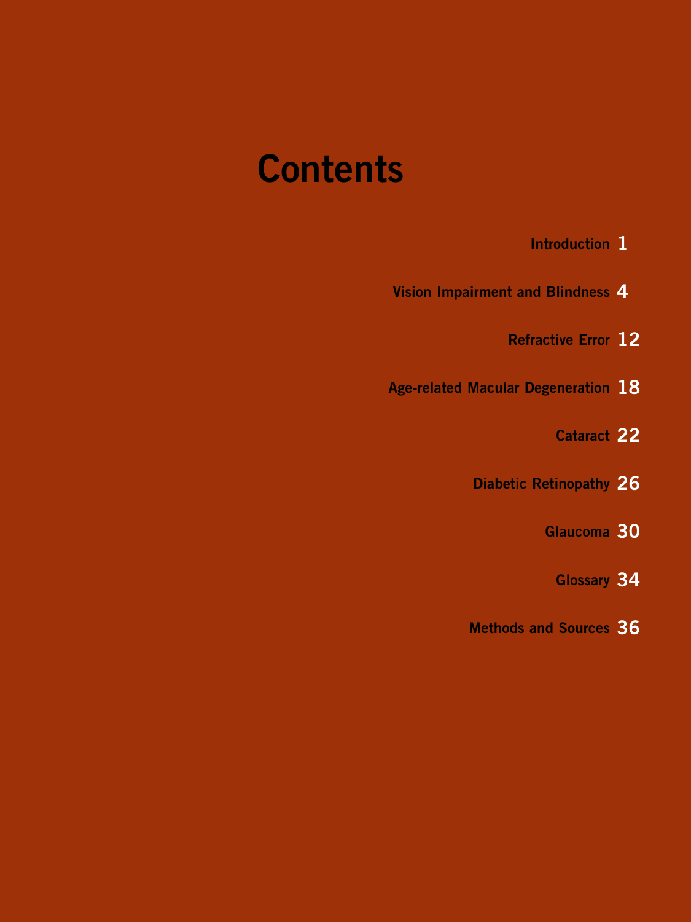# **Contents**

- **Introduction 1**
- **Vision Impairment and Blindness 4**
	- **Refractive Error 12**
- **Age-related Macular Degeneration 18**
	- **Cataract 22**
	- **Diabetic Retinopathy 26**
		- **Glaucoma 30**
			- **Glossary 34**
	- **Methods and Sources 36**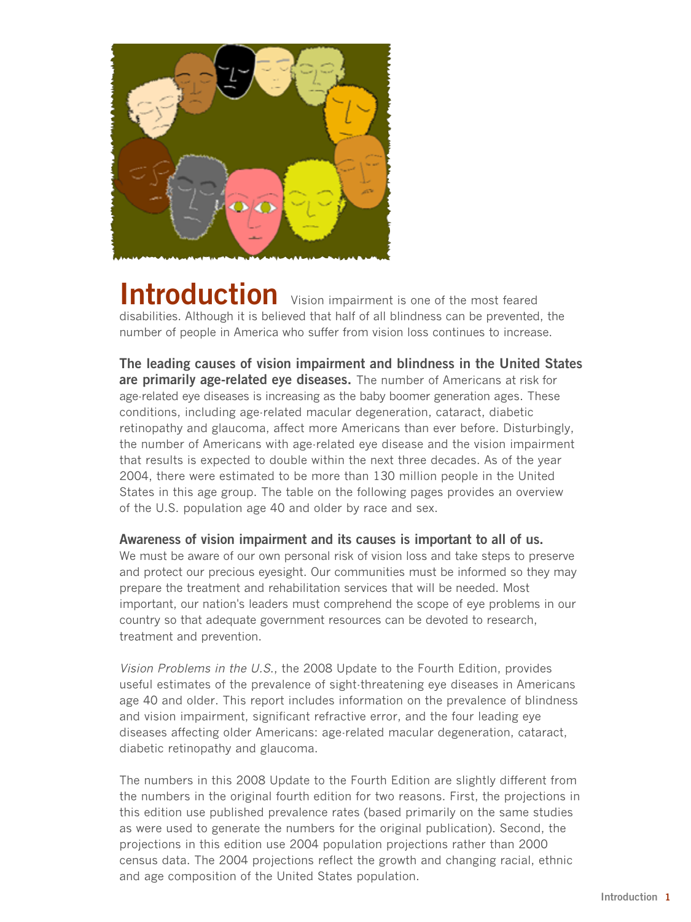

**Introduction** Vision impairment is one of the most feared disabilities. Although it is believed that half of all blindness can be prevented, the number of people in America who suffer from vision loss continues to increase.

**The leading causes of vision impairment and blindness in the United States are primarily age-related eye diseases.** The number of Americans at risk for age-related eye diseases is increasing as the baby boomer generation ages. These conditions, including age-related macular degeneration, cataract, diabetic retinopathy and glaucoma, affect more Americans than ever before. Disturbingly, the number of Americans with age-related eye disease and the vision impairment that results is expected to double within the next three decades. As of the year 2004, there were estimated to be more than 130 million people in the United States in this age group. The table on the following pages provides an overview of the U.S. population age 40 and older by race and sex.

**Awareness of vision impairment and its causes is important to all of us.**

We must be aware of our own personal risk of vision loss and take steps to preserve and protect our precious eyesight. Our communities must be informed so they may prepare the treatment and rehabilitation services that will be needed. Most important, our nation's leaders must comprehend the scope of eye problems in our country so that adequate government resources can be devoted to research, treatment and prevention.

Vision Problems in the U.S., the 2008 Update to the Fourth Edition, provides useful estimates of the prevalence of sight-threatening eye diseases in Americans age 40 and older. This report includes information on the prevalence of blindness and vision impairment, significant refractive error, and the four leading eye diseases affecting older Americans: age-related macular degeneration, cataract, diabetic retinopathy and glaucoma.

The numbers in this 2008 Update to the Fourth Edition are slightly different from the numbers in the original fourth edition for two reasons. First, the projections in this edition use published prevalence rates (based primarily on the same studies as were used to generate the numbers for the original publication). Second, the projections in this edition use 2004 population projections rather than 2000 census data. The 2004 projections reflect the growth and changing racial, ethnic and age composition of the United States population.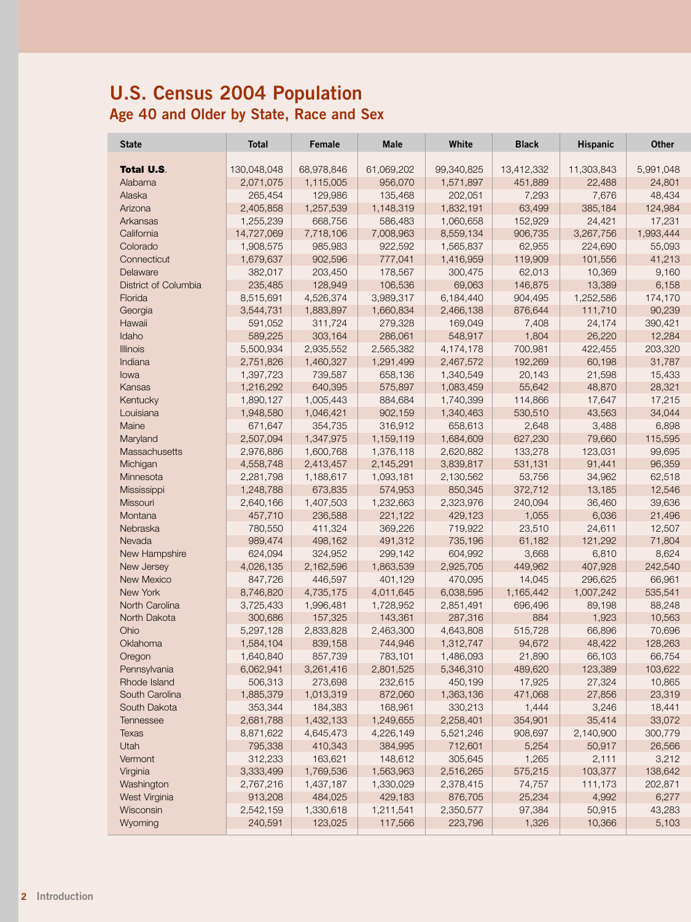#### **U.S. Census 2004 Population Age 40 and Older by State, Race and Sex**

| <b>State</b>         | <b>Total</b> | <b>Female</b> | <b>Male</b> | White      | <b>Black</b> | Hispanic   | <b>Other</b> |
|----------------------|--------------|---------------|-------------|------------|--------------|------------|--------------|
| <b>Total U.S.</b>    | 130,048,048  | 68,978,846    | 61,069,202  | 99,340,825 | 13,412,332   | 11,303,843 | 5,991,048    |
| Alabama              | 2,071,075    | 1,115,005     | 956,070     | 1,571,897  | 451,889      | 22,488     | 24,801       |
| Alaska               | 265,454      | 129,986       | 135,468     | 202,051    | 7,293        | 7,676      | 48,434       |
| Arizona              | 2,405,858    | 1,257,539     | 1,148,319   | 1,832,191  | 63,499       | 385,184    | 124,984      |
| Arkansas             | 1,255,239    | 668,756       | 586,483     | 1,060,658  | 152,929      | 24,421     | 17,231       |
| California           | 14,727,069   | 7,718,106     | 7,008,963   | 8,559,134  | 906,735      | 3,267,756  | 1,993,444    |
| Colorado             | 1,908,575    | 985,983       | 922,592     | 1,565,837  | 62,955       | 224,690    | 55,093       |
| Connecticut          | 1,679,637    | 902,596       | 777,041     | 1,416,959  | 119,909      | 101,556    | 41,213       |
| Delaware             | 382,017      | 203,450       | 178,567     | 300,475    | 62,013       | 10,369     | 9,160        |
| District of Columbia | 235,485      | 128,949       | 106,536     | 69,063     | 146,875      | 13,389     | 6,158        |
| Florida              | 8,515,691    | 4,526,374     | 3,989,317   | 6,184,440  | 904,495      | 1,252,586  | 174,170      |
| Georgia              | 3,544,731    | 1,883,897     | 1,660,834   | 2,466,138  | 876,644      | 111,710    | 90,239       |
| Hawaii               | 591,052      | 311,724       | 279,328     | 169,049    | 7,408        | 24,174     | 390,421      |
| Idaho                | 589,225      | 303,164       | 286,061     | 548,917    | 1,804        | 26,220     | 12,284       |
| <b>Illinois</b>      | 5,500,934    | 2,935,552     | 2,565,382   | 4,174,178  | 700,981      | 422,455    | 203,320      |
| Indiana              | 2,751,826    | 1,460,327     | 1,291,499   | 2,467,572  | 192,269      | 60,198     | 31,787       |
| lowa                 | 1,397,723    | 739,587       | 658,136     | 1,340,549  | 20,143       | 21,598     | 15,433       |
| Kansas               | 1,216,292    | 640,395       | 575,897     | 1,083,459  | 55,642       | 48,870     | 28,321       |
| Kentucky             | 1,890,127    | 1,005,443     | 884,684     | 1,740,399  | 114,866      | 17,647     | 17,215       |
| Louisiana            | 1,948,580    | 1,046,421     | 902,159     | 1,340,463  | 530,510      | 43,563     | 34,044       |
| Maine                | 671,647      | 354,735       | 316,912     | 658,613    | 2,648        | 3,488      | 6,898        |
| Maryland             | 2,507,094    | 1,347,975     | 1,159,119   | 1,684,609  | 627,230      | 79,660     | 115,595      |
| Massachusetts        | 2,976,886    | 1,600,768     | 1,376,118   | 2,620,882  | 133,278      | 123,031    | 99,695       |
| Michigan             | 4,558,748    | 2,413,457     | 2,145,291   | 3,839,817  | 531,131      | 91,441     | 96,359       |
| Minnesota            | 2,281,798    | 1,188,617     | 1,093,181   | 2,130,562  | 53,756       | 34,962     | 62,518       |
| Mississippi          | 1,248,788    | 673,835       | 574,953     | 850,345    | 372,712      | 13,185     | 12,546       |
| Missouri             | 2,640,166    | 1,407,503     | 1,232,663   | 2,323,976  | 240,094      | 36,460     | 39,636       |
| Montana              | 457,710      | 236,588       | 221,122     | 429,123    | 1,055        | 6,036      | 21,496       |
| Nebraska             | 780,550      | 411,324       | 369,226     | 719,922    | 23,510       | 24,611     | 12,507       |
| Nevada               | 989,474      | 498,162       | 491,312     | 735,196    | 61,182       | 121,292    | 71,804       |
| New Hampshire        | 624,094      | 324,952       | 299,142     | 604,992    | 3,668        | 6,810      | 8,624        |
| New Jersey           | 4,026,135    | 2,162,596     | 1,863,539   | 2,925,705  | 449,962      | 407,928    | 242,540      |
| New Mexico           | 847,726      | 446,597       | 401,129     | 470,095    | 14,045       | 296,625    | 66,961       |
| New York             | 8,746,820    | 4,735,175     | 4,011,645   | 6,038,595  | 1,165,442    | 1,007,242  | 535,541      |
| North Carolina       | 3,725,433    | 1,996,481     | 1,728,952   | 2,851,491  | 696,496      | 89,198     | 88,248       |
| North Dakota         | 300,686      | 157,325       | 143,361     | 287,316    | 884          | 1,923      | 10,563       |
| Ohio                 | 5,297,128    | 2,833,828     | 2,463,300   | 4,643,808  | 515,728      | 66,896     | 70,696       |
| Oklahoma             | 1,584,104    | 839,158       | 744,946     | 1,312,747  | 94,672       | 48,422     | 128,263      |
| Oregon               | 1,640,840    | 857,739       | 783,101     | 1,486,093  | 21,890       | 66,103     | 66,754       |
| Pennsylvania         | 6,062,941    | 3,261,416     | 2,801,525   | 5,346,310  | 489,620      | 123,389    | 103,622      |
| Rhode Island         | 506,313      | 273,698       | 232,615     | 450,199    | 17,925       | 27,324     | 10,865       |
| South Carolina       | 1,885,379    | 1,013,319     | 872,060     | 1,363,136  | 471,068      | 27,856     | 23,319       |
| South Dakota         | 353,344      | 184,383       | 168,961     | 330,213    | 1,444        | 3,246      | 18,441       |
| Tennessee            | 2,681,788    | 1,432,133     | 1,249,655   | 2,258,401  | 354,901      | 35,414     | 33,072       |
| <b>Texas</b>         | 8,871,622    | 4,645,473     | 4,226,149   | 5,521,246  | 908,697      | 2,140,900  | 300,779      |
| Utah                 | 795,338      | 410,343       | 384,995     | 712,601    | 5,254        | 50,917     | 26,566       |
| Vermont              | 312,233      | 163,621       | 148,612     | 305,645    | 1,265        | 2,111      | 3,212        |
| Virginia             | 3,333,499    | 1,769,536     | 1,563,963   | 2,516,265  | 575,215      | 103,377    | 138,642      |
| Washington           | 2,767,216    | 1,437,187     | 1,330,029   | 2,378,415  | 74,757       | 111,173    | 202,871      |
| West Virginia        | 913,208      | 484,025       | 429,183     | 876,705    | 25,234       | 4,992      | 6,277        |
| Wisconsin            | 2,542,159    | 1,330,618     | 1,211,541   | 2,350,577  | 97,384       | 50,915     | 43,283       |
| Wyoming              | 240,591      | 123,025       | 117,566     | 223,796    | 1,326        | 10,366     | 5,103        |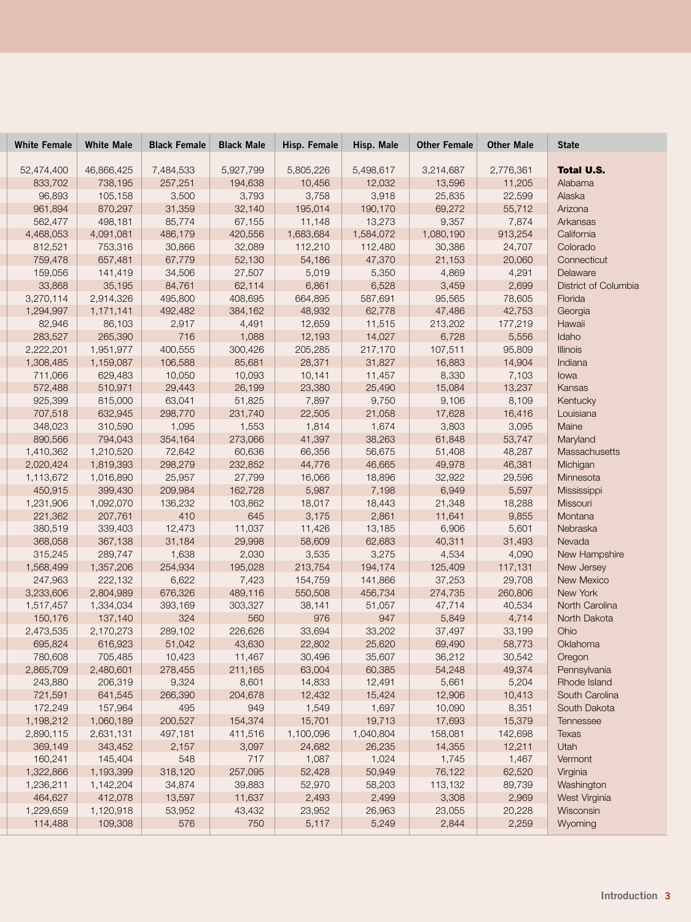| <b>White Female</b> | <b>White Male</b> | <b>Black Female</b> | <b>Black Male</b> | Hisp. Female | Hisp. Male | <b>Other Female</b> | <b>Other Male</b> | <b>State</b>         |
|---------------------|-------------------|---------------------|-------------------|--------------|------------|---------------------|-------------------|----------------------|
| 52,474,400          | 46,866,425        | 7,484,533           | 5,927,799         | 5,805,226    | 5,498,617  | 3,214,687           | 2,776,361         | <b>Total U.S.</b>    |
| 833,702             | 738,195           | 257,251             | 194,638           | 10,456       | 12,032     | 13,596              | 11,205            | Alabama              |
| 96,893              | 105,158           | 3,500               | 3,793             | 3,758        | 3,918      | 25,835              | 22,599            | Alaska               |
| 961,894             | 870,297           | 31,359              | 32,140            | 195,014      | 190,170    | 69,272              | 55,712            | Arizona              |
| 562,477             | 498,181           | 85,774              | 67,155            | 11,148       | 13,273     | 9,357               | 7,874             | Arkansas             |
| 4,468,053           | 4,091,081         | 486,179             | 420,556           | 1,683,684    | 1,584,072  | 1,080,190           | 913,254           | California           |
|                     |                   |                     |                   |              |            |                     |                   | Colorado             |
| 812,521             | 753,316           | 30,866              | 32,089            | 112,210      | 112,480    | 30,386              | 24,707            |                      |
| 759,478             | 657,481           | 67,779              | 52,130            | 54,186       | 47,370     | 21,153              | 20,060            | Connecticut          |
| 159,056             | 141,419           | 34,506              | 27,507            | 5,019        | 5,350      | 4,869               | 4,291             | Delaware             |
| 33,868              | 35,195            | 84,761              | 62,114            | 6,861        | 6,528      | 3,459               | 2,699             | District of Columbia |
| 3,270,114           | 2,914,326         | 495,800             | 408,695           | 664,895      | 587,691    | 95,565              | 78,605            | Florida              |
| 1,294,997           | 1,171,141         | 492,482             | 384,162           | 48,932       | 62,778     | 47,486              | 42,753            | Georgia              |
| 82,946              | 86,103            | 2,917               | 4,491             | 12,659       | 11,515     | 213,202             | 177,219           | Hawaii               |
| 283,527             | 265,390           | 716                 | 1,088             | 12,193       | 14,027     | 6,728               | 5,556             | Idaho                |
| 2,222,201           | 1,951,977         | 400,555             | 300,426           | 205,285      | 217,170    | 107,511             | 95,809            | <b>Illinois</b>      |
| 1,308,485           | 1,159,087         | 106,588             | 85,681            | 28,371       | 31,827     | 16,883              | 14,904            | Indiana              |
| 711,066             | 629,483           | 10,050              | 10,093            | 10,141       | 11,457     | 8,330               | 7,103             | lowa                 |
| 572,488             | 510,971           | 29,443              | 26,199            | 23,380       | 25,490     | 15,084              | 13,237            | Kansas               |
| 925,399             | 815,000           | 63,041              | 51,825            | 7,897        | 9,750      | 9,106               | 8,109             | Kentucky             |
| 707,518             | 632,945           | 298,770             | 231,740           | 22,505       | 21,058     | 17,628              | 16,416            | Louisiana            |
| 348,023             | 310,590           | 1,095               | 1,553             | 1,814        | 1,674      | 3,803               | 3,095             | Maine                |
| 890,566             | 794,043           | 354,164             | 273,066           | 41,397       | 38,263     | 61,848              | 53,747            | Maryland             |
| 1,410,362           | 1,210,520         | 72,642              | 60,636            | 66,356       | 56,675     | 51,408              | 48,287            | Massachusetts        |
| 2,020,424           | 1,819,393         | 298,279             | 232,852           | 44,776       | 46,665     | 49,978              | 46,381            | Michigan             |
| 1,113,672           | 1,016,890         | 25,957              | 27,799            | 16,066       | 18,896     | 32,922              | 29,596            | Minnesota            |
| 450,915             | 399,430           | 209,984             | 162,728           | 5,987        | 7,198      | 6,949               | 5,597             | Mississippi          |
| 1,231,906           | 1,092,070         | 136,232             | 103,862           | 18,017       | 18,443     | 21,348              | 18,288            | Missouri             |
| 221,362             | 207,761           | 410                 | 645               | 3,175        | 2,861      | 11,641              | 9,855             | Montana              |
| 380,519             | 339,403           | 12,473              | 11,037            | 11,426       | 13,185     | 6,906               | 5,601             | Nebraska             |
| 368,058             | 367,138           | 31,184              | 29,998            | 58,609       | 62,683     | 40,311              | 31,493            | Nevada               |
| 315,245             | 289,747           | 1,638               | 2,030             | 3,535        | 3,275      | 4,534               | 4,090             | New Hampshire        |
| 1,568,499           | 1,357,206         | 254,934             | 195,028           | 213,754      | 194,174    | 125,409             | 117,131           | New Jersey           |
| 247,963             | 222,132           | 6,622               | 7,423             | 154,759      | 141,866    | 37,253              | 29,708            | New Mexico           |
| 3,233,606           | 2,804,989         | 676,326             | 489,116           | 550,508      | 456,734    | 274,735             | 260,806           | New York             |
| 1,517,457           | 1,334,034         | 393,169             | 303,327           | 38,141       | 51,057     | 47,714              | 40,534            | North Carolina       |
| 150,176             | 137,140           | 324                 | 560               | 976          | 947        | 5,849               | 4,714             | North Dakota         |
| 2,473,535           | 2,170,273         | 289,102             | 226,626           | 33,694       | 33,202     | 37,497              | 33,199            | Ohio                 |
| 695,824             | 616,923           | 51,042              | 43,630            | 22,802       | 25,620     | 69,490              | 58,773            | Oklahoma             |
| 780,608             | 705,485           | 10,423              | 11,467            | 30,496       | 35,607     | 36,212              | 30,542            | Oregon               |
| 2,865,709           | 2,480,601         | 278,455             | 211,165           | 63,004       | 60,385     | 54,248              | 49,374            | Pennsylvania         |
| 243,880             | 206,319           | 9,324               | 8,601             | 14,833       | 12,491     | 5,661               | 5,204             | Rhode Island         |
| 721,591             | 641,545           | 266,390             | 204,678           | 12,432       | 15,424     | 12,906              | 10,413            | South Carolina       |
| 172,249             | 157,964           | 495                 | 949               | 1,549        | 1,697      | 10,090              | 8,351             | South Dakota         |
|                     |                   | 200,527             | 154,374           |              | 19,713     | 17,693              | 15,379            |                      |
| 1,198,212           | 1,060,189         |                     |                   | 15,701       |            |                     |                   | Tennessee            |
| 2,890,115           | 2,631,131         | 497,181             | 411,516           | 1,100,096    | 1,040,804  | 158,081             | 142,698           | Texas                |
| 369,149             | 343,452           | 2,157               | 3,097             | 24,682       | 26,235     | 14,355              | 12,211            | Utah                 |
| 160,241             | 145,404           | 548                 | 717               | 1,087        | 1,024      | 1,745               | 1,467             | Vermont              |
| 1,322,866           | 1,193,399         | 318,120             | 257,095           | 52,428       | 50,949     | 76,122              | 62,520            | Virginia             |
| 1,236,211           | 1,142,204         | 34,874              | 39,883            | 52,970       | 58,203     | 113,132             | 89,739            | Washington           |
| 464,627             | 412,078           | 13,597              | 11,637            | 2,493        | 2,499      | 3,308               | 2,969             | West Virginia        |
| 1,229,659           | 1,120,918         | 53,952              | 43,432            | 23,952       | 26,963     | 23,055              | 20,228            | Wisconsin            |
| 114,488             | 109,308           | 576                 | 750               | 5,117        | 5,249      | 2,844               | 2,259             | Wyoming              |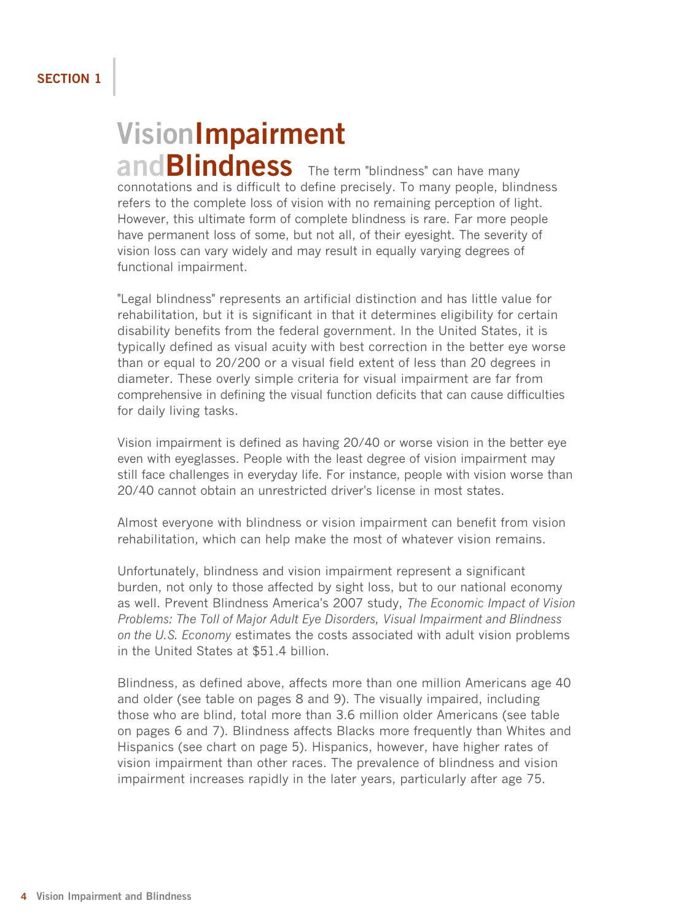# **VisionImpairment**

and **Blindness** The term "blindness" can have many connotations and is difficult to define precisely. To many people, blindness refers to the complete loss of vision with no remaining perception of light. However, this ultimate form of complete blindness is rare. Far more people have permanent loss of some, but not all, of their eyesight. The severity of vision loss can vary widely and may result in equally varying degrees of functional impairment.

"Legal blindness" represents an artificial distinction and has little value for rehabilitation, but it is significant in that it determines eligibility for certain disability benefits from the federal government. In the United States, it is typically defined as visual acuity with best correction in the better eye worse than or equal to 20/200 or a visual field extent of less than 20 degrees in diameter. These overly simple criteria for visual impairment are far from comprehensive in defining the visual function deficits that can cause difficulties for daily living tasks.

Vision impairment is defined as having 20/40 or worse vision in the better eye even with eyeglasses. People with the least degree of vision impairment may still face challenges in everyday life. For instance, people with vision worse than 20/40 cannot obtain an unrestricted driver's license in most states.

Almost everyone with blindness or vision impairment can benefit from vision rehabilitation, which can help make the most of whatever vision remains.

Unfortunately, blindness and vision impairment represent a significant burden, not only to those affected by sight loss, but to our national economy as well. Prevent Blindness America's 2007 study, *The Economic Impact of Vision Problems: The Toll of Major Adult Eye Disorders, Visual Impairment and Blindness on the U.S. Economy* estimates the costs associated with adult vision problems in the United States at \$51.4 billion.

Blindness, as defined above, affects more than one million Americans age 40 and older (see table on pages 8 and 9). The visually impaired, including those who are blind, total more than 3.6 million older Americans (see table on pages 6 and 7). Blindness affects Blacks more frequently than Whites and Hispanics (see chart on page 5). Hispanics, however, have higher rates of vision impairment than other races. The prevalence of blindness and vision impairment increases rapidly in the later years, particularly after age 75.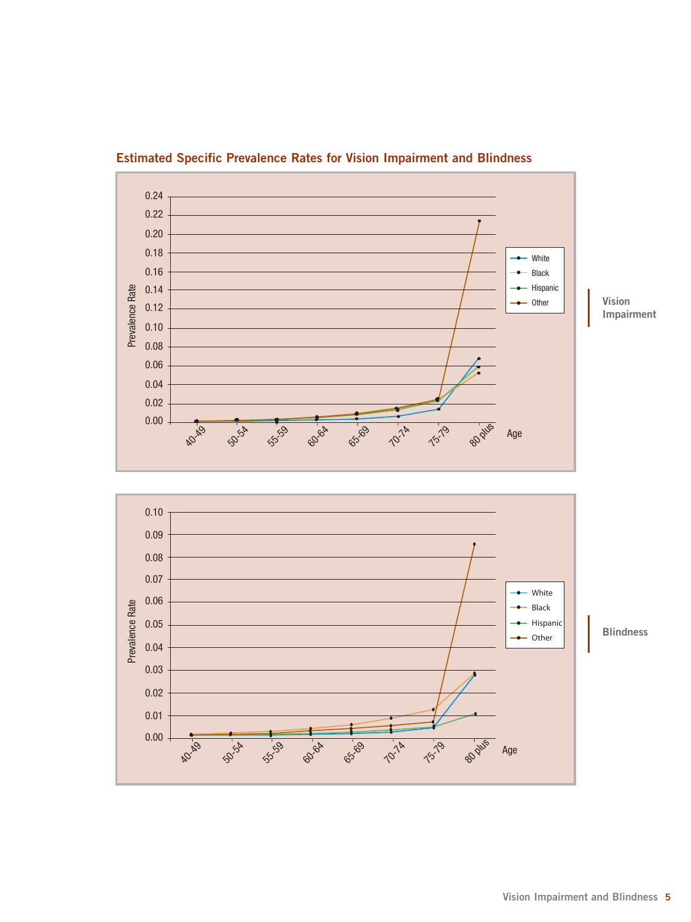

**Estimated Specific Prevalence Rates for Vision Impairment and Blindness**

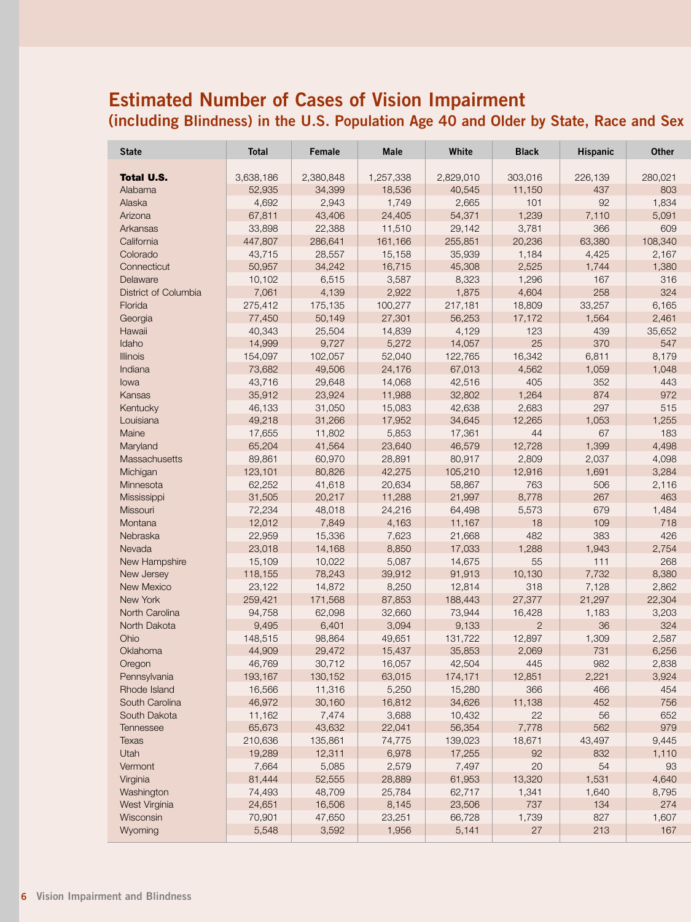#### **Estimated Number of Cases of Vision Impairment (including Blindness) in the U.S. Population Age 40 and Older by State, Race and Sex**

| <b>Total U.S.</b><br>3,638,186<br>2,380,848<br>1,257,338<br>2,829,010<br>303,016<br>226,139<br>280,021<br>52,935<br>34,399<br>18,536<br>40,545<br>11,150<br>437<br>803<br>Alabama<br>4,692<br>1,749<br>2,665<br>101<br>92<br>1,834<br>2,943<br>Alaska<br>67,811<br>43,406<br>54,371<br>1,239<br>24,405<br>7,110<br>5,091<br>Arizona<br>22,388<br>11,510<br>29,142<br>3,781<br>366<br>609<br>33,898<br>Arkansas<br>161,166<br>255,851<br>20,236<br>63,380<br>108,340<br>California<br>447,807<br>286,641<br>35,939<br>1,184<br>43,715<br>28,557<br>15,158<br>4,425<br>2,167<br>Colorado<br>34,242<br>16,715<br>45,308<br>2,525<br>1,744<br>1,380<br>50,957<br>Connecticut<br>6,515<br>8,323<br>1,296<br>167<br>Delaware<br>10,102<br>3,587<br>316<br>7,061<br>4,139<br>2,922<br>1,875<br>4,604<br>258<br>324<br>District of Columbia<br>275,412<br>175,135<br>100,277<br>18,809<br>Florida<br>217,181<br>33,257<br>6,165<br>27,301<br>56,253<br>17,172<br>1,564<br>2,461<br>77,450<br>50,149<br>Georgia<br>25,504<br>4,129<br>123<br>439<br>35,652<br>40,343<br>14,839<br>Hawaii<br>25<br>14,999<br>9,727<br>5,272<br>14,057<br>370<br>547<br>Idaho<br>102,057<br>16,342<br>6,811<br>154,097<br>52,040<br>122,765<br>8,179<br><b>Illinois</b><br>49,506<br>24,176<br>67,013<br>4,562<br>1,059<br>1,048<br>73,682<br>Indiana<br>42,516<br>405<br>352<br>43,716<br>29,648<br>14,068<br>443<br>lowa<br>23,924<br>11,988<br>32,802<br>1,264<br>874<br>972<br>35,912<br>Kansas<br>2,683<br>297<br>515<br>46,133<br>31,050<br>15,083<br>42,638<br>Kentucky<br>49,218<br>31,266<br>17,952<br>34,645<br>12,265<br>1,053<br>1,255<br>Louisiana<br>11,802<br>5,853<br>17,361<br>44<br>67<br>Maine<br>17,655<br>183<br>65,204<br>41,564<br>23,640<br>46,579<br>12,728<br>1,399<br>4,498<br>Maryland<br>60,970<br>80,917<br>2,809<br>4,098<br>Massachusetts<br>89,861<br>28,891<br>2,037<br>80,826<br>42,275<br>105,210<br>12,916<br>1,691<br>3,284<br>Michigan<br>123,101<br>763<br>506<br>62,252<br>41,618<br>20,634<br>58,867<br>2,116<br>Minnesota<br>31,505<br>20,217<br>11,288<br>21,997<br>8,778<br>267<br>463<br>Mississippi<br>72,234<br>48,018<br>24,216<br>5,573<br>679<br>Missouri<br>64,498<br>1,484 |
|------------------------------------------------------------------------------------------------------------------------------------------------------------------------------------------------------------------------------------------------------------------------------------------------------------------------------------------------------------------------------------------------------------------------------------------------------------------------------------------------------------------------------------------------------------------------------------------------------------------------------------------------------------------------------------------------------------------------------------------------------------------------------------------------------------------------------------------------------------------------------------------------------------------------------------------------------------------------------------------------------------------------------------------------------------------------------------------------------------------------------------------------------------------------------------------------------------------------------------------------------------------------------------------------------------------------------------------------------------------------------------------------------------------------------------------------------------------------------------------------------------------------------------------------------------------------------------------------------------------------------------------------------------------------------------------------------------------------------------------------------------------------------------------------------------------------------------------------------------------------------------------------------------------------------------------------------------------------------------------------------------------------------------------------------------------------------------------------------------------------------------------------------------------------------------------------------|
|                                                                                                                                                                                                                                                                                                                                                                                                                                                                                                                                                                                                                                                                                                                                                                                                                                                                                                                                                                                                                                                                                                                                                                                                                                                                                                                                                                                                                                                                                                                                                                                                                                                                                                                                                                                                                                                                                                                                                                                                                                                                                                                                                                                                      |
|                                                                                                                                                                                                                                                                                                                                                                                                                                                                                                                                                                                                                                                                                                                                                                                                                                                                                                                                                                                                                                                                                                                                                                                                                                                                                                                                                                                                                                                                                                                                                                                                                                                                                                                                                                                                                                                                                                                                                                                                                                                                                                                                                                                                      |
|                                                                                                                                                                                                                                                                                                                                                                                                                                                                                                                                                                                                                                                                                                                                                                                                                                                                                                                                                                                                                                                                                                                                                                                                                                                                                                                                                                                                                                                                                                                                                                                                                                                                                                                                                                                                                                                                                                                                                                                                                                                                                                                                                                                                      |
|                                                                                                                                                                                                                                                                                                                                                                                                                                                                                                                                                                                                                                                                                                                                                                                                                                                                                                                                                                                                                                                                                                                                                                                                                                                                                                                                                                                                                                                                                                                                                                                                                                                                                                                                                                                                                                                                                                                                                                                                                                                                                                                                                                                                      |
|                                                                                                                                                                                                                                                                                                                                                                                                                                                                                                                                                                                                                                                                                                                                                                                                                                                                                                                                                                                                                                                                                                                                                                                                                                                                                                                                                                                                                                                                                                                                                                                                                                                                                                                                                                                                                                                                                                                                                                                                                                                                                                                                                                                                      |
|                                                                                                                                                                                                                                                                                                                                                                                                                                                                                                                                                                                                                                                                                                                                                                                                                                                                                                                                                                                                                                                                                                                                                                                                                                                                                                                                                                                                                                                                                                                                                                                                                                                                                                                                                                                                                                                                                                                                                                                                                                                                                                                                                                                                      |
|                                                                                                                                                                                                                                                                                                                                                                                                                                                                                                                                                                                                                                                                                                                                                                                                                                                                                                                                                                                                                                                                                                                                                                                                                                                                                                                                                                                                                                                                                                                                                                                                                                                                                                                                                                                                                                                                                                                                                                                                                                                                                                                                                                                                      |
|                                                                                                                                                                                                                                                                                                                                                                                                                                                                                                                                                                                                                                                                                                                                                                                                                                                                                                                                                                                                                                                                                                                                                                                                                                                                                                                                                                                                                                                                                                                                                                                                                                                                                                                                                                                                                                                                                                                                                                                                                                                                                                                                                                                                      |
|                                                                                                                                                                                                                                                                                                                                                                                                                                                                                                                                                                                                                                                                                                                                                                                                                                                                                                                                                                                                                                                                                                                                                                                                                                                                                                                                                                                                                                                                                                                                                                                                                                                                                                                                                                                                                                                                                                                                                                                                                                                                                                                                                                                                      |
|                                                                                                                                                                                                                                                                                                                                                                                                                                                                                                                                                                                                                                                                                                                                                                                                                                                                                                                                                                                                                                                                                                                                                                                                                                                                                                                                                                                                                                                                                                                                                                                                                                                                                                                                                                                                                                                                                                                                                                                                                                                                                                                                                                                                      |
|                                                                                                                                                                                                                                                                                                                                                                                                                                                                                                                                                                                                                                                                                                                                                                                                                                                                                                                                                                                                                                                                                                                                                                                                                                                                                                                                                                                                                                                                                                                                                                                                                                                                                                                                                                                                                                                                                                                                                                                                                                                                                                                                                                                                      |
|                                                                                                                                                                                                                                                                                                                                                                                                                                                                                                                                                                                                                                                                                                                                                                                                                                                                                                                                                                                                                                                                                                                                                                                                                                                                                                                                                                                                                                                                                                                                                                                                                                                                                                                                                                                                                                                                                                                                                                                                                                                                                                                                                                                                      |
|                                                                                                                                                                                                                                                                                                                                                                                                                                                                                                                                                                                                                                                                                                                                                                                                                                                                                                                                                                                                                                                                                                                                                                                                                                                                                                                                                                                                                                                                                                                                                                                                                                                                                                                                                                                                                                                                                                                                                                                                                                                                                                                                                                                                      |
|                                                                                                                                                                                                                                                                                                                                                                                                                                                                                                                                                                                                                                                                                                                                                                                                                                                                                                                                                                                                                                                                                                                                                                                                                                                                                                                                                                                                                                                                                                                                                                                                                                                                                                                                                                                                                                                                                                                                                                                                                                                                                                                                                                                                      |
|                                                                                                                                                                                                                                                                                                                                                                                                                                                                                                                                                                                                                                                                                                                                                                                                                                                                                                                                                                                                                                                                                                                                                                                                                                                                                                                                                                                                                                                                                                                                                                                                                                                                                                                                                                                                                                                                                                                                                                                                                                                                                                                                                                                                      |
|                                                                                                                                                                                                                                                                                                                                                                                                                                                                                                                                                                                                                                                                                                                                                                                                                                                                                                                                                                                                                                                                                                                                                                                                                                                                                                                                                                                                                                                                                                                                                                                                                                                                                                                                                                                                                                                                                                                                                                                                                                                                                                                                                                                                      |
|                                                                                                                                                                                                                                                                                                                                                                                                                                                                                                                                                                                                                                                                                                                                                                                                                                                                                                                                                                                                                                                                                                                                                                                                                                                                                                                                                                                                                                                                                                                                                                                                                                                                                                                                                                                                                                                                                                                                                                                                                                                                                                                                                                                                      |
|                                                                                                                                                                                                                                                                                                                                                                                                                                                                                                                                                                                                                                                                                                                                                                                                                                                                                                                                                                                                                                                                                                                                                                                                                                                                                                                                                                                                                                                                                                                                                                                                                                                                                                                                                                                                                                                                                                                                                                                                                                                                                                                                                                                                      |
|                                                                                                                                                                                                                                                                                                                                                                                                                                                                                                                                                                                                                                                                                                                                                                                                                                                                                                                                                                                                                                                                                                                                                                                                                                                                                                                                                                                                                                                                                                                                                                                                                                                                                                                                                                                                                                                                                                                                                                                                                                                                                                                                                                                                      |
|                                                                                                                                                                                                                                                                                                                                                                                                                                                                                                                                                                                                                                                                                                                                                                                                                                                                                                                                                                                                                                                                                                                                                                                                                                                                                                                                                                                                                                                                                                                                                                                                                                                                                                                                                                                                                                                                                                                                                                                                                                                                                                                                                                                                      |
|                                                                                                                                                                                                                                                                                                                                                                                                                                                                                                                                                                                                                                                                                                                                                                                                                                                                                                                                                                                                                                                                                                                                                                                                                                                                                                                                                                                                                                                                                                                                                                                                                                                                                                                                                                                                                                                                                                                                                                                                                                                                                                                                                                                                      |
|                                                                                                                                                                                                                                                                                                                                                                                                                                                                                                                                                                                                                                                                                                                                                                                                                                                                                                                                                                                                                                                                                                                                                                                                                                                                                                                                                                                                                                                                                                                                                                                                                                                                                                                                                                                                                                                                                                                                                                                                                                                                                                                                                                                                      |
|                                                                                                                                                                                                                                                                                                                                                                                                                                                                                                                                                                                                                                                                                                                                                                                                                                                                                                                                                                                                                                                                                                                                                                                                                                                                                                                                                                                                                                                                                                                                                                                                                                                                                                                                                                                                                                                                                                                                                                                                                                                                                                                                                                                                      |
|                                                                                                                                                                                                                                                                                                                                                                                                                                                                                                                                                                                                                                                                                                                                                                                                                                                                                                                                                                                                                                                                                                                                                                                                                                                                                                                                                                                                                                                                                                                                                                                                                                                                                                                                                                                                                                                                                                                                                                                                                                                                                                                                                                                                      |
|                                                                                                                                                                                                                                                                                                                                                                                                                                                                                                                                                                                                                                                                                                                                                                                                                                                                                                                                                                                                                                                                                                                                                                                                                                                                                                                                                                                                                                                                                                                                                                                                                                                                                                                                                                                                                                                                                                                                                                                                                                                                                                                                                                                                      |
|                                                                                                                                                                                                                                                                                                                                                                                                                                                                                                                                                                                                                                                                                                                                                                                                                                                                                                                                                                                                                                                                                                                                                                                                                                                                                                                                                                                                                                                                                                                                                                                                                                                                                                                                                                                                                                                                                                                                                                                                                                                                                                                                                                                                      |
|                                                                                                                                                                                                                                                                                                                                                                                                                                                                                                                                                                                                                                                                                                                                                                                                                                                                                                                                                                                                                                                                                                                                                                                                                                                                                                                                                                                                                                                                                                                                                                                                                                                                                                                                                                                                                                                                                                                                                                                                                                                                                                                                                                                                      |
| 12,012<br>7,849<br>4,163<br>11,167<br>18<br>109<br>718<br>Montana                                                                                                                                                                                                                                                                                                                                                                                                                                                                                                                                                                                                                                                                                                                                                                                                                                                                                                                                                                                                                                                                                                                                                                                                                                                                                                                                                                                                                                                                                                                                                                                                                                                                                                                                                                                                                                                                                                                                                                                                                                                                                                                                    |
| 15,336<br>482<br>383<br>Nebraska<br>22,959<br>7,623<br>21,668<br>426                                                                                                                                                                                                                                                                                                                                                                                                                                                                                                                                                                                                                                                                                                                                                                                                                                                                                                                                                                                                                                                                                                                                                                                                                                                                                                                                                                                                                                                                                                                                                                                                                                                                                                                                                                                                                                                                                                                                                                                                                                                                                                                                 |
| 23,018<br>14,168<br>8,850<br>17,033<br>1,288<br>1,943<br>2,754<br>Nevada                                                                                                                                                                                                                                                                                                                                                                                                                                                                                                                                                                                                                                                                                                                                                                                                                                                                                                                                                                                                                                                                                                                                                                                                                                                                                                                                                                                                                                                                                                                                                                                                                                                                                                                                                                                                                                                                                                                                                                                                                                                                                                                             |
| 111<br>10,022<br>55<br>268<br>New Hampshire<br>15,109<br>5,087<br>14,675                                                                                                                                                                                                                                                                                                                                                                                                                                                                                                                                                                                                                                                                                                                                                                                                                                                                                                                                                                                                                                                                                                                                                                                                                                                                                                                                                                                                                                                                                                                                                                                                                                                                                                                                                                                                                                                                                                                                                                                                                                                                                                                             |
| 78,243<br>39,912<br>91,913<br>10,130<br>7,732<br>8,380<br>118,155<br>New Jersey                                                                                                                                                                                                                                                                                                                                                                                                                                                                                                                                                                                                                                                                                                                                                                                                                                                                                                                                                                                                                                                                                                                                                                                                                                                                                                                                                                                                                                                                                                                                                                                                                                                                                                                                                                                                                                                                                                                                                                                                                                                                                                                      |
| 14,872<br>8,250<br>12,814<br>318<br>New Mexico<br>23,122<br>7,128<br>2,862                                                                                                                                                                                                                                                                                                                                                                                                                                                                                                                                                                                                                                                                                                                                                                                                                                                                                                                                                                                                                                                                                                                                                                                                                                                                                                                                                                                                                                                                                                                                                                                                                                                                                                                                                                                                                                                                                                                                                                                                                                                                                                                           |
| 171,568<br>New York<br>259,421<br>87,853<br>188,443<br>27,377<br>21,297<br>22,304                                                                                                                                                                                                                                                                                                                                                                                                                                                                                                                                                                                                                                                                                                                                                                                                                                                                                                                                                                                                                                                                                                                                                                                                                                                                                                                                                                                                                                                                                                                                                                                                                                                                                                                                                                                                                                                                                                                                                                                                                                                                                                                    |
| North Carolina<br>94,758<br>62,098<br>32,660<br>73,944<br>16,428<br>1,183<br>3,203                                                                                                                                                                                                                                                                                                                                                                                                                                                                                                                                                                                                                                                                                                                                                                                                                                                                                                                                                                                                                                                                                                                                                                                                                                                                                                                                                                                                                                                                                                                                                                                                                                                                                                                                                                                                                                                                                                                                                                                                                                                                                                                   |
| $\overline{2}$<br>North Dakota<br>9,495<br>6,401<br>3,094<br>9,133<br>36<br>324<br>Ohio<br>148,515<br>98,864<br>49,651<br>131,722<br>12,897<br>1,309<br>2,587                                                                                                                                                                                                                                                                                                                                                                                                                                                                                                                                                                                                                                                                                                                                                                                                                                                                                                                                                                                                                                                                                                                                                                                                                                                                                                                                                                                                                                                                                                                                                                                                                                                                                                                                                                                                                                                                                                                                                                                                                                        |
| 731<br>44,909<br>29,472<br>15,437<br>35,853<br>2,069<br>6,256<br>Oklahoma                                                                                                                                                                                                                                                                                                                                                                                                                                                                                                                                                                                                                                                                                                                                                                                                                                                                                                                                                                                                                                                                                                                                                                                                                                                                                                                                                                                                                                                                                                                                                                                                                                                                                                                                                                                                                                                                                                                                                                                                                                                                                                                            |
| 46,769<br>30,712<br>16,057<br>42,504<br>445<br>982<br>2,838<br>Oregon                                                                                                                                                                                                                                                                                                                                                                                                                                                                                                                                                                                                                                                                                                                                                                                                                                                                                                                                                                                                                                                                                                                                                                                                                                                                                                                                                                                                                                                                                                                                                                                                                                                                                                                                                                                                                                                                                                                                                                                                                                                                                                                                |
| 193,167<br>130,152<br>63,015<br>174,171<br>12,851<br>2,221<br>3,924<br>Pennsylvania                                                                                                                                                                                                                                                                                                                                                                                                                                                                                                                                                                                                                                                                                                                                                                                                                                                                                                                                                                                                                                                                                                                                                                                                                                                                                                                                                                                                                                                                                                                                                                                                                                                                                                                                                                                                                                                                                                                                                                                                                                                                                                                  |
| 16,566<br>11,316<br>5,250<br>15,280<br>366<br>466<br>454<br>Rhode Island                                                                                                                                                                                                                                                                                                                                                                                                                                                                                                                                                                                                                                                                                                                                                                                                                                                                                                                                                                                                                                                                                                                                                                                                                                                                                                                                                                                                                                                                                                                                                                                                                                                                                                                                                                                                                                                                                                                                                                                                                                                                                                                             |
| 46,972<br>30,160<br>16,812<br>34,626<br>11,138<br>452<br>South Carolina<br>756                                                                                                                                                                                                                                                                                                                                                                                                                                                                                                                                                                                                                                                                                                                                                                                                                                                                                                                                                                                                                                                                                                                                                                                                                                                                                                                                                                                                                                                                                                                                                                                                                                                                                                                                                                                                                                                                                                                                                                                                                                                                                                                       |
| 11,162<br>7,474<br>3,688<br>22<br>56<br>South Dakota<br>10,432<br>652                                                                                                                                                                                                                                                                                                                                                                                                                                                                                                                                                                                                                                                                                                                                                                                                                                                                                                                                                                                                                                                                                                                                                                                                                                                                                                                                                                                                                                                                                                                                                                                                                                                                                                                                                                                                                                                                                                                                                                                                                                                                                                                                |
| 562<br>65,673<br>43,632<br>22,041<br>56,354<br>7,778<br>979<br>Tennessee                                                                                                                                                                                                                                                                                                                                                                                                                                                                                                                                                                                                                                                                                                                                                                                                                                                                                                                                                                                                                                                                                                                                                                                                                                                                                                                                                                                                                                                                                                                                                                                                                                                                                                                                                                                                                                                                                                                                                                                                                                                                                                                             |
| 210,636<br>135,861<br>74,775<br>139,023<br>18,671<br>43,497<br>9,445<br><b>Texas</b>                                                                                                                                                                                                                                                                                                                                                                                                                                                                                                                                                                                                                                                                                                                                                                                                                                                                                                                                                                                                                                                                                                                                                                                                                                                                                                                                                                                                                                                                                                                                                                                                                                                                                                                                                                                                                                                                                                                                                                                                                                                                                                                 |
| 19,289<br>12,311<br>6,978<br>17,255<br>92<br>832<br>1,110<br>Utah                                                                                                                                                                                                                                                                                                                                                                                                                                                                                                                                                                                                                                                                                                                                                                                                                                                                                                                                                                                                                                                                                                                                                                                                                                                                                                                                                                                                                                                                                                                                                                                                                                                                                                                                                                                                                                                                                                                                                                                                                                                                                                                                    |
| 7,664<br>5,085<br>2,579<br>20<br>54<br>7,497<br>93<br>Vermont                                                                                                                                                                                                                                                                                                                                                                                                                                                                                                                                                                                                                                                                                                                                                                                                                                                                                                                                                                                                                                                                                                                                                                                                                                                                                                                                                                                                                                                                                                                                                                                                                                                                                                                                                                                                                                                                                                                                                                                                                                                                                                                                        |
| 81,444<br>52,555<br>28,889<br>61,953<br>1,531<br>13,320<br>4,640<br>Virginia                                                                                                                                                                                                                                                                                                                                                                                                                                                                                                                                                                                                                                                                                                                                                                                                                                                                                                                                                                                                                                                                                                                                                                                                                                                                                                                                                                                                                                                                                                                                                                                                                                                                                                                                                                                                                                                                                                                                                                                                                                                                                                                         |
| 74,493<br>1,341<br>1,640<br>Washington<br>48,709<br>25,784<br>62,717<br>8,795                                                                                                                                                                                                                                                                                                                                                                                                                                                                                                                                                                                                                                                                                                                                                                                                                                                                                                                                                                                                                                                                                                                                                                                                                                                                                                                                                                                                                                                                                                                                                                                                                                                                                                                                                                                                                                                                                                                                                                                                                                                                                                                        |
| 24,651<br>16,506<br>8,145<br>23,506<br>737<br>134<br>274<br>West Virginia                                                                                                                                                                                                                                                                                                                                                                                                                                                                                                                                                                                                                                                                                                                                                                                                                                                                                                                                                                                                                                                                                                                                                                                                                                                                                                                                                                                                                                                                                                                                                                                                                                                                                                                                                                                                                                                                                                                                                                                                                                                                                                                            |
| 23,251<br>827<br>Wisconsin<br>70,901<br>47,650<br>66,728<br>1,739<br>1,607                                                                                                                                                                                                                                                                                                                                                                                                                                                                                                                                                                                                                                                                                                                                                                                                                                                                                                                                                                                                                                                                                                                                                                                                                                                                                                                                                                                                                                                                                                                                                                                                                                                                                                                                                                                                                                                                                                                                                                                                                                                                                                                           |
| 5,548<br>3,592<br>1,956<br>5,141<br>27<br>213<br>Wyoming<br>167                                                                                                                                                                                                                                                                                                                                                                                                                                                                                                                                                                                                                                                                                                                                                                                                                                                                                                                                                                                                                                                                                                                                                                                                                                                                                                                                                                                                                                                                                                                                                                                                                                                                                                                                                                                                                                                                                                                                                                                                                                                                                                                                      |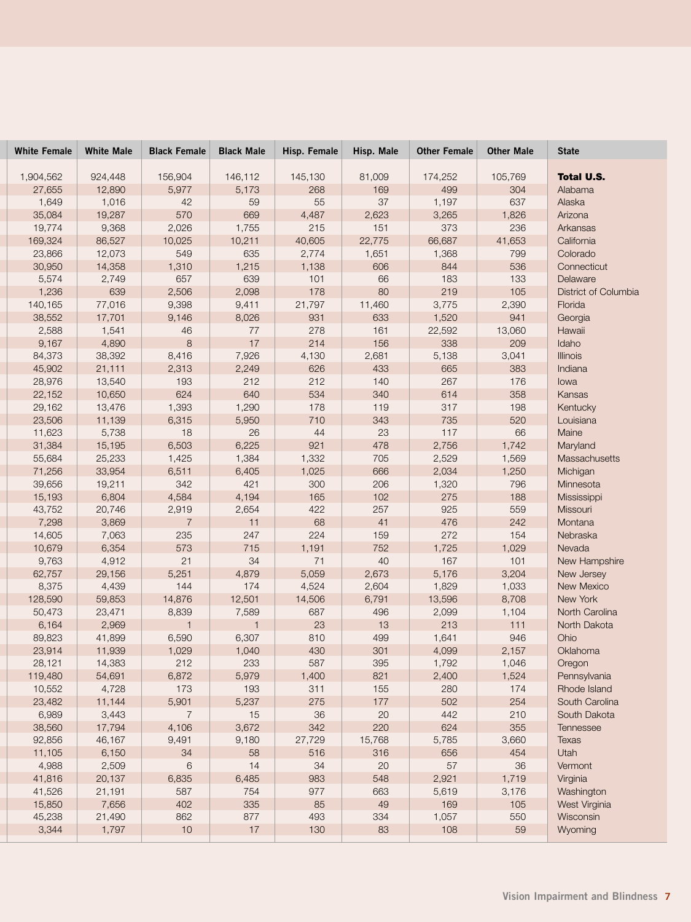| <b>White Female</b> | <b>White Male</b> | <b>Black Female</b> | <b>Black Male</b> | Hisp. Female | Hisp. Male | <b>Other Female</b> | <b>Other Male</b> | <b>State</b>         |
|---------------------|-------------------|---------------------|-------------------|--------------|------------|---------------------|-------------------|----------------------|
| 1,904,562           | 924,448           | 156,904             | 146,112           | 145,130      | 81,009     | 174,252             | 105,769           | <b>Total U.S.</b>    |
| 27,655              | 12,890            | 5,977               | 5,173             | 268          | 169        | 499                 | 304               | Alabama              |
| 1,649               |                   | 42                  |                   | 55           | 37         |                     | 637               |                      |
|                     | 1,016             |                     | 59                |              |            | 1,197               |                   | Alaska               |
| 35,084              | 19,287            | 570                 | 669               | 4,487        | 2,623      | 3,265               | 1,826             | Arizona              |
| 19,774              | 9,368             | 2,026               | 1,755             | 215          | 151        | 373                 | 236               | Arkansas             |
| 169,324             | 86,527            | 10,025              | 10,211            | 40,605       | 22,775     | 66,687              | 41,653            | California           |
| 23,866              | 12,073            | 549                 | 635               | 2,774        | 1,651      | 1,368               | 799               | Colorado             |
| 30,950              | 14,358            | 1,310               | 1,215             | 1,138        | 606        | 844                 | 536               | Connecticut          |
| 5,574               | 2,749             | 657                 | 639               | 101          | 66         | 183                 | 133               | Delaware             |
| 1,236               | 639               | 2,506               | 2,098             | 178          | 80         | 219                 | 105               | District of Columbia |
| 140,165             | 77,016            | 9,398               | 9,411             | 21,797       | 11,460     | 3,775               | 2,390             | Florida              |
| 38,552              | 17,701            | 9,146               | 8,026             | 931          | 633        | 1,520               | 941               | Georgia              |
| 2,588               | 1,541             | 46                  | $77 \,$           | 278          | 161        | 22,592              | 13,060            | Hawaii               |
| 9,167               | 4,890             | $\,8\,$             | 17                | 214          | 156        | 338                 | 209               | Idaho                |
| 84,373              | 38,392            | 8,416               | 7,926             | 4,130        | 2,681      | 5,138               | 3,041             | <b>Illinois</b>      |
| 45,902              | 21,111            | 2,313               | 2,249             | 626          | 433        | 665                 | 383               | Indiana              |
| 28,976              | 13,540            | 193                 | 212               | 212          | 140        | 267                 | 176               | lowa                 |
| 22,152              | 10,650            | 624                 | 640               | 534          | 340        | 614                 | 358               | Kansas               |
| 29,162              | 13,476            | 1,393               | 1,290             | 178          | 119        | 317                 | 198               | Kentucky             |
| 23,506              | 11,139            | 6,315               | 5,950             | 710          | 343        | 735                 | 520               | Louisiana            |
| 11,623              | 5,738             | 18                  | 26                | 44           | 23         | 117                 | 66                | Maine                |
| 31,384              | 15,195            | 6,503               | 6,225             | 921          | 478        | 2,756               | 1,742             | Maryland             |
| 55,684              | 25,233            | 1,425               | 1,384             | 1,332        | 705        | 2,529               | 1,569             | Massachusetts        |
| 71,256              | 33,954            | 6,511               | 6,405             | 1,025        | 666        | 2,034               | 1,250             | Michigan             |
| 39,656              | 19,211            | 342                 | 421               | 300          | 206        | 1,320               | 796               | Minnesota            |
| 15,193              | 6,804             | 4,584               | 4,194             | 165          | 102        | 275                 | 188               | Mississippi          |
| 43,752              | 20,746            | 2,919               | 2,654             | 422          | 257        | 925                 | 559               | Missouri             |
| 7,298               | 3,869             | $\overline{7}$      | 11                | 68           | 41         | 476                 | 242               | Montana              |
| 14,605              | 7,063             | 235                 | 247               | 224          | 159        | 272                 | 154               | Nebraska             |
| 10,679              | 6,354             | 573                 | 715               | 1,191        | 752        | 1,725               | 1,029             | Nevada               |
| 9,763               | 4,912             | 21                  | 34                | 71           | 40         | 167                 | 101               | New Hampshire        |
| 62,757              | 29,156            | 5,251               | 4,879             | 5,059        | 2,673      | 5,176               | 3,204             | New Jersey           |
| 8,375               | 4,439             | 144                 | 174               | 4,524        | 2,604      | 1,829               | 1,033             | New Mexico           |
| 128,590             | 59,853            | 14,876              | 12,501            | 14,506       | 6,791      | 13,596              | 8,708             | New York             |
| 50,473              | 23,471            | 8,839               | 7,589             | 687          | 496        | 2,099               | 1,104             | North Carolina       |
| 6,164               | 2,969             | $\overline{1}$      | $\mathbf{1}$      | 23           | 13         | 213                 | $111$             | North Dakota         |
| 89,823              | 41,899            | 6,590               | 6,307             | 810          | 499        | 1,641               | 946               | Ohio                 |
| 23,914              | 11,939            | 1,029               | 1,040             | 430          | 301        | 4,099               | 2,157             | Oklahoma             |
| 28,121              | 14,383            | 212                 | 233               | 587          | 395        | 1,792               | 1,046             | Oregon               |
| 119,480             | 54,691            | 6,872               | 5,979             | 1,400        | 821        | 2,400               | 1,524             | Pennsylvania         |
|                     | 4,728             | 173                 | 193               | 311          | 155        | 280                 | 174               | Rhode Island         |
| 10,552              |                   |                     |                   |              |            |                     |                   |                      |
| 23,482              | 11,144            | 5,901               | 5,237             | 275          | 177        | 502                 | 254               | South Carolina       |
| 6,989               | 3,443             | $\overline{7}$      | 15                | 36           | 20         | 442                 | 210               | South Dakota         |
| 38,560              | 17,794            | 4,106               | 3,672             | 342          | 220        | 624                 | 355               | Tennessee            |
| 92,856              | 46,167            | 9,491               | 9,180             | 27,729       | 15,768     | 5,785               | 3,660             | <b>Texas</b>         |
| 11,105              | 6,150             | 34                  | 58                | 516          | 316        | 656                 | 454               | Utah                 |
| 4,988               | 2,509             | 6                   | 14                | 34           | 20         | 57                  | 36                | Vermont              |
| 41,816              | 20,137            | 6,835               | 6,485             | 983          | 548        | 2,921               | 1,719             | Virginia             |
| 41,526              | 21,191            | 587                 | 754               | 977          | 663        | 5,619               | 3,176             | Washington           |
| 15,850              | 7,656             | 402                 | 335               | 85           | 49         | 169                 | 105               | West Virginia        |
| 45,238              | 21,490            | 862                 | 877               | 493          | 334        | 1,057               | 550               | Wisconsin            |
| 3,344               | 1,797             | 10                  | 17                | 130          | 83         | 108                 | 59                | Wyoming              |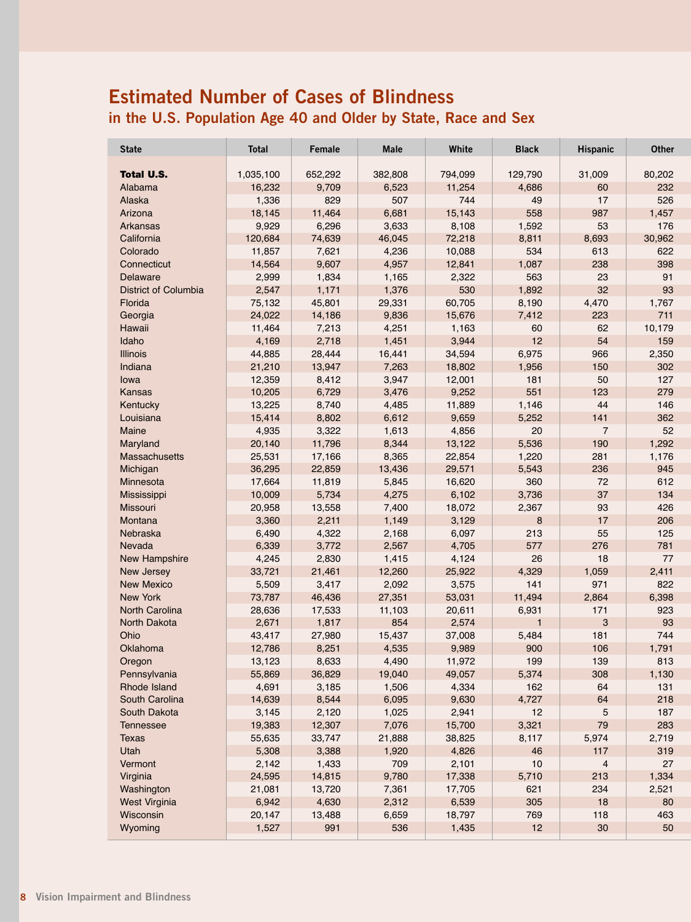#### **Estimated Number of Cases of Blindness in the U.S. Population Age 40 and Older by State, Race and Sex**

| <b>State</b>                   | <b>Total</b>    | <b>Female</b>  | <b>Male</b>    | White          | <b>Black</b> | <b>Hispanic</b> | <b>Other</b> |
|--------------------------------|-----------------|----------------|----------------|----------------|--------------|-----------------|--------------|
| <b>Total U.S.</b>              | 1,035,100       | 652,292        | 382,808        | 794,099        | 129,790      | 31,009          | 80,202       |
| Alabama                        | 16,232          | 9,709          | 6,523          | 11,254         | 4,686        | 60              | 232          |
| Alaska                         | 1,336           | 829            | 507            | 744            | 49           | 17              | 526          |
| Arizona                        | 18,145          | 11,464         | 6,681          | 15,143         | 558          | 987             | 1,457        |
| Arkansas                       | 9,929           | 6,296          | 3,633          | 8,108          | 1,592        | 53              | 176          |
| California                     | 120,684         | 74,639         | 46,045         | 72,218         | 8,811        | 8,693           | 30,962       |
| Colorado                       | 11,857          | 7,621          | 4,236          | 10,088         | 534          | 613             | 622          |
| Connecticut                    | 14,564          | 9,607          | 4,957          | 12,841         | 1,087        | 238             | 398          |
| Delaware                       | 2,999           | 1,834          | 1,165          | 2,322          | 563          | 23              | 91           |
| District of Columbia           | 2,547           | 1,171          | 1,376          | 530            | 1,892        | 32              | 93           |
| Florida                        | 75,132          | 45,801         | 29,331         | 60,705         | 8,190        | 4,470           | 1,767        |
| Georgia                        | 24,022          | 14,186         | 9,836          | 15,676         | 7,412        | 223             | 711          |
| Hawaii                         | 11,464          | 7,213          | 4,251          | 1,163          | 60           | 62              | 10,179       |
| Idaho                          | 4,169           | 2,718          | 1,451          | 3,944          | 12           | 54              | 159          |
| <b>Illinois</b>                | 44,885          | 28,444         | 16,441         | 34,594         | 6,975        | 966             | 2,350        |
| Indiana                        | 21,210          | 13,947         | 7,263          | 18,802         | 1,956        | 150             | 302          |
| lowa                           | 12,359          | 8,412          | 3,947          | 12,001         | 181          | 50              | 127          |
| Kansas                         | 10,205          | 6,729          | 3,476          | 9,252          | 551          | 123             | 279          |
| Kentucky                       | 13,225          | 8,740          | 4,485          | 11,889         | 1,146        | 44              | 146          |
| Louisiana                      | 15,414          | 8,802          | 6,612          | 9,659          | 5,252        | 141             | 362          |
| Maine                          | 4,935           | 3,322          | 1,613          | 4,856          | 20           | $\overline{7}$  | 52           |
| Maryland                       | 20,140          | 11,796         | 8,344          | 13,122         | 5,536        | 190             | 1,292        |
| <b>Massachusetts</b>           | 25,531          | 17,166         | 8,365          | 22,854         | 1,220        | 281             | 1,176        |
| Michigan                       | 36,295          | 22,859         | 13,436         | 29,571         | 5,543        | 236             | 945          |
| Minnesota                      | 17,664          | 11,819         | 5,845          | 16,620         | 360          | 72              | 612          |
| Mississippi                    | 10,009          | 5,734          | 4,275          | 6,102          | 3,736        | 37              | 134          |
| Missouri                       | 20,958          | 13,558         | 7,400          | 18,072         | 2,367        | 93              | 426          |
| Montana                        | 3,360           | 2,211          | 1,149          | 3,129          | 8            | 17              | 206          |
| Nebraska                       | 6,490           | 4,322          | 2,168          | 6,097          | 213          | 55              | 125          |
| Nevada                         | 6,339           | 3,772          | 2,567          | 4,705          | 577          | 276             | 781          |
| <b>New Hampshire</b>           | 4,245           | 2,830          | 1,415          | 4,124          | 26           | 18              | 77           |
| New Jersey                     | 33,721          | 21,461         | 12,260         | 25,922         | 4,329        | 1,059           | 2,411        |
| <b>New Mexico</b>              | 5,509           | 3,417          | 2,092          | 3,575          | 141          | 971             | 822          |
| <b>New York</b>                | 73,787          | 46,436         | 27,351         | 53,031         | 11,494       | 2,864           | 6,398        |
| <b>North Carolina</b>          | 28,636          | 17,533         | 11,103         | 20,611         | 6,931        | 171             | 923          |
| North Dakota                   | 2,671           | 1,817          | 854            | 2,574          | $\mathbf{1}$ | 3               | 93           |
| Ohio                           | 43,417          | 27,980         | 15,437         | 37,008         | 5,484        | 181             | 744          |
| <b>Oklahoma</b>                | 12,786          | 8,251          | 4,535          | 9,989          | 900          | 106             | 1,791        |
| Oregon                         | 13,123          | 8,633          | 4,490          | 11,972         | 199          | 139             | 813          |
| Pennsylvania                   | 55,869          | 36,829         | 19,040         | 49,057         | 5,374        | 308             | 1,130        |
| Rhode Island<br>South Carolina | 4,691           | 3,185          | 1,506          | 4,334          | 162          | 64<br>64        | 131<br>218   |
| South Dakota                   | 14,639<br>3,145 | 8,544<br>2,120 | 6,095<br>1,025 | 9,630<br>2,941 | 4,727<br>12  |                 | 187          |
| <b>Tennessee</b>               | 19,383          | 12,307         | 7,076          | 15,700         | 3,321        | 5<br>79         | 283          |
| <b>Texas</b>                   | 55,635          | 33,747         | 21,888         | 38,825         | 8,117        | 5,974           | 2,719        |
| Utah                           | 5,308           | 3,388          | 1,920          | 4,826          | 46           | 117             | 319          |
| Vermont                        | 2,142           | 1,433          | 709            | 2,101          | 10           | 4               | 27           |
| Virginia                       | 24,595          | 14,815         | 9,780          | 17,338         | 5,710        | 213             | 1,334        |
| Washington                     | 21,081          | 13,720         | 7,361          | 17,705         | 621          | 234             | 2,521        |
| <b>West Virginia</b>           | 6,942           | 4,630          | 2,312          | 6,539          | 305          | 18              | 80           |
| Wisconsin                      | 20,147          | 13,488         | 6,659          | 18,797         | 769          | 118             | 463          |
| Wyoming                        | 1,527           | 991            | 536            | 1,435          | 12           | 30              | 50           |
|                                |                 |                |                |                |              |                 |              |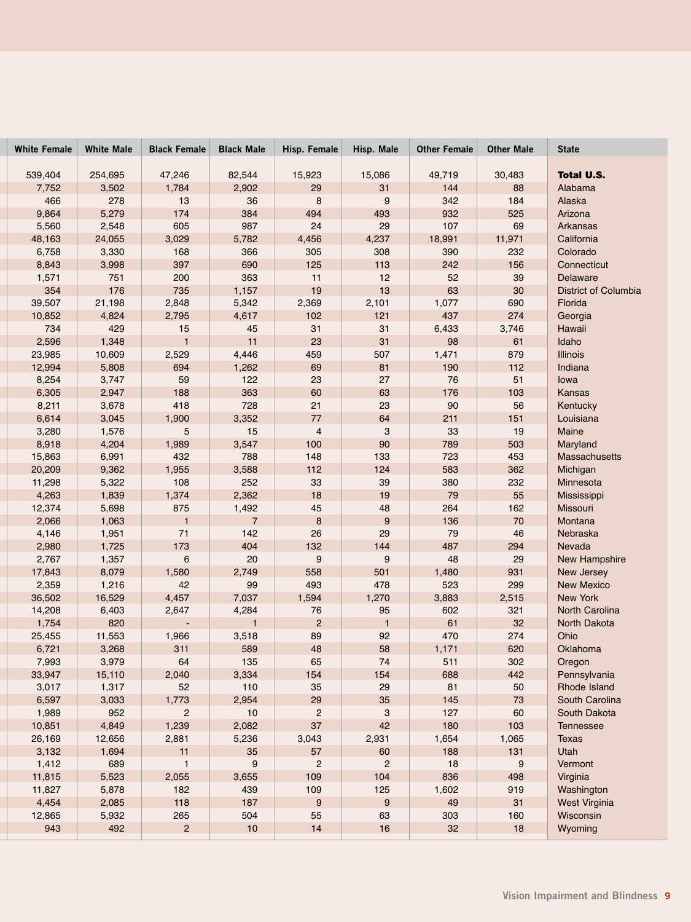| <b>White Female</b> | <b>White Male</b> | <b>Black Female</b> | <b>Black Male</b> | Hisp. Female     | Hisp. Male     | <b>Other Female</b> | <b>Other Male</b> | <b>State</b>                |
|---------------------|-------------------|---------------------|-------------------|------------------|----------------|---------------------|-------------------|-----------------------------|
| 539,404             | 254,695           | 47,246              | 82,544            | 15,923           | 15,086         | 49,719              | 30,483            | <b>Total U.S.</b>           |
| 7,752               | 3,502             | 1,784               | 2,902             | 29               | 31             | 144                 | 88                | Alabama                     |
| 466                 | 278               | 13                  | 36                | 8                | 9              | 342                 | 184               | Alaska                      |
| 9,864               | 5,279             | 174                 | 384               | 494              | 493            | 932                 | 525               | Arizona                     |
| 5,560               | 2,548             | 605                 | 987               | 24               | 29             | 107                 | 69                | Arkansas                    |
| 48,163              | 24,055            | 3,029               | 5,782             | 4,456            | 4,237          | 18,991              | 11,971            | California                  |
| 6,758               | 3,330             | 168                 | 366               | 305              | 308            | 390                 | 232               | Colorado                    |
| 8,843               | 3,998             | 397                 | 690               | 125              | 113            | 242                 | 156               | Connecticut                 |
| 1,571               | 751               | 200                 | 363               | 11               | 12             | 52                  | 39                | Delaware                    |
| 354                 | 176               | 735                 | 1,157             | 19               | 13             | 63                  | 30                | <b>District of Columbia</b> |
| 39,507              | 21,198            | 2,848               | 5,342             | 2,369            | 2,101          | 1,077               | 690               | Florida                     |
| 10,852              | 4,824             | 2,795               | 4,617             | 102              | 121            | 437                 | 274               | Georgia                     |
| 734                 | 429               | 15                  | 45                | 31               | 31             | 6,433               | 3,746             | Hawaii                      |
| 2,596               | 1,348             | $\mathbf{1}$        | 11                | 23               | 31             | 98                  | 61                | Idaho                       |
| 23,985              | 10,609            | 2,529               | 4,446             | 459              | 507            | 1,471               | 879               | <b>Illinois</b>             |
| 12,994              | 5,808             | 694                 | 1,262             | 69               | 81             | 190                 | 112               | Indiana                     |
| 8,254               | 3,747             | 59                  | 122               | 23               | 27             | 76                  | 51                | lowa                        |
| 6,305               | 2,947             | 188                 | 363               | 60               | 63             | 176                 | 103               | Kansas                      |
| 8,211               | 3,678             | 418                 | 728               | 21               | 23             | 90                  | 56                | Kentucky                    |
| 6,614               | 3,045             | 1,900               | 3,352             | 77               | 64             | 211                 | 151               | Louisiana                   |
| 3,280               | 1,576             | 5                   | 15                | 4                | 3              | 33                  | 19                | Maine                       |
| 8,918               | 4,204             | 1,989               | 3,547             | 100              | 90             | 789                 | 503               | Maryland                    |
| 15,863              | 6,991             | 432                 | 788               | 148              | 133            | 723                 | 453               | Massachusetts               |
| 20,209              | 9,362             | 1,955               | 3,588             | 112              | 124            | 583                 | 362               | Michigan                    |
| 11,298              | 5,322             | 108                 | 252               | 33               | 39             | 380                 | 232               | Minnesota                   |
| 4,263               | 1,839             | 1,374               | 2,362             | 18               | 19             | 79                  | 55                | Mississippi                 |
| 12,374              | 5,698             | 875                 | 1,492             | 45               | 48             | 264                 | 162               | Missouri                    |
| 2,066               | 1,063             | $\mathbf{1}$        | $\overline{7}$    | 8                | 9              | 136                 | 70                | Montana                     |
| 4,146               | 1,951             | 71                  | 142               | 26               | 29             | 79                  | 46                | Nebraska                    |
| 2,980               | 1,725             | 173                 | 404               | 132              | 144            | 487                 | 294               | Nevada                      |
| 2,767               | 1,357             | 6                   | 20                | 9                | 9              | 48                  | 29                | <b>New Hampshire</b>        |
| 17,843              | 8,079             | 1,580               | 2,749             | 558              | 501            | 1,480               | 931               | New Jersey                  |
| 2,359               | 1,216             | 42                  | 99                | 493              | 478            | 523                 | 299               | <b>New Mexico</b>           |
| 36,502              | 16,529            | 4,457               | 7,037             | 1,594            | 1,270          | 3,883               | 2,515             | New York                    |
| 14,208              | 6,403             | 2,647               | 4,284             | 76               | 95             | 602                 | 321               | North Carolina              |
| 1,754               | 820               |                     | 1                 | $\overline{c}$   | $\mathbf{1}$   | 61                  | 32                | North Dakota                |
| 25,455              | 11,553            | 1,966               | 3,518             | 89               | 92             | 470                 | 274               | Ohio                        |
| 6,721               | 3,268             | 311                 | 589               | 48               | 58             | 1,171               | 620               | Oklahoma                    |
| 7,993               | 3,979             | 64                  | 135               | 65               | 74             | 511                 | 302               | Oregon                      |
| 33,947              | 15,110            | 2,040               | 3,334             | 154              | 154            | 688                 | 442               | Pennsylvania                |
| 3,017               | 1,317             | 52                  | 110               | 35               | 29             | 81                  | 50                | Rhode Island                |
| 6,597               | 3,033             | 1,773               | 2,954             | 29               | 35             | 145                 | 73                | South Carolina              |
| 1,989               | 952               | 2                   | 10                | $\overline{c}$   | 3              | 127                 | 60                | South Dakota                |
| 10,851              | 4,849             | 1,239               | 2,082             | 37               | 42             | 180                 | 103               | <b>Tennessee</b>            |
| 26,169              | 12,656            | 2,881               | 5,236             | 3,043            | 2,931          | 1,654               | 1,065             | <b>Texas</b>                |
| 3,132               | 1,694             | 11                  | 35                | 57               | 60             | 188                 | 131               | Utah                        |
| 1,412               | 689               | 1                   | 9                 | $\overline{c}$   | $\overline{c}$ | 18                  | 9                 | Vermont                     |
| 11,815              | 5,523             | 2,055               | 3,655             | 109              | 104            | 836                 | 498               | Virginia                    |
| 11,827              | 5,878             | 182                 | 439               | 109              | 125            | 1,602               | 919               | Washington                  |
| 4,454               | 2,085             | 118                 | 187               | $\boldsymbol{9}$ | 9              | 49                  | 31                | West Virginia               |
| 12,865              | 5,932             | 265                 | 504               | 55               | 63             | 303                 | 160               | Wisconsin                   |
| 943                 | 492               | $\overline{c}$      | 10                | 14               | 16             | 32                  | 18                | Wyoming                     |
|                     |                   |                     |                   |                  |                |                     |                   |                             |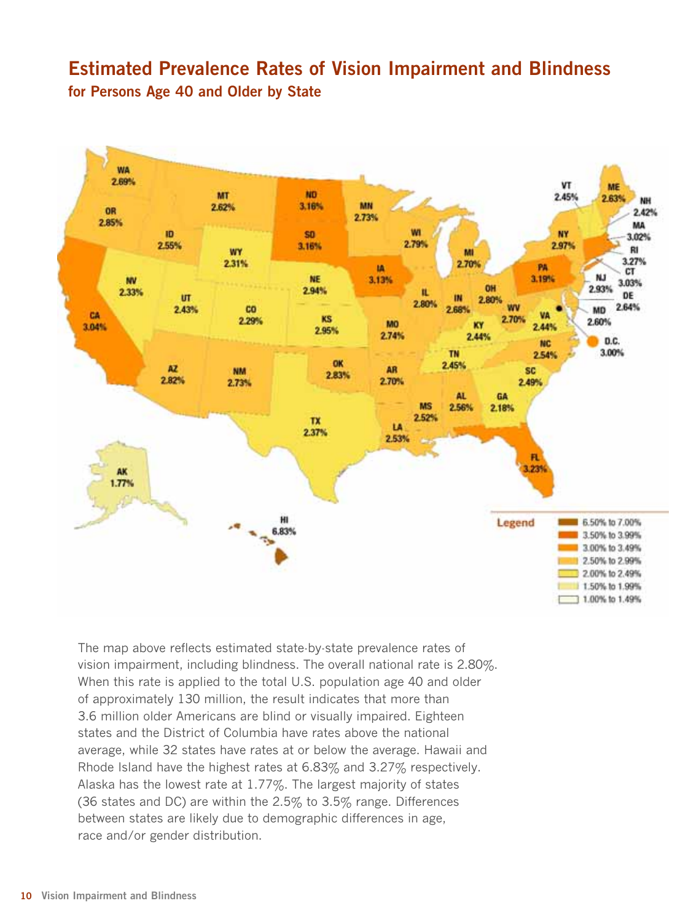#### **Estimated Prevalence Rates of Vision Impairment and Blindness for Persons Age 40 and Older by State**



The map above reflects estimated state-by-state prevalence rates of vision impairment, including blindness. The overall national rate is 2.80%. When this rate is applied to the total U.S. population age 40 and older of approximately 130 million, the result indicates that more than 3.6 million older Americans are blind or visually impaired. Eighteen states and the District of Columbia have rates above the national average, while 32 states have rates at or below the average. Hawaii and Rhode Island have the highest rates at 6.83% and 3.27% respectively. Alaska has the lowest rate at 1.77%. The largest majority of states (36 states and DC) are within the 2.5% to 3.5% range. Differences between states are likely due to demographic differences in age, race and/or gender distribution.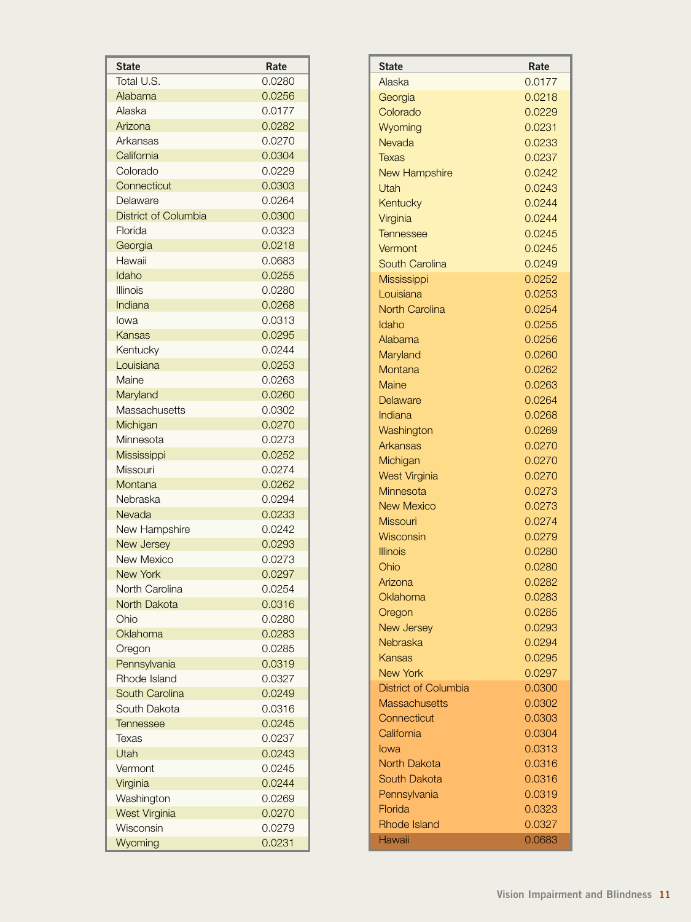| Total U.S.<br>0.0280<br>0.0256<br>Alabama<br>0.0177<br>Alaska<br>0.0282<br>Arizona<br>Arkansas<br>0.0270<br>California<br>0.0304<br>Colorado<br>0.0229<br>0.0303<br>Connecticut<br>0.0264<br>Delaware<br><b>District of Columbia</b><br>0.0300<br>Florida<br>0.0323<br>0.0218<br>Georgia<br>Hawaii<br>0.0683<br>Idaho<br>0.0255<br><b>Illinois</b><br>0.0280<br>Indiana<br>0.0268<br>0.0313<br>lowa<br>Kansas<br>0.0295<br>0.0244<br>Kentucky<br>0.0253<br>Louisiana<br>Maine<br>0.0263<br>0.0260<br>Maryland<br><b>Massachusetts</b><br>0.0302<br>Michigan<br>0.0270<br>Minnesota<br>0.0273<br>0.0252<br>Mississippi<br>Missouri<br>0.0274<br>Montana<br>0.0262<br>0.0294<br>Nebraska<br>0.0233<br>Nevada<br>0.0242<br>New Hampshire<br>0.0293<br><b>New Jersey</b><br><b>New Mexico</b><br>0.0273<br><b>New York</b><br>0.0297<br>North Carolina<br>0.0254<br><b>North Dakota</b><br>0.0316<br>Ohio<br>0.0280<br>Oklahoma<br>0.0283<br>0.0285<br>Oregon<br>Pennsylvania<br>0.0319<br>Rhode Island<br>0.0327<br>0.0249<br><b>South Carolina</b><br>South Dakota<br>0.0316<br>0.0245<br>Tennessee<br>0.0237<br>Texas<br>0.0243<br>Utah<br>0.0245<br>Vermont<br>Virginia<br>0.0244<br>0.0269<br>Washington<br>West Virginia<br>0.0270<br>0.0279<br>Wisconsin | <b>State</b> | Rate   |
|-------------------------------------------------------------------------------------------------------------------------------------------------------------------------------------------------------------------------------------------------------------------------------------------------------------------------------------------------------------------------------------------------------------------------------------------------------------------------------------------------------------------------------------------------------------------------------------------------------------------------------------------------------------------------------------------------------------------------------------------------------------------------------------------------------------------------------------------------------------------------------------------------------------------------------------------------------------------------------------------------------------------------------------------------------------------------------------------------------------------------------------------------------------------------------------------------------------------------------------------------------------|--------------|--------|
|                                                                                                                                                                                                                                                                                                                                                                                                                                                                                                                                                                                                                                                                                                                                                                                                                                                                                                                                                                                                                                                                                                                                                                                                                                                             |              |        |
|                                                                                                                                                                                                                                                                                                                                                                                                                                                                                                                                                                                                                                                                                                                                                                                                                                                                                                                                                                                                                                                                                                                                                                                                                                                             |              |        |
|                                                                                                                                                                                                                                                                                                                                                                                                                                                                                                                                                                                                                                                                                                                                                                                                                                                                                                                                                                                                                                                                                                                                                                                                                                                             |              |        |
|                                                                                                                                                                                                                                                                                                                                                                                                                                                                                                                                                                                                                                                                                                                                                                                                                                                                                                                                                                                                                                                                                                                                                                                                                                                             |              |        |
|                                                                                                                                                                                                                                                                                                                                                                                                                                                                                                                                                                                                                                                                                                                                                                                                                                                                                                                                                                                                                                                                                                                                                                                                                                                             |              |        |
|                                                                                                                                                                                                                                                                                                                                                                                                                                                                                                                                                                                                                                                                                                                                                                                                                                                                                                                                                                                                                                                                                                                                                                                                                                                             |              |        |
|                                                                                                                                                                                                                                                                                                                                                                                                                                                                                                                                                                                                                                                                                                                                                                                                                                                                                                                                                                                                                                                                                                                                                                                                                                                             |              |        |
|                                                                                                                                                                                                                                                                                                                                                                                                                                                                                                                                                                                                                                                                                                                                                                                                                                                                                                                                                                                                                                                                                                                                                                                                                                                             |              |        |
|                                                                                                                                                                                                                                                                                                                                                                                                                                                                                                                                                                                                                                                                                                                                                                                                                                                                                                                                                                                                                                                                                                                                                                                                                                                             |              |        |
|                                                                                                                                                                                                                                                                                                                                                                                                                                                                                                                                                                                                                                                                                                                                                                                                                                                                                                                                                                                                                                                                                                                                                                                                                                                             |              |        |
|                                                                                                                                                                                                                                                                                                                                                                                                                                                                                                                                                                                                                                                                                                                                                                                                                                                                                                                                                                                                                                                                                                                                                                                                                                                             |              |        |
|                                                                                                                                                                                                                                                                                                                                                                                                                                                                                                                                                                                                                                                                                                                                                                                                                                                                                                                                                                                                                                                                                                                                                                                                                                                             |              |        |
|                                                                                                                                                                                                                                                                                                                                                                                                                                                                                                                                                                                                                                                                                                                                                                                                                                                                                                                                                                                                                                                                                                                                                                                                                                                             |              |        |
|                                                                                                                                                                                                                                                                                                                                                                                                                                                                                                                                                                                                                                                                                                                                                                                                                                                                                                                                                                                                                                                                                                                                                                                                                                                             |              |        |
|                                                                                                                                                                                                                                                                                                                                                                                                                                                                                                                                                                                                                                                                                                                                                                                                                                                                                                                                                                                                                                                                                                                                                                                                                                                             |              |        |
|                                                                                                                                                                                                                                                                                                                                                                                                                                                                                                                                                                                                                                                                                                                                                                                                                                                                                                                                                                                                                                                                                                                                                                                                                                                             |              |        |
|                                                                                                                                                                                                                                                                                                                                                                                                                                                                                                                                                                                                                                                                                                                                                                                                                                                                                                                                                                                                                                                                                                                                                                                                                                                             |              |        |
|                                                                                                                                                                                                                                                                                                                                                                                                                                                                                                                                                                                                                                                                                                                                                                                                                                                                                                                                                                                                                                                                                                                                                                                                                                                             |              |        |
|                                                                                                                                                                                                                                                                                                                                                                                                                                                                                                                                                                                                                                                                                                                                                                                                                                                                                                                                                                                                                                                                                                                                                                                                                                                             |              |        |
|                                                                                                                                                                                                                                                                                                                                                                                                                                                                                                                                                                                                                                                                                                                                                                                                                                                                                                                                                                                                                                                                                                                                                                                                                                                             |              |        |
|                                                                                                                                                                                                                                                                                                                                                                                                                                                                                                                                                                                                                                                                                                                                                                                                                                                                                                                                                                                                                                                                                                                                                                                                                                                             |              |        |
|                                                                                                                                                                                                                                                                                                                                                                                                                                                                                                                                                                                                                                                                                                                                                                                                                                                                                                                                                                                                                                                                                                                                                                                                                                                             |              |        |
|                                                                                                                                                                                                                                                                                                                                                                                                                                                                                                                                                                                                                                                                                                                                                                                                                                                                                                                                                                                                                                                                                                                                                                                                                                                             |              |        |
|                                                                                                                                                                                                                                                                                                                                                                                                                                                                                                                                                                                                                                                                                                                                                                                                                                                                                                                                                                                                                                                                                                                                                                                                                                                             |              |        |
|                                                                                                                                                                                                                                                                                                                                                                                                                                                                                                                                                                                                                                                                                                                                                                                                                                                                                                                                                                                                                                                                                                                                                                                                                                                             |              |        |
|                                                                                                                                                                                                                                                                                                                                                                                                                                                                                                                                                                                                                                                                                                                                                                                                                                                                                                                                                                                                                                                                                                                                                                                                                                                             |              |        |
|                                                                                                                                                                                                                                                                                                                                                                                                                                                                                                                                                                                                                                                                                                                                                                                                                                                                                                                                                                                                                                                                                                                                                                                                                                                             |              |        |
|                                                                                                                                                                                                                                                                                                                                                                                                                                                                                                                                                                                                                                                                                                                                                                                                                                                                                                                                                                                                                                                                                                                                                                                                                                                             |              |        |
|                                                                                                                                                                                                                                                                                                                                                                                                                                                                                                                                                                                                                                                                                                                                                                                                                                                                                                                                                                                                                                                                                                                                                                                                                                                             |              |        |
|                                                                                                                                                                                                                                                                                                                                                                                                                                                                                                                                                                                                                                                                                                                                                                                                                                                                                                                                                                                                                                                                                                                                                                                                                                                             |              |        |
|                                                                                                                                                                                                                                                                                                                                                                                                                                                                                                                                                                                                                                                                                                                                                                                                                                                                                                                                                                                                                                                                                                                                                                                                                                                             |              |        |
|                                                                                                                                                                                                                                                                                                                                                                                                                                                                                                                                                                                                                                                                                                                                                                                                                                                                                                                                                                                                                                                                                                                                                                                                                                                             |              |        |
|                                                                                                                                                                                                                                                                                                                                                                                                                                                                                                                                                                                                                                                                                                                                                                                                                                                                                                                                                                                                                                                                                                                                                                                                                                                             |              |        |
|                                                                                                                                                                                                                                                                                                                                                                                                                                                                                                                                                                                                                                                                                                                                                                                                                                                                                                                                                                                                                                                                                                                                                                                                                                                             |              |        |
|                                                                                                                                                                                                                                                                                                                                                                                                                                                                                                                                                                                                                                                                                                                                                                                                                                                                                                                                                                                                                                                                                                                                                                                                                                                             |              |        |
|                                                                                                                                                                                                                                                                                                                                                                                                                                                                                                                                                                                                                                                                                                                                                                                                                                                                                                                                                                                                                                                                                                                                                                                                                                                             |              |        |
|                                                                                                                                                                                                                                                                                                                                                                                                                                                                                                                                                                                                                                                                                                                                                                                                                                                                                                                                                                                                                                                                                                                                                                                                                                                             |              |        |
|                                                                                                                                                                                                                                                                                                                                                                                                                                                                                                                                                                                                                                                                                                                                                                                                                                                                                                                                                                                                                                                                                                                                                                                                                                                             |              |        |
|                                                                                                                                                                                                                                                                                                                                                                                                                                                                                                                                                                                                                                                                                                                                                                                                                                                                                                                                                                                                                                                                                                                                                                                                                                                             |              |        |
|                                                                                                                                                                                                                                                                                                                                                                                                                                                                                                                                                                                                                                                                                                                                                                                                                                                                                                                                                                                                                                                                                                                                                                                                                                                             |              |        |
|                                                                                                                                                                                                                                                                                                                                                                                                                                                                                                                                                                                                                                                                                                                                                                                                                                                                                                                                                                                                                                                                                                                                                                                                                                                             |              |        |
|                                                                                                                                                                                                                                                                                                                                                                                                                                                                                                                                                                                                                                                                                                                                                                                                                                                                                                                                                                                                                                                                                                                                                                                                                                                             |              |        |
|                                                                                                                                                                                                                                                                                                                                                                                                                                                                                                                                                                                                                                                                                                                                                                                                                                                                                                                                                                                                                                                                                                                                                                                                                                                             |              |        |
|                                                                                                                                                                                                                                                                                                                                                                                                                                                                                                                                                                                                                                                                                                                                                                                                                                                                                                                                                                                                                                                                                                                                                                                                                                                             |              |        |
|                                                                                                                                                                                                                                                                                                                                                                                                                                                                                                                                                                                                                                                                                                                                                                                                                                                                                                                                                                                                                                                                                                                                                                                                                                                             |              |        |
|                                                                                                                                                                                                                                                                                                                                                                                                                                                                                                                                                                                                                                                                                                                                                                                                                                                                                                                                                                                                                                                                                                                                                                                                                                                             |              |        |
|                                                                                                                                                                                                                                                                                                                                                                                                                                                                                                                                                                                                                                                                                                                                                                                                                                                                                                                                                                                                                                                                                                                                                                                                                                                             |              |        |
|                                                                                                                                                                                                                                                                                                                                                                                                                                                                                                                                                                                                                                                                                                                                                                                                                                                                                                                                                                                                                                                                                                                                                                                                                                                             |              |        |
|                                                                                                                                                                                                                                                                                                                                                                                                                                                                                                                                                                                                                                                                                                                                                                                                                                                                                                                                                                                                                                                                                                                                                                                                                                                             |              |        |
|                                                                                                                                                                                                                                                                                                                                                                                                                                                                                                                                                                                                                                                                                                                                                                                                                                                                                                                                                                                                                                                                                                                                                                                                                                                             |              |        |
|                                                                                                                                                                                                                                                                                                                                                                                                                                                                                                                                                                                                                                                                                                                                                                                                                                                                                                                                                                                                                                                                                                                                                                                                                                                             |              |        |
|                                                                                                                                                                                                                                                                                                                                                                                                                                                                                                                                                                                                                                                                                                                                                                                                                                                                                                                                                                                                                                                                                                                                                                                                                                                             |              |        |
|                                                                                                                                                                                                                                                                                                                                                                                                                                                                                                                                                                                                                                                                                                                                                                                                                                                                                                                                                                                                                                                                                                                                                                                                                                                             | Wyoming      | 0.0231 |

| <b>State</b>                | Rate   |
|-----------------------------|--------|
| Alaska                      | 0.0177 |
| Georgia                     | 0.0218 |
| Colorado                    | 0.0229 |
| Wyoming                     | 0.0231 |
| Nevada                      | 0.0233 |
| <b>Texas</b>                | 0.0237 |
| <b>New Hampshire</b>        | 0.0242 |
| Utah                        | 0.0243 |
| Kentucky                    | 0.0244 |
| Virginia                    | 0.0244 |
| <b>Tennessee</b>            | 0.0245 |
| Vermont                     | 0.0245 |
| <b>South Carolina</b>       | 0.0249 |
| <b>Mississippi</b>          | 0.0252 |
| Louisiana                   | 0.0253 |
| <b>North Carolina</b>       | 0.0254 |
| Idaho                       | 0.0255 |
| Alabama                     | 0.0256 |
| Maryland                    | 0.0260 |
| Montana                     | 0.0262 |
| <b>Maine</b>                | 0.0263 |
| Delaware                    | 0.0264 |
| Indiana                     | 0.0268 |
| Washington                  | 0.0269 |
| <b>Arkansas</b>             | 0.0270 |
| Michigan                    | 0.0270 |
| <b>West Virginia</b>        | 0.0270 |
| Minnesota                   | 0.0273 |
| <b>New Mexico</b>           | 0.0273 |
| <b>Missouri</b>             | 0.0274 |
| <b>Wisconsin</b>            | 0.0279 |
| <b>Illinois</b>             | 0.0280 |
| Ohio                        | 0.0280 |
| Arizona                     | 0.0282 |
| Oklahoma                    | 0.0283 |
| Oregon                      | 0.0285 |
| <b>New Jersey</b>           | 0.0293 |
| Nebraska                    | 0.0294 |
| Kansas                      | 0.0295 |
| <b>New York</b>             | 0.0297 |
| <b>District of Columbia</b> | 0.0300 |
| <b>Massachusetts</b>        | 0.0302 |
| Connecticut                 | 0.0303 |
| California                  | 0.0304 |
| lowa                        | 0.0313 |
| <b>North Dakota</b>         | 0.0316 |
| <b>South Dakota</b>         | 0.0316 |
| Pennsylvania                | 0.0319 |
| Florida                     | 0.0323 |
| <b>Rhode Island</b>         | 0.0327 |
| Hawaii                      | 0.0683 |
|                             |        |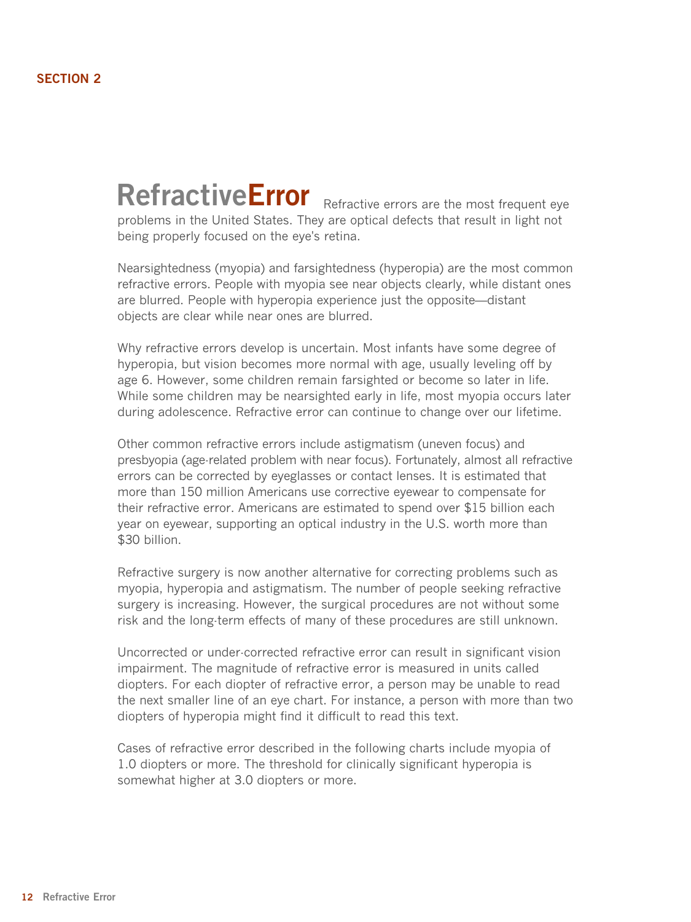RefractiveError Refractive errors are the most frequent eye problems in the United States. They are optical defects that result in light not being properly focused on the eye's retina.

Nearsightedness (myopia) and farsightedness (hyperopia) are the most common refractive errors. People with myopia see near objects clearly, while distant ones are blurred. People with hyperopia experience just the opposite—distant objects are clear while near ones are blurred.

Why refractive errors develop is uncertain. Most infants have some degree of hyperopia, but vision becomes more normal with age, usually leveling off by age 6. However, some children remain farsighted or become so later in life. While some children may be nearsighted early in life, most myopia occurs later during adolescence. Refractive error can continue to change over our lifetime.

Other common refractive errors include astigmatism (uneven focus) and presbyopia (age-related problem with near focus). Fortunately, almost all refractive errors can be corrected by eyeglasses or contact lenses. It is estimated that more than 150 million Americans use corrective eyewear to compensate for their refractive error. Americans are estimated to spend over \$15 billion each year on eyewear, supporting an optical industry in the U.S. worth more than \$30 billion.

Refractive surgery is now another alternative for correcting problems such as myopia, hyperopia and astigmatism. The number of people seeking refractive surgery is increasing. However, the surgical procedures are not without some risk and the long-term effects of many of these procedures are still unknown.

Uncorrected or under-corrected refractive error can result in significant vision impairment. The magnitude of refractive error is measured in units called diopters. For each diopter of refractive error, a person may be unable to read the next smaller line of an eye chart. For instance, a person with more than two diopters of hyperopia might find it difficult to read this text.

Cases of refractive error described in the following charts include myopia of 1.0 diopters or more. The threshold for clinically significant hyperopia is somewhat higher at 3.0 diopters or more.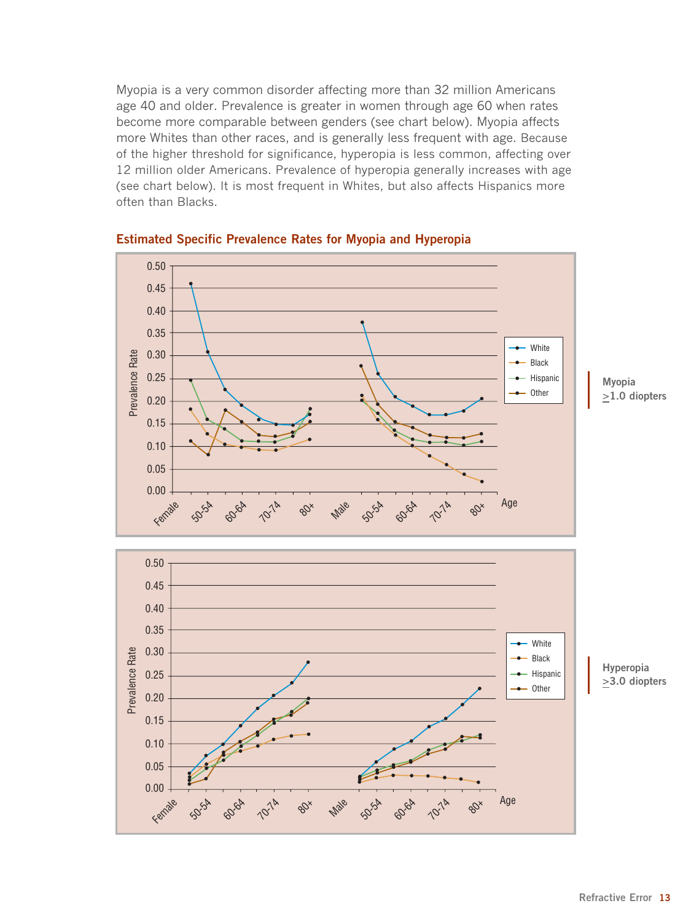Myopia is a very common disorder affecting more than 32 million Americans age 40 and older. Prevalence is greater in women through age 60 when rates become more comparable between genders (see chart below). Myopia affects more Whites than other races, and is generally less frequent with age. Because of the higher threshold for significance, hyperopia is less common, affecting over 12 million older Americans. Prevalence of hyperopia generally increases with age (see chart below). It is most frequent in Whites, but also affects Hispanics more often than Blacks.



#### **Estimated Specific Prevalence Rates for Myopia and Hyperopia**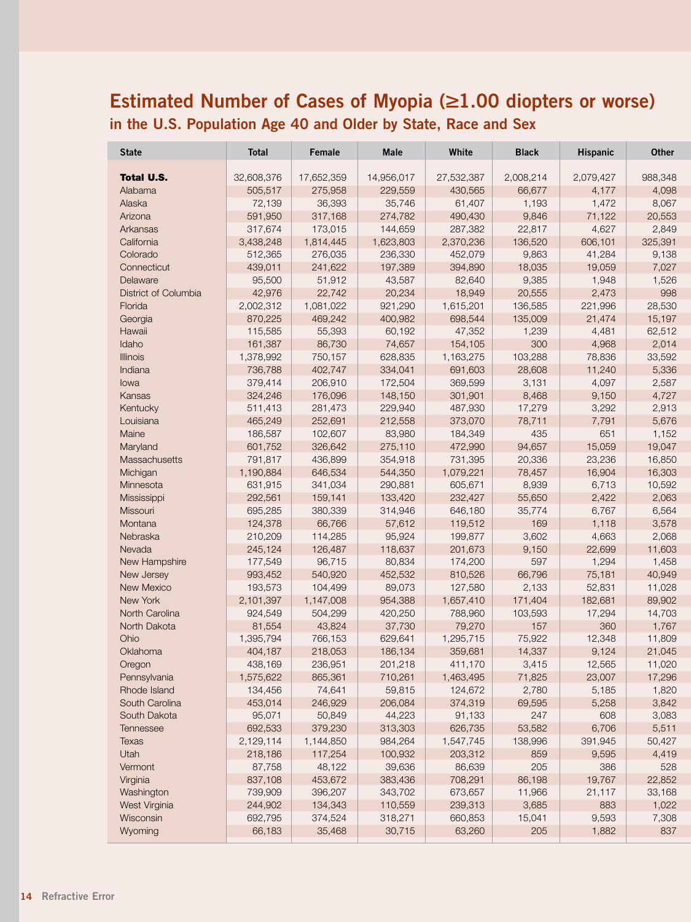### **Estimated Number of Cases of Myopia (**≥**1.00 diopters or worse)**

**in the U.S. Population Age 40 and Older by State, Race and Sex**

| <b>State</b>           | <b>Total</b>         | <b>Female</b>      | <b>Male</b>        | White                | <b>Black</b>    | Hispanic         | <b>Other</b>     |
|------------------------|----------------------|--------------------|--------------------|----------------------|-----------------|------------------|------------------|
| <b>Total U.S.</b>      | 32,608,376           | 17,652,359         | 14,956,017         | 27,532,387           | 2,008,214       | 2,079,427        | 988,348          |
| Alabama                | 505,517              | 275,958            | 229,559            | 430,565              | 66,677          | 4,177            | 4,098            |
| Alaska                 | 72,139               | 36,393             | 35,746             | 61,407               | 1,193           | 1,472            | 8,067            |
| Arizona                | 591,950              | 317,168            | 274,782            | 490,430              | 9,846           | 71,122           | 20,553           |
| Arkansas               | 317,674              | 173,015            | 144,659            | 287,382              | 22,817          | 4,627            | 2,849            |
| California             | 3,438,248            | 1,814,445          | 1,623,803          | 2,370,236            | 136,520         | 606,101          | 325,391          |
| Colorado               | 512,365              | 276,035            | 236,330            | 452,079              | 9,863           | 41,284           | 9,138            |
| Connecticut            | 439,011              | 241,622            | 197,389            | 394,890              | 18,035          | 19,059           | 7,027            |
| Delaware               | 95,500               | 51,912             | 43,587             | 82,640               | 9,385           | 1,948            | 1,526            |
| District of Columbia   | 42,976               | 22,742             | 20,234             | 18,949               | 20,555          | 2,473            | 998              |
| Florida                | 2,002,312            | 1,081,022          | 921,290            | 1,615,201            | 136,585         | 221,996          | 28,530           |
| Georgia                | 870,225              | 469,242            | 400,982            | 698,544              | 135,009         | 21,474           | 15,197           |
| Hawaii                 | 115,585              | 55,393             | 60,192             | 47,352               | 1,239           | 4,481            | 62,512           |
| Idaho                  | 161,387              | 86,730             | 74,657             | 154,105              | 300             | 4,968            | 2,014            |
| <b>Illinois</b>        | 1,378,992            | 750,157            | 628,835            | 1,163,275            | 103,288         | 78,836           | 33,592           |
| Indiana                | 736,788              | 402,747            | 334,041            | 691,603              | 28,608          | 11,240           | 5,336            |
| lowa                   | 379,414              | 206,910            | 172,504            | 369,599              | 3,131           | 4,097            | 2,587            |
| Kansas                 | 324,246              | 176,096            | 148,150            | 301,901              | 8,468           | 9,150            | 4,727            |
| Kentucky               | 511,413              | 281,473            | 229,940            | 487,930              | 17,279          | 3,292            | 2,913            |
| Louisiana              | 465,249              | 252,691            | 212,558            | 373,070              | 78,711          | 7,791            | 5,676            |
| Maine                  | 186,587              | 102,607            | 83,980             | 184,349              | 435             | 651              | 1,152            |
| Maryland               | 601,752              | 326,642            | 275,110            | 472,990              | 94,657          | 15,059           | 19,047           |
| Massachusetts          | 791,817              | 436,899            | 354,918            | 731,395              | 20,336          | 23,236           | 16,850           |
| Michigan               | 1,190,884            | 646,534            | 544,350            | 1,079,221            | 78,457          | 16,904           | 16,303           |
| Minnesota              | 631,915              | 341,034            | 290,881            | 605,671              | 8,939           | 6,713            | 10,592           |
| Mississippi            | 292,561              | 159,141            | 133,420            | 232,427              | 55,650          | 2,422            | 2,063            |
| Missouri               | 695,285              | 380,339            | 314,946            | 646,180              | 35,774          | 6,767            | 6,564            |
| Montana                | 124,378              | 66,766             | 57,612             | 119,512              | 169             | 1,118            | 3,578            |
| Nebraska               | 210,209              | 114,285            | 95,924             | 199,877              | 3,602           | 4,663            | 2,068            |
| Nevada                 | 245,124              | 126,487            | 118,637            | 201,673              | 9,150           | 22,699           | 11,603           |
| New Hampshire          | 177,549              | 96,715             | 80,834             | 174,200              | 597             | 1,294            | 1,458            |
| New Jersey             | 993,452              | 540,920            | 452,532            | 810,526              | 66,796          | 75,181           | 40,949           |
| New Mexico             | 193,573              | 104,499            | 89,073             | 127,580              | 2,133           | 52,831           | 11,028           |
| New York               | 2,101,397            | 1,147,008          | 954,388            | 1,657,410            | 171,404         | 182,681          | 89,902           |
| North Carolina         | 924,549              | 504,299            | 420,250            | 788,960              | 103,593         | 17,294           | 14,703           |
| North Dakota           | 81,554               | 43,824             | 37,730             | 79,270               | 157             | 360              | 1,767            |
| Ohio                   | 1,395,794            | 766,153            | 629,641            | 1,295,715            | 75,922          | 12,348           | 11,809           |
| Oklahoma               | 404,187              | 218,053            | 186,134            | 359,681              | 14,337          | 9,124            | 21,045           |
| Oregon<br>Pennsylvania | 438,169<br>1,575,622 | 236,951<br>865,361 | 201,218<br>710,261 | 411,170<br>1,463,495 | 3,415<br>71,825 | 12,565<br>23,007 | 11,020<br>17,296 |
| Rhode Island           | 134,456              | 74,641             | 59,815             | 124,672              | 2,780           | 5,185            | 1,820            |
| South Carolina         | 453,014              | 246,929            | 206,084            | 374,319              | 69,595          | 5,258            | 3,842            |
| South Dakota           | 95,071               | 50,849             | 44,223             | 91,133               | 247             | 608              | 3,083            |
| Tennessee              | 692,533              | 379,230            | 313,303            | 626,735              | 53,582          | 6,706            | 5,511            |
| <b>Texas</b>           | 2,129,114            | 1,144,850          | 984,264            | 1,547,745            | 138,996         | 391,945          | 50,427           |
| Utah                   | 218,186              | 117,254            | 100,932            | 203,312              | 859             | 9,595            | 4,419            |
| Vermont                | 87,758               | 48,122             | 39,636             | 86,639               | 205             | 386              | 528              |
| Virginia               | 837,108              | 453,672            | 383,436            | 708,291              | 86,198          | 19,767           | 22,852           |
| Washington             | 739,909              | 396,207            | 343,702            | 673,657              | 11,966          | 21,117           | 33,168           |
| West Virginia          | 244,902              | 134,343            | 110,559            | 239,313              | 3,685           | 883              | 1,022            |
| Wisconsin              | 692,795              | 374,524            | 318,271            | 660,853              | 15,041          | 9,593            | 7,308            |
| Wyoming                | 66,183               | 35,468             | 30,715             | 63,260               | 205             | 1,882            | 837              |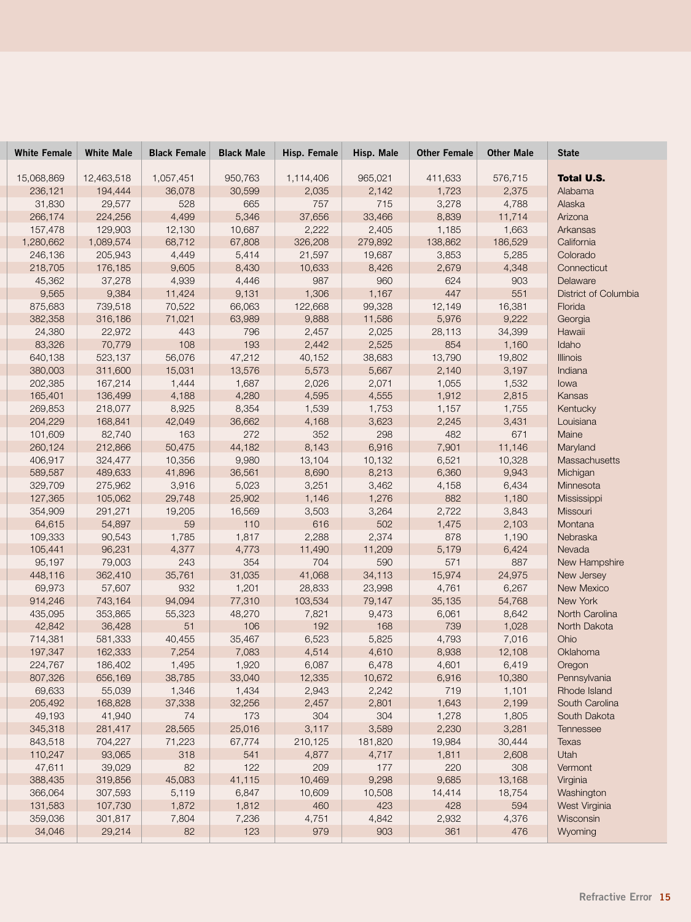| <b>White Female</b> | <b>White Male</b>  | <b>Black Female</b> | <b>Black Male</b> | Hisp. Female | Hisp. Male | <b>Other Female</b> | <b>Other Male</b> | <b>State</b>         |
|---------------------|--------------------|---------------------|-------------------|--------------|------------|---------------------|-------------------|----------------------|
| 15,068,869          | 12,463,518         | 1,057,451           | 950,763           | 1,114,406    | 965,021    | 411,633             | 576,715           | <b>Total U.S.</b>    |
| 236,121             | 194,444            | 36,078              | 30,599            | 2,035        | 2,142      | 1,723               | 2,375             | Alabama              |
| 31,830              | 29,577             | 528                 | 665               | 757          | 715        | 3,278               | 4,788             | Alaska               |
| 266,174             | 224,256            | 4,499               | 5,346             | 37,656       | 33,466     | 8,839               | 11,714            | Arizona              |
| 157,478             | 129,903            | 12,130              | 10,687            | 2,222        | 2,405      | 1,185               | 1,663             | Arkansas             |
| 1,280,662           | 1,089,574          | 68,712              | 67,808            | 326,208      | 279,892    | 138,862             | 186,529           | California           |
| 246,136             | 205,943            | 4,449               | 5,414             | 21,597       | 19,687     | 3,853               | 5,285             | Colorado             |
| 218,705             | 176,185            | 9,605               | 8,430             | 10,633       | 8,426      | 2,679               | 4,348             | Connecticut          |
| 45,362              | 37,278             | 4,939               | 4,446             | 987          | 960        | 624                 | 903               | Delaware             |
| 9,565               | 9,384              | 11,424              | 9,131             | 1,306        | 1,167      | 447                 | 551               | District of Columbia |
| 875,683             | 739,518            | 70,522              | 66,063            | 122,668      | 99,328     | 12,149              | 16,381            | Florida              |
| 382,358             | 316,186            | 71,021              | 63,989            | 9,888        | 11,586     | 5,976               | 9,222             | Georgia              |
| 24,380              | 22,972             | 443                 | 796               | 2,457        | 2,025      | 28,113              | 34,399            | Hawaii               |
| 83,326              | 70,779             | 108                 | 193               | 2,442        | 2,525      | 854                 | 1,160             | Idaho                |
| 640,138             | 523,137            | 56,076              | 47,212            | 40,152       | 38,683     | 13,790              | 19,802            | <b>Illinois</b>      |
| 380,003             | 311,600            | 15,031              | 13,576            | 5,573        | 5,667      | 2,140               | 3,197             | Indiana              |
|                     |                    | 1,444               | 1,687             |              |            |                     | 1,532             |                      |
| 202,385             | 167,214<br>136,499 |                     |                   | 2,026        | 2,071      | 1,055               |                   | lowa                 |
| 165,401             |                    | 4,188               | 4,280             | 4,595        | 4,555      | 1,912               | 2,815             | Kansas               |
| 269,853<br>204,229  | 218,077            | 8,925               | 8,354             | 1,539        | 1,753      | 1,157               | 1,755             | Kentucky             |
|                     | 168,841            | 42,049<br>163       | 36,662            | 4,168        | 3,623      | 2,245               | 3,431<br>671      | Louisiana            |
| 101,609             | 82,740             |                     | 272               | 352          | 298        | 482                 |                   | Maine                |
| 260,124             | 212,866            | 50,475              | 44,182            | 8,143        | 6,916      | 7,901               | 11,146            | Maryland             |
| 406,917             | 324,477            | 10,356              | 9,980             | 13,104       | 10,132     | 6,521               | 10,328            | Massachusetts        |
| 589,587             | 489,633            | 41,896              | 36,561            | 8,690        | 8,213      | 6,360               | 9,943             | Michigan             |
| 329,709             | 275,962            | 3,916               | 5,023             | 3,251        | 3,462      | 4,158               | 6,434             | Minnesota            |
| 127,365             | 105,062            | 29,748              | 25,902            | 1,146        | 1,276      | 882                 | 1,180             | Mississippi          |
| 354,909             | 291,271            | 19,205              | 16,569            | 3,503        | 3,264      | 2,722               | 3,843             | Missouri             |
| 64,615              | 54,897             | 59                  | 110               | 616          | 502        | 1,475               | 2,103             | Montana              |
| 109,333             | 90,543             | 1,785               | 1,817             | 2,288        | 2,374      | 878                 | 1,190             | Nebraska             |
| 105,441             | 96,231             | 4,377               | 4,773             | 11,490       | 11,209     | 5,179               | 6,424             | Nevada               |
| 95,197              | 79,003             | 243                 | 354               | 704          | 590        | 571                 | 887               | New Hampshire        |
| 448,116             | 362,410            | 35,761              | 31,035            | 41,068       | 34,113     | 15,974              | 24,975            | New Jersey           |
| 69,973              | 57,607             | 932                 | 1,201             | 28,833       | 23,998     | 4,761               | 6,267             | New Mexico           |
| 914,246             | 743,164            | 94,094              | 77,310            | 103,534      | 79,147     | 35,135              | 54,768            | New York             |
| 435,095             | 353,865            | 55,323              | 48,270            | 7,821        | 9,473      | 6,061               | 8,642             | North Carolina       |
| 42,842              | 36,428             | 51                  | 106               | 192          | 168        | 739                 | 1,028             | North Dakota         |
| 714,381             | 581,333            | 40,455              | 35,467            | 6,523        | 5,825      | 4,793               | 7,016             | Ohio                 |
| 197,347             | 162,333            | 7,254               | 7,083             | 4,514        | 4,610      | 8,938               | 12,108            | Oklahoma             |
| 224,767             | 186,402            | 1,495               | 1,920             | 6,087        | 6,478      | 4,601               | 6,419             | Oregon               |
| 807,326             | 656,169            | 38,785              | 33,040            | 12,335       | 10,672     | 6,916               | 10,380            | Pennsylvania         |
| 69,633              | 55,039             | 1,346               | 1,434             | 2,943        | 2,242      | 719                 | 1,101             | Rhode Island         |
| 205,492             | 168,828            | 37,338              | 32,256            | 2,457        | 2,801      | 1,643               | 2,199             | South Carolina       |
| 49,193              | 41,940             | 74                  | 173               | 304          | 304        | 1,278               | 1,805             | South Dakota         |
| 345,318             | 281,417            | 28,565              | 25,016            | 3,117        | 3,589      | 2,230               | 3,281             | Tennessee            |
| 843,518             | 704,227            | 71,223              | 67,774            | 210,125      | 181,820    | 19,984              | 30,444            | <b>Texas</b>         |
| 110,247             | 93,065             | 318                 | 541               | 4,877        | 4,717      | 1,811               | 2,608             | Utah                 |
| 47,611              | 39,029             | 82                  | 122               | 209          | 177        | 220                 | 308               | Vermont              |
| 388,435             | 319,856            | 45,083              | 41,115            | 10,469       | 9,298      | 9,685               | 13,168            | Virginia             |
| 366,064             | 307,593            | 5,119               | 6,847             | 10,609       | 10,508     | 14,414              | 18,754            | Washington           |
| 131,583             | 107,730            | 1,872               | 1,812             | 460          | 423        | 428                 | 594               | West Virginia        |
| 359,036             | 301,817            | 7,804               | 7,236             | 4,751        | 4,842      | 2,932               | 4,376             | Wisconsin            |
| 34,046              | 29,214             | 82                  | 123               | 979          | 903        | 361                 | 476               | Wyoming              |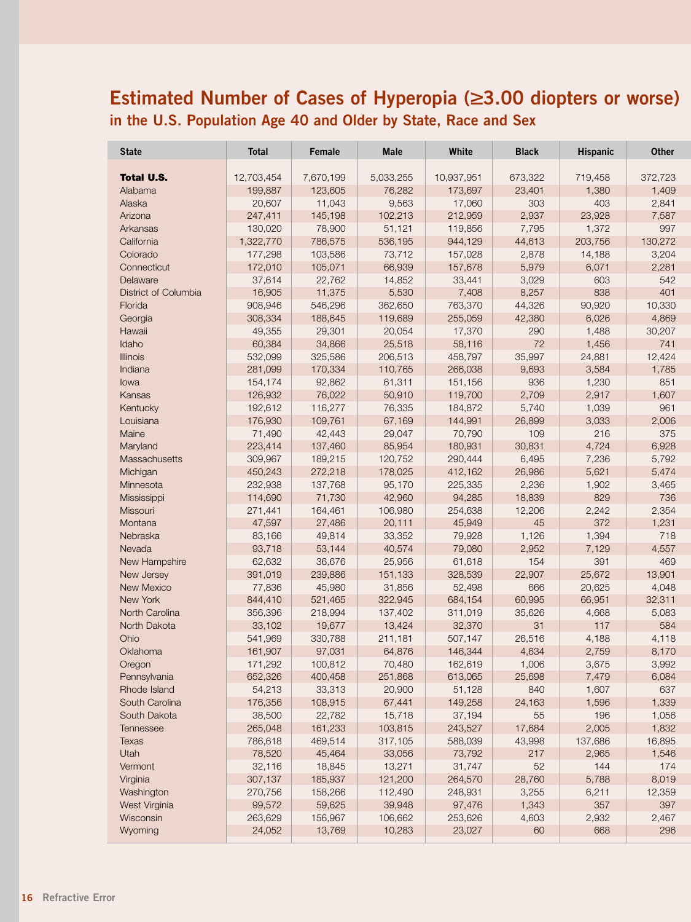#### **Estimated Number of Cases of Hyperopia (**≥**3.00 diopters or worse) in the U.S. Population Age 40 and Older by State, Race and Sex**

| <b>Total U.S.</b><br>12,703,454<br>7,670,199<br>5,033,255<br>10,937,951<br>673,322<br>719,458<br>372,723<br>1,409<br>199,887<br>123,605<br>76,282<br>173,697<br>23,401<br>1,380<br>Alabama<br>403<br>2,841<br>20,607<br>11,043<br>9,563<br>17,060<br>303<br>Alaska<br>102,213<br>212,959<br>247,411<br>145,198<br>2,937<br>23,928<br>7,587<br>Arizona<br>78,900<br>51,121<br>119,856<br>7,795<br>1,372<br>997<br>Arkansas<br>130,020<br>130,272<br>1,322,770<br>786,575<br>536,195<br>944,129<br>44,613<br>203,756<br>California<br>3,204<br>177,298<br>103,586<br>73,712<br>157,028<br>2,878<br>14,188<br>Colorado<br>172,010<br>105,071<br>66,939<br>157,678<br>5,979<br>6,071<br>2,281<br>Connecticut<br>603<br>Delaware<br>37,614<br>22,762<br>14,852<br>33,441<br>3,029<br>542<br>838<br>District of Columbia<br>16,905<br>11,375<br>5,530<br>7,408<br>8,257<br>401<br>763,370<br>90,920<br>10,330<br>908,946<br>546,296<br>362,650<br>44,326<br>Florida<br>4,869<br>308,334<br>188,645<br>119,689<br>255,059<br>42,380<br>6,026<br>Georgia<br>1,488<br>49,355<br>29,301<br>20,054<br>17,370<br>290<br>30,207<br>Hawaii<br>72<br>1,456<br>Idaho<br>60,384<br>34,866<br>25,518<br>58,116<br>741<br>325,586<br>458,797<br>35,997<br>24,881<br>532,099<br>206,513<br>12,424<br><b>Illinois</b><br>281,099<br>170,334<br>110,765<br>266,038<br>9,693<br>3,584<br>1,785<br>Indiana<br>1,230<br>92,862<br>61,311<br>151,156<br>936<br>851<br>154,174<br>lowa<br>2,709<br>2,917<br>126,932<br>76,022<br>50,910<br>119,700<br>1,607<br>Kansas<br>1,039<br>192,612<br>116,277<br>76,335<br>184,872<br>5,740<br>961<br>Kentucky<br>3,033<br>176,930<br>109,761<br>67,169<br>144,991<br>26,899<br>2,006<br>Louisiana<br>216<br>Maine<br>71,490<br>42,443<br>29,047<br>70,790<br>109<br>375<br>137,460<br>180,931<br>4,724<br>6,928<br>223,414<br>85,954<br>30,831<br>Maryland<br>7,236<br>Massachusetts<br>309,967<br>189,215<br>120,752<br>290,444<br>6,495<br>5,792<br>5,621<br>5,474<br>450,243<br>272,218<br>178,025<br>412,162<br>26,986<br>Michigan<br>1,902<br>232,938<br>137,768<br>95,170<br>225,335<br>2,236<br>3,465<br>Minnesota<br>829<br>114,690<br>71,730<br>42,960<br>94,285<br>18,839<br>736<br>Mississippi<br>2,354<br>Missouri<br>271,441<br>164,461<br>106,980<br>254,638<br>12,206<br>2,242<br>372<br>47,597<br>27,486<br>20,111<br>45,949<br>45<br>1,231<br>Montana<br>1,394<br>83,166<br>49,814<br>33,352<br>79,928<br>1,126<br>718<br>Nebraska<br>7,129<br>Nevada<br>93,718<br>53,144<br>40,574<br>79,080<br>2,952<br>4,557<br>391<br>New Hampshire<br>62,632<br>36,676<br>25,956<br>61,618<br>154<br>469<br>391,019<br>239,886<br>151,133<br>328,539<br>22,907<br>25,672<br>13,901<br>New Jersey<br>New Mexico<br>77,836<br>45,980<br>31,856<br>52,498<br>666<br>20,625<br>4,048<br>New York<br>521,465<br>322,945<br>684,154<br>60,995<br>66,951<br>32,311<br>844,410<br>North Carolina<br>4,668<br>5,083<br>356,396<br>218,994<br>137,402<br>311,019<br>35,626<br>31<br>117<br>North Dakota<br>33,102<br>19,677<br>13,424<br>32,370<br>584<br>4,188<br>Ohio<br>541,969<br>330,788<br>211,181<br>507,147<br>26,516<br>4,118<br>8,170<br>Oklahoma<br>161,907<br>97,031<br>64,876<br>146,344<br>4,634<br>2,759<br>171,292<br>100,812<br>70,480<br>162,619<br>1,006<br>3,675<br>3,992<br>Oregon<br>7,479<br>652,326<br>400,458<br>251,868<br>613,065<br>25,698<br>6,084<br>Pennsylvania<br>33,313<br>840<br>1,607<br>54,213<br>20,900<br>51,128<br>637<br>Rhode Island<br>108,915<br>67,441<br>1,596<br>176,356<br>149,258<br>24,163<br>1,339<br>South Carolina<br>37,194<br>55<br>196<br>38,500<br>22,782<br>15,718<br>1,056<br>South Dakota<br>265,048<br>103,815<br>243,527<br>2,005<br>161,233<br>17,684<br>1,832<br>Tennessee<br>137,686<br>786,618<br>469,514<br>317,105<br>588,039<br>43,998<br>16,895<br><b>Texas</b><br>45,464<br>2,965<br>Utah<br>78,520<br>33,056<br>73,792<br>217<br>1,546<br>52<br>144<br>32,116<br>18,845<br>13,271<br>31,747<br>174<br>Vermont<br>307,137<br>185,937<br>121,200<br>5,788<br>264,570<br>28,760<br>8,019<br>Virginia<br>270,756<br>158,266<br>112,490<br>248,931<br>3,255<br>6,211<br>12,359<br>Washington<br>357<br>99,572<br>59,625<br>39,948<br>97,476<br>1,343<br>397<br>West Virginia<br>263,629<br>156,967<br>Wisconsin<br>106,662<br>253,626<br>2,932<br>4,603<br>2,467<br>Wyoming<br>24,052<br>13,769<br>10,283<br>23,027<br>668<br>60<br>296 | <b>State</b> | <b>Total</b> | <b>Female</b> | <b>Male</b> | White | <b>Black</b> | <b>Hispanic</b> | <b>Other</b> |
|---------------------------------------------------------------------------------------------------------------------------------------------------------------------------------------------------------------------------------------------------------------------------------------------------------------------------------------------------------------------------------------------------------------------------------------------------------------------------------------------------------------------------------------------------------------------------------------------------------------------------------------------------------------------------------------------------------------------------------------------------------------------------------------------------------------------------------------------------------------------------------------------------------------------------------------------------------------------------------------------------------------------------------------------------------------------------------------------------------------------------------------------------------------------------------------------------------------------------------------------------------------------------------------------------------------------------------------------------------------------------------------------------------------------------------------------------------------------------------------------------------------------------------------------------------------------------------------------------------------------------------------------------------------------------------------------------------------------------------------------------------------------------------------------------------------------------------------------------------------------------------------------------------------------------------------------------------------------------------------------------------------------------------------------------------------------------------------------------------------------------------------------------------------------------------------------------------------------------------------------------------------------------------------------------------------------------------------------------------------------------------------------------------------------------------------------------------------------------------------------------------------------------------------------------------------------------------------------------------------------------------------------------------------------------------------------------------------------------------------------------------------------------------------------------------------------------------------------------------------------------------------------------------------------------------------------------------------------------------------------------------------------------------------------------------------------------------------------------------------------------------------------------------------------------------------------------------------------------------------------------------------------------------------------------------------------------------------------------------------------------------------------------------------------------------------------------------------------------------------------------------------------------------------------------------------------------------------------------------------------------------------------------------------------------------------------------------------------------------------------------------------------------------------------------------------------------------------------------------------------------------------------------------------------------------------------------------------------------------------------------------------------------------------------------------------------------------------------------------------------------------------------------------------------------------------------------------------------------------------------------------------------------------------------------------------------------------------------------------------------------------------------------------------------|--------------|--------------|---------------|-------------|-------|--------------|-----------------|--------------|
|                                                                                                                                                                                                                                                                                                                                                                                                                                                                                                                                                                                                                                                                                                                                                                                                                                                                                                                                                                                                                                                                                                                                                                                                                                                                                                                                                                                                                                                                                                                                                                                                                                                                                                                                                                                                                                                                                                                                                                                                                                                                                                                                                                                                                                                                                                                                                                                                                                                                                                                                                                                                                                                                                                                                                                                                                                                                                                                                                                                                                                                                                                                                                                                                                                                                                                                                                                                                                                                                                                                                                                                                                                                                                                                                                                                                                                                                                                                                                                                                                                                                                                                                                                                                                                                                                                                                                                                                                     |              |              |               |             |       |              |                 |              |
|                                                                                                                                                                                                                                                                                                                                                                                                                                                                                                                                                                                                                                                                                                                                                                                                                                                                                                                                                                                                                                                                                                                                                                                                                                                                                                                                                                                                                                                                                                                                                                                                                                                                                                                                                                                                                                                                                                                                                                                                                                                                                                                                                                                                                                                                                                                                                                                                                                                                                                                                                                                                                                                                                                                                                                                                                                                                                                                                                                                                                                                                                                                                                                                                                                                                                                                                                                                                                                                                                                                                                                                                                                                                                                                                                                                                                                                                                                                                                                                                                                                                                                                                                                                                                                                                                                                                                                                                                     |              |              |               |             |       |              |                 |              |
|                                                                                                                                                                                                                                                                                                                                                                                                                                                                                                                                                                                                                                                                                                                                                                                                                                                                                                                                                                                                                                                                                                                                                                                                                                                                                                                                                                                                                                                                                                                                                                                                                                                                                                                                                                                                                                                                                                                                                                                                                                                                                                                                                                                                                                                                                                                                                                                                                                                                                                                                                                                                                                                                                                                                                                                                                                                                                                                                                                                                                                                                                                                                                                                                                                                                                                                                                                                                                                                                                                                                                                                                                                                                                                                                                                                                                                                                                                                                                                                                                                                                                                                                                                                                                                                                                                                                                                                                                     |              |              |               |             |       |              |                 |              |
|                                                                                                                                                                                                                                                                                                                                                                                                                                                                                                                                                                                                                                                                                                                                                                                                                                                                                                                                                                                                                                                                                                                                                                                                                                                                                                                                                                                                                                                                                                                                                                                                                                                                                                                                                                                                                                                                                                                                                                                                                                                                                                                                                                                                                                                                                                                                                                                                                                                                                                                                                                                                                                                                                                                                                                                                                                                                                                                                                                                                                                                                                                                                                                                                                                                                                                                                                                                                                                                                                                                                                                                                                                                                                                                                                                                                                                                                                                                                                                                                                                                                                                                                                                                                                                                                                                                                                                                                                     |              |              |               |             |       |              |                 |              |
|                                                                                                                                                                                                                                                                                                                                                                                                                                                                                                                                                                                                                                                                                                                                                                                                                                                                                                                                                                                                                                                                                                                                                                                                                                                                                                                                                                                                                                                                                                                                                                                                                                                                                                                                                                                                                                                                                                                                                                                                                                                                                                                                                                                                                                                                                                                                                                                                                                                                                                                                                                                                                                                                                                                                                                                                                                                                                                                                                                                                                                                                                                                                                                                                                                                                                                                                                                                                                                                                                                                                                                                                                                                                                                                                                                                                                                                                                                                                                                                                                                                                                                                                                                                                                                                                                                                                                                                                                     |              |              |               |             |       |              |                 |              |
|                                                                                                                                                                                                                                                                                                                                                                                                                                                                                                                                                                                                                                                                                                                                                                                                                                                                                                                                                                                                                                                                                                                                                                                                                                                                                                                                                                                                                                                                                                                                                                                                                                                                                                                                                                                                                                                                                                                                                                                                                                                                                                                                                                                                                                                                                                                                                                                                                                                                                                                                                                                                                                                                                                                                                                                                                                                                                                                                                                                                                                                                                                                                                                                                                                                                                                                                                                                                                                                                                                                                                                                                                                                                                                                                                                                                                                                                                                                                                                                                                                                                                                                                                                                                                                                                                                                                                                                                                     |              |              |               |             |       |              |                 |              |
|                                                                                                                                                                                                                                                                                                                                                                                                                                                                                                                                                                                                                                                                                                                                                                                                                                                                                                                                                                                                                                                                                                                                                                                                                                                                                                                                                                                                                                                                                                                                                                                                                                                                                                                                                                                                                                                                                                                                                                                                                                                                                                                                                                                                                                                                                                                                                                                                                                                                                                                                                                                                                                                                                                                                                                                                                                                                                                                                                                                                                                                                                                                                                                                                                                                                                                                                                                                                                                                                                                                                                                                                                                                                                                                                                                                                                                                                                                                                                                                                                                                                                                                                                                                                                                                                                                                                                                                                                     |              |              |               |             |       |              |                 |              |
|                                                                                                                                                                                                                                                                                                                                                                                                                                                                                                                                                                                                                                                                                                                                                                                                                                                                                                                                                                                                                                                                                                                                                                                                                                                                                                                                                                                                                                                                                                                                                                                                                                                                                                                                                                                                                                                                                                                                                                                                                                                                                                                                                                                                                                                                                                                                                                                                                                                                                                                                                                                                                                                                                                                                                                                                                                                                                                                                                                                                                                                                                                                                                                                                                                                                                                                                                                                                                                                                                                                                                                                                                                                                                                                                                                                                                                                                                                                                                                                                                                                                                                                                                                                                                                                                                                                                                                                                                     |              |              |               |             |       |              |                 |              |
|                                                                                                                                                                                                                                                                                                                                                                                                                                                                                                                                                                                                                                                                                                                                                                                                                                                                                                                                                                                                                                                                                                                                                                                                                                                                                                                                                                                                                                                                                                                                                                                                                                                                                                                                                                                                                                                                                                                                                                                                                                                                                                                                                                                                                                                                                                                                                                                                                                                                                                                                                                                                                                                                                                                                                                                                                                                                                                                                                                                                                                                                                                                                                                                                                                                                                                                                                                                                                                                                                                                                                                                                                                                                                                                                                                                                                                                                                                                                                                                                                                                                                                                                                                                                                                                                                                                                                                                                                     |              |              |               |             |       |              |                 |              |
|                                                                                                                                                                                                                                                                                                                                                                                                                                                                                                                                                                                                                                                                                                                                                                                                                                                                                                                                                                                                                                                                                                                                                                                                                                                                                                                                                                                                                                                                                                                                                                                                                                                                                                                                                                                                                                                                                                                                                                                                                                                                                                                                                                                                                                                                                                                                                                                                                                                                                                                                                                                                                                                                                                                                                                                                                                                                                                                                                                                                                                                                                                                                                                                                                                                                                                                                                                                                                                                                                                                                                                                                                                                                                                                                                                                                                                                                                                                                                                                                                                                                                                                                                                                                                                                                                                                                                                                                                     |              |              |               |             |       |              |                 |              |
|                                                                                                                                                                                                                                                                                                                                                                                                                                                                                                                                                                                                                                                                                                                                                                                                                                                                                                                                                                                                                                                                                                                                                                                                                                                                                                                                                                                                                                                                                                                                                                                                                                                                                                                                                                                                                                                                                                                                                                                                                                                                                                                                                                                                                                                                                                                                                                                                                                                                                                                                                                                                                                                                                                                                                                                                                                                                                                                                                                                                                                                                                                                                                                                                                                                                                                                                                                                                                                                                                                                                                                                                                                                                                                                                                                                                                                                                                                                                                                                                                                                                                                                                                                                                                                                                                                                                                                                                                     |              |              |               |             |       |              |                 |              |
|                                                                                                                                                                                                                                                                                                                                                                                                                                                                                                                                                                                                                                                                                                                                                                                                                                                                                                                                                                                                                                                                                                                                                                                                                                                                                                                                                                                                                                                                                                                                                                                                                                                                                                                                                                                                                                                                                                                                                                                                                                                                                                                                                                                                                                                                                                                                                                                                                                                                                                                                                                                                                                                                                                                                                                                                                                                                                                                                                                                                                                                                                                                                                                                                                                                                                                                                                                                                                                                                                                                                                                                                                                                                                                                                                                                                                                                                                                                                                                                                                                                                                                                                                                                                                                                                                                                                                                                                                     |              |              |               |             |       |              |                 |              |
|                                                                                                                                                                                                                                                                                                                                                                                                                                                                                                                                                                                                                                                                                                                                                                                                                                                                                                                                                                                                                                                                                                                                                                                                                                                                                                                                                                                                                                                                                                                                                                                                                                                                                                                                                                                                                                                                                                                                                                                                                                                                                                                                                                                                                                                                                                                                                                                                                                                                                                                                                                                                                                                                                                                                                                                                                                                                                                                                                                                                                                                                                                                                                                                                                                                                                                                                                                                                                                                                                                                                                                                                                                                                                                                                                                                                                                                                                                                                                                                                                                                                                                                                                                                                                                                                                                                                                                                                                     |              |              |               |             |       |              |                 |              |
|                                                                                                                                                                                                                                                                                                                                                                                                                                                                                                                                                                                                                                                                                                                                                                                                                                                                                                                                                                                                                                                                                                                                                                                                                                                                                                                                                                                                                                                                                                                                                                                                                                                                                                                                                                                                                                                                                                                                                                                                                                                                                                                                                                                                                                                                                                                                                                                                                                                                                                                                                                                                                                                                                                                                                                                                                                                                                                                                                                                                                                                                                                                                                                                                                                                                                                                                                                                                                                                                                                                                                                                                                                                                                                                                                                                                                                                                                                                                                                                                                                                                                                                                                                                                                                                                                                                                                                                                                     |              |              |               |             |       |              |                 |              |
|                                                                                                                                                                                                                                                                                                                                                                                                                                                                                                                                                                                                                                                                                                                                                                                                                                                                                                                                                                                                                                                                                                                                                                                                                                                                                                                                                                                                                                                                                                                                                                                                                                                                                                                                                                                                                                                                                                                                                                                                                                                                                                                                                                                                                                                                                                                                                                                                                                                                                                                                                                                                                                                                                                                                                                                                                                                                                                                                                                                                                                                                                                                                                                                                                                                                                                                                                                                                                                                                                                                                                                                                                                                                                                                                                                                                                                                                                                                                                                                                                                                                                                                                                                                                                                                                                                                                                                                                                     |              |              |               |             |       |              |                 |              |
|                                                                                                                                                                                                                                                                                                                                                                                                                                                                                                                                                                                                                                                                                                                                                                                                                                                                                                                                                                                                                                                                                                                                                                                                                                                                                                                                                                                                                                                                                                                                                                                                                                                                                                                                                                                                                                                                                                                                                                                                                                                                                                                                                                                                                                                                                                                                                                                                                                                                                                                                                                                                                                                                                                                                                                                                                                                                                                                                                                                                                                                                                                                                                                                                                                                                                                                                                                                                                                                                                                                                                                                                                                                                                                                                                                                                                                                                                                                                                                                                                                                                                                                                                                                                                                                                                                                                                                                                                     |              |              |               |             |       |              |                 |              |
|                                                                                                                                                                                                                                                                                                                                                                                                                                                                                                                                                                                                                                                                                                                                                                                                                                                                                                                                                                                                                                                                                                                                                                                                                                                                                                                                                                                                                                                                                                                                                                                                                                                                                                                                                                                                                                                                                                                                                                                                                                                                                                                                                                                                                                                                                                                                                                                                                                                                                                                                                                                                                                                                                                                                                                                                                                                                                                                                                                                                                                                                                                                                                                                                                                                                                                                                                                                                                                                                                                                                                                                                                                                                                                                                                                                                                                                                                                                                                                                                                                                                                                                                                                                                                                                                                                                                                                                                                     |              |              |               |             |       |              |                 |              |
|                                                                                                                                                                                                                                                                                                                                                                                                                                                                                                                                                                                                                                                                                                                                                                                                                                                                                                                                                                                                                                                                                                                                                                                                                                                                                                                                                                                                                                                                                                                                                                                                                                                                                                                                                                                                                                                                                                                                                                                                                                                                                                                                                                                                                                                                                                                                                                                                                                                                                                                                                                                                                                                                                                                                                                                                                                                                                                                                                                                                                                                                                                                                                                                                                                                                                                                                                                                                                                                                                                                                                                                                                                                                                                                                                                                                                                                                                                                                                                                                                                                                                                                                                                                                                                                                                                                                                                                                                     |              |              |               |             |       |              |                 |              |
|                                                                                                                                                                                                                                                                                                                                                                                                                                                                                                                                                                                                                                                                                                                                                                                                                                                                                                                                                                                                                                                                                                                                                                                                                                                                                                                                                                                                                                                                                                                                                                                                                                                                                                                                                                                                                                                                                                                                                                                                                                                                                                                                                                                                                                                                                                                                                                                                                                                                                                                                                                                                                                                                                                                                                                                                                                                                                                                                                                                                                                                                                                                                                                                                                                                                                                                                                                                                                                                                                                                                                                                                                                                                                                                                                                                                                                                                                                                                                                                                                                                                                                                                                                                                                                                                                                                                                                                                                     |              |              |               |             |       |              |                 |              |
|                                                                                                                                                                                                                                                                                                                                                                                                                                                                                                                                                                                                                                                                                                                                                                                                                                                                                                                                                                                                                                                                                                                                                                                                                                                                                                                                                                                                                                                                                                                                                                                                                                                                                                                                                                                                                                                                                                                                                                                                                                                                                                                                                                                                                                                                                                                                                                                                                                                                                                                                                                                                                                                                                                                                                                                                                                                                                                                                                                                                                                                                                                                                                                                                                                                                                                                                                                                                                                                                                                                                                                                                                                                                                                                                                                                                                                                                                                                                                                                                                                                                                                                                                                                                                                                                                                                                                                                                                     |              |              |               |             |       |              |                 |              |
|                                                                                                                                                                                                                                                                                                                                                                                                                                                                                                                                                                                                                                                                                                                                                                                                                                                                                                                                                                                                                                                                                                                                                                                                                                                                                                                                                                                                                                                                                                                                                                                                                                                                                                                                                                                                                                                                                                                                                                                                                                                                                                                                                                                                                                                                                                                                                                                                                                                                                                                                                                                                                                                                                                                                                                                                                                                                                                                                                                                                                                                                                                                                                                                                                                                                                                                                                                                                                                                                                                                                                                                                                                                                                                                                                                                                                                                                                                                                                                                                                                                                                                                                                                                                                                                                                                                                                                                                                     |              |              |               |             |       |              |                 |              |
|                                                                                                                                                                                                                                                                                                                                                                                                                                                                                                                                                                                                                                                                                                                                                                                                                                                                                                                                                                                                                                                                                                                                                                                                                                                                                                                                                                                                                                                                                                                                                                                                                                                                                                                                                                                                                                                                                                                                                                                                                                                                                                                                                                                                                                                                                                                                                                                                                                                                                                                                                                                                                                                                                                                                                                                                                                                                                                                                                                                                                                                                                                                                                                                                                                                                                                                                                                                                                                                                                                                                                                                                                                                                                                                                                                                                                                                                                                                                                                                                                                                                                                                                                                                                                                                                                                                                                                                                                     |              |              |               |             |       |              |                 |              |
|                                                                                                                                                                                                                                                                                                                                                                                                                                                                                                                                                                                                                                                                                                                                                                                                                                                                                                                                                                                                                                                                                                                                                                                                                                                                                                                                                                                                                                                                                                                                                                                                                                                                                                                                                                                                                                                                                                                                                                                                                                                                                                                                                                                                                                                                                                                                                                                                                                                                                                                                                                                                                                                                                                                                                                                                                                                                                                                                                                                                                                                                                                                                                                                                                                                                                                                                                                                                                                                                                                                                                                                                                                                                                                                                                                                                                                                                                                                                                                                                                                                                                                                                                                                                                                                                                                                                                                                                                     |              |              |               |             |       |              |                 |              |
|                                                                                                                                                                                                                                                                                                                                                                                                                                                                                                                                                                                                                                                                                                                                                                                                                                                                                                                                                                                                                                                                                                                                                                                                                                                                                                                                                                                                                                                                                                                                                                                                                                                                                                                                                                                                                                                                                                                                                                                                                                                                                                                                                                                                                                                                                                                                                                                                                                                                                                                                                                                                                                                                                                                                                                                                                                                                                                                                                                                                                                                                                                                                                                                                                                                                                                                                                                                                                                                                                                                                                                                                                                                                                                                                                                                                                                                                                                                                                                                                                                                                                                                                                                                                                                                                                                                                                                                                                     |              |              |               |             |       |              |                 |              |
|                                                                                                                                                                                                                                                                                                                                                                                                                                                                                                                                                                                                                                                                                                                                                                                                                                                                                                                                                                                                                                                                                                                                                                                                                                                                                                                                                                                                                                                                                                                                                                                                                                                                                                                                                                                                                                                                                                                                                                                                                                                                                                                                                                                                                                                                                                                                                                                                                                                                                                                                                                                                                                                                                                                                                                                                                                                                                                                                                                                                                                                                                                                                                                                                                                                                                                                                                                                                                                                                                                                                                                                                                                                                                                                                                                                                                                                                                                                                                                                                                                                                                                                                                                                                                                                                                                                                                                                                                     |              |              |               |             |       |              |                 |              |
|                                                                                                                                                                                                                                                                                                                                                                                                                                                                                                                                                                                                                                                                                                                                                                                                                                                                                                                                                                                                                                                                                                                                                                                                                                                                                                                                                                                                                                                                                                                                                                                                                                                                                                                                                                                                                                                                                                                                                                                                                                                                                                                                                                                                                                                                                                                                                                                                                                                                                                                                                                                                                                                                                                                                                                                                                                                                                                                                                                                                                                                                                                                                                                                                                                                                                                                                                                                                                                                                                                                                                                                                                                                                                                                                                                                                                                                                                                                                                                                                                                                                                                                                                                                                                                                                                                                                                                                                                     |              |              |               |             |       |              |                 |              |
|                                                                                                                                                                                                                                                                                                                                                                                                                                                                                                                                                                                                                                                                                                                                                                                                                                                                                                                                                                                                                                                                                                                                                                                                                                                                                                                                                                                                                                                                                                                                                                                                                                                                                                                                                                                                                                                                                                                                                                                                                                                                                                                                                                                                                                                                                                                                                                                                                                                                                                                                                                                                                                                                                                                                                                                                                                                                                                                                                                                                                                                                                                                                                                                                                                                                                                                                                                                                                                                                                                                                                                                                                                                                                                                                                                                                                                                                                                                                                                                                                                                                                                                                                                                                                                                                                                                                                                                                                     |              |              |               |             |       |              |                 |              |
|                                                                                                                                                                                                                                                                                                                                                                                                                                                                                                                                                                                                                                                                                                                                                                                                                                                                                                                                                                                                                                                                                                                                                                                                                                                                                                                                                                                                                                                                                                                                                                                                                                                                                                                                                                                                                                                                                                                                                                                                                                                                                                                                                                                                                                                                                                                                                                                                                                                                                                                                                                                                                                                                                                                                                                                                                                                                                                                                                                                                                                                                                                                                                                                                                                                                                                                                                                                                                                                                                                                                                                                                                                                                                                                                                                                                                                                                                                                                                                                                                                                                                                                                                                                                                                                                                                                                                                                                                     |              |              |               |             |       |              |                 |              |
|                                                                                                                                                                                                                                                                                                                                                                                                                                                                                                                                                                                                                                                                                                                                                                                                                                                                                                                                                                                                                                                                                                                                                                                                                                                                                                                                                                                                                                                                                                                                                                                                                                                                                                                                                                                                                                                                                                                                                                                                                                                                                                                                                                                                                                                                                                                                                                                                                                                                                                                                                                                                                                                                                                                                                                                                                                                                                                                                                                                                                                                                                                                                                                                                                                                                                                                                                                                                                                                                                                                                                                                                                                                                                                                                                                                                                                                                                                                                                                                                                                                                                                                                                                                                                                                                                                                                                                                                                     |              |              |               |             |       |              |                 |              |
|                                                                                                                                                                                                                                                                                                                                                                                                                                                                                                                                                                                                                                                                                                                                                                                                                                                                                                                                                                                                                                                                                                                                                                                                                                                                                                                                                                                                                                                                                                                                                                                                                                                                                                                                                                                                                                                                                                                                                                                                                                                                                                                                                                                                                                                                                                                                                                                                                                                                                                                                                                                                                                                                                                                                                                                                                                                                                                                                                                                                                                                                                                                                                                                                                                                                                                                                                                                                                                                                                                                                                                                                                                                                                                                                                                                                                                                                                                                                                                                                                                                                                                                                                                                                                                                                                                                                                                                                                     |              |              |               |             |       |              |                 |              |
|                                                                                                                                                                                                                                                                                                                                                                                                                                                                                                                                                                                                                                                                                                                                                                                                                                                                                                                                                                                                                                                                                                                                                                                                                                                                                                                                                                                                                                                                                                                                                                                                                                                                                                                                                                                                                                                                                                                                                                                                                                                                                                                                                                                                                                                                                                                                                                                                                                                                                                                                                                                                                                                                                                                                                                                                                                                                                                                                                                                                                                                                                                                                                                                                                                                                                                                                                                                                                                                                                                                                                                                                                                                                                                                                                                                                                                                                                                                                                                                                                                                                                                                                                                                                                                                                                                                                                                                                                     |              |              |               |             |       |              |                 |              |
|                                                                                                                                                                                                                                                                                                                                                                                                                                                                                                                                                                                                                                                                                                                                                                                                                                                                                                                                                                                                                                                                                                                                                                                                                                                                                                                                                                                                                                                                                                                                                                                                                                                                                                                                                                                                                                                                                                                                                                                                                                                                                                                                                                                                                                                                                                                                                                                                                                                                                                                                                                                                                                                                                                                                                                                                                                                                                                                                                                                                                                                                                                                                                                                                                                                                                                                                                                                                                                                                                                                                                                                                                                                                                                                                                                                                                                                                                                                                                                                                                                                                                                                                                                                                                                                                                                                                                                                                                     |              |              |               |             |       |              |                 |              |
|                                                                                                                                                                                                                                                                                                                                                                                                                                                                                                                                                                                                                                                                                                                                                                                                                                                                                                                                                                                                                                                                                                                                                                                                                                                                                                                                                                                                                                                                                                                                                                                                                                                                                                                                                                                                                                                                                                                                                                                                                                                                                                                                                                                                                                                                                                                                                                                                                                                                                                                                                                                                                                                                                                                                                                                                                                                                                                                                                                                                                                                                                                                                                                                                                                                                                                                                                                                                                                                                                                                                                                                                                                                                                                                                                                                                                                                                                                                                                                                                                                                                                                                                                                                                                                                                                                                                                                                                                     |              |              |               |             |       |              |                 |              |
|                                                                                                                                                                                                                                                                                                                                                                                                                                                                                                                                                                                                                                                                                                                                                                                                                                                                                                                                                                                                                                                                                                                                                                                                                                                                                                                                                                                                                                                                                                                                                                                                                                                                                                                                                                                                                                                                                                                                                                                                                                                                                                                                                                                                                                                                                                                                                                                                                                                                                                                                                                                                                                                                                                                                                                                                                                                                                                                                                                                                                                                                                                                                                                                                                                                                                                                                                                                                                                                                                                                                                                                                                                                                                                                                                                                                                                                                                                                                                                                                                                                                                                                                                                                                                                                                                                                                                                                                                     |              |              |               |             |       |              |                 |              |
|                                                                                                                                                                                                                                                                                                                                                                                                                                                                                                                                                                                                                                                                                                                                                                                                                                                                                                                                                                                                                                                                                                                                                                                                                                                                                                                                                                                                                                                                                                                                                                                                                                                                                                                                                                                                                                                                                                                                                                                                                                                                                                                                                                                                                                                                                                                                                                                                                                                                                                                                                                                                                                                                                                                                                                                                                                                                                                                                                                                                                                                                                                                                                                                                                                                                                                                                                                                                                                                                                                                                                                                                                                                                                                                                                                                                                                                                                                                                                                                                                                                                                                                                                                                                                                                                                                                                                                                                                     |              |              |               |             |       |              |                 |              |
|                                                                                                                                                                                                                                                                                                                                                                                                                                                                                                                                                                                                                                                                                                                                                                                                                                                                                                                                                                                                                                                                                                                                                                                                                                                                                                                                                                                                                                                                                                                                                                                                                                                                                                                                                                                                                                                                                                                                                                                                                                                                                                                                                                                                                                                                                                                                                                                                                                                                                                                                                                                                                                                                                                                                                                                                                                                                                                                                                                                                                                                                                                                                                                                                                                                                                                                                                                                                                                                                                                                                                                                                                                                                                                                                                                                                                                                                                                                                                                                                                                                                                                                                                                                                                                                                                                                                                                                                                     |              |              |               |             |       |              |                 |              |
|                                                                                                                                                                                                                                                                                                                                                                                                                                                                                                                                                                                                                                                                                                                                                                                                                                                                                                                                                                                                                                                                                                                                                                                                                                                                                                                                                                                                                                                                                                                                                                                                                                                                                                                                                                                                                                                                                                                                                                                                                                                                                                                                                                                                                                                                                                                                                                                                                                                                                                                                                                                                                                                                                                                                                                                                                                                                                                                                                                                                                                                                                                                                                                                                                                                                                                                                                                                                                                                                                                                                                                                                                                                                                                                                                                                                                                                                                                                                                                                                                                                                                                                                                                                                                                                                                                                                                                                                                     |              |              |               |             |       |              |                 |              |
|                                                                                                                                                                                                                                                                                                                                                                                                                                                                                                                                                                                                                                                                                                                                                                                                                                                                                                                                                                                                                                                                                                                                                                                                                                                                                                                                                                                                                                                                                                                                                                                                                                                                                                                                                                                                                                                                                                                                                                                                                                                                                                                                                                                                                                                                                                                                                                                                                                                                                                                                                                                                                                                                                                                                                                                                                                                                                                                                                                                                                                                                                                                                                                                                                                                                                                                                                                                                                                                                                                                                                                                                                                                                                                                                                                                                                                                                                                                                                                                                                                                                                                                                                                                                                                                                                                                                                                                                                     |              |              |               |             |       |              |                 |              |
|                                                                                                                                                                                                                                                                                                                                                                                                                                                                                                                                                                                                                                                                                                                                                                                                                                                                                                                                                                                                                                                                                                                                                                                                                                                                                                                                                                                                                                                                                                                                                                                                                                                                                                                                                                                                                                                                                                                                                                                                                                                                                                                                                                                                                                                                                                                                                                                                                                                                                                                                                                                                                                                                                                                                                                                                                                                                                                                                                                                                                                                                                                                                                                                                                                                                                                                                                                                                                                                                                                                                                                                                                                                                                                                                                                                                                                                                                                                                                                                                                                                                                                                                                                                                                                                                                                                                                                                                                     |              |              |               |             |       |              |                 |              |
|                                                                                                                                                                                                                                                                                                                                                                                                                                                                                                                                                                                                                                                                                                                                                                                                                                                                                                                                                                                                                                                                                                                                                                                                                                                                                                                                                                                                                                                                                                                                                                                                                                                                                                                                                                                                                                                                                                                                                                                                                                                                                                                                                                                                                                                                                                                                                                                                                                                                                                                                                                                                                                                                                                                                                                                                                                                                                                                                                                                                                                                                                                                                                                                                                                                                                                                                                                                                                                                                                                                                                                                                                                                                                                                                                                                                                                                                                                                                                                                                                                                                                                                                                                                                                                                                                                                                                                                                                     |              |              |               |             |       |              |                 |              |
|                                                                                                                                                                                                                                                                                                                                                                                                                                                                                                                                                                                                                                                                                                                                                                                                                                                                                                                                                                                                                                                                                                                                                                                                                                                                                                                                                                                                                                                                                                                                                                                                                                                                                                                                                                                                                                                                                                                                                                                                                                                                                                                                                                                                                                                                                                                                                                                                                                                                                                                                                                                                                                                                                                                                                                                                                                                                                                                                                                                                                                                                                                                                                                                                                                                                                                                                                                                                                                                                                                                                                                                                                                                                                                                                                                                                                                                                                                                                                                                                                                                                                                                                                                                                                                                                                                                                                                                                                     |              |              |               |             |       |              |                 |              |
|                                                                                                                                                                                                                                                                                                                                                                                                                                                                                                                                                                                                                                                                                                                                                                                                                                                                                                                                                                                                                                                                                                                                                                                                                                                                                                                                                                                                                                                                                                                                                                                                                                                                                                                                                                                                                                                                                                                                                                                                                                                                                                                                                                                                                                                                                                                                                                                                                                                                                                                                                                                                                                                                                                                                                                                                                                                                                                                                                                                                                                                                                                                                                                                                                                                                                                                                                                                                                                                                                                                                                                                                                                                                                                                                                                                                                                                                                                                                                                                                                                                                                                                                                                                                                                                                                                                                                                                                                     |              |              |               |             |       |              |                 |              |
|                                                                                                                                                                                                                                                                                                                                                                                                                                                                                                                                                                                                                                                                                                                                                                                                                                                                                                                                                                                                                                                                                                                                                                                                                                                                                                                                                                                                                                                                                                                                                                                                                                                                                                                                                                                                                                                                                                                                                                                                                                                                                                                                                                                                                                                                                                                                                                                                                                                                                                                                                                                                                                                                                                                                                                                                                                                                                                                                                                                                                                                                                                                                                                                                                                                                                                                                                                                                                                                                                                                                                                                                                                                                                                                                                                                                                                                                                                                                                                                                                                                                                                                                                                                                                                                                                                                                                                                                                     |              |              |               |             |       |              |                 |              |
|                                                                                                                                                                                                                                                                                                                                                                                                                                                                                                                                                                                                                                                                                                                                                                                                                                                                                                                                                                                                                                                                                                                                                                                                                                                                                                                                                                                                                                                                                                                                                                                                                                                                                                                                                                                                                                                                                                                                                                                                                                                                                                                                                                                                                                                                                                                                                                                                                                                                                                                                                                                                                                                                                                                                                                                                                                                                                                                                                                                                                                                                                                                                                                                                                                                                                                                                                                                                                                                                                                                                                                                                                                                                                                                                                                                                                                                                                                                                                                                                                                                                                                                                                                                                                                                                                                                                                                                                                     |              |              |               |             |       |              |                 |              |
|                                                                                                                                                                                                                                                                                                                                                                                                                                                                                                                                                                                                                                                                                                                                                                                                                                                                                                                                                                                                                                                                                                                                                                                                                                                                                                                                                                                                                                                                                                                                                                                                                                                                                                                                                                                                                                                                                                                                                                                                                                                                                                                                                                                                                                                                                                                                                                                                                                                                                                                                                                                                                                                                                                                                                                                                                                                                                                                                                                                                                                                                                                                                                                                                                                                                                                                                                                                                                                                                                                                                                                                                                                                                                                                                                                                                                                                                                                                                                                                                                                                                                                                                                                                                                                                                                                                                                                                                                     |              |              |               |             |       |              |                 |              |
|                                                                                                                                                                                                                                                                                                                                                                                                                                                                                                                                                                                                                                                                                                                                                                                                                                                                                                                                                                                                                                                                                                                                                                                                                                                                                                                                                                                                                                                                                                                                                                                                                                                                                                                                                                                                                                                                                                                                                                                                                                                                                                                                                                                                                                                                                                                                                                                                                                                                                                                                                                                                                                                                                                                                                                                                                                                                                                                                                                                                                                                                                                                                                                                                                                                                                                                                                                                                                                                                                                                                                                                                                                                                                                                                                                                                                                                                                                                                                                                                                                                                                                                                                                                                                                                                                                                                                                                                                     |              |              |               |             |       |              |                 |              |
|                                                                                                                                                                                                                                                                                                                                                                                                                                                                                                                                                                                                                                                                                                                                                                                                                                                                                                                                                                                                                                                                                                                                                                                                                                                                                                                                                                                                                                                                                                                                                                                                                                                                                                                                                                                                                                                                                                                                                                                                                                                                                                                                                                                                                                                                                                                                                                                                                                                                                                                                                                                                                                                                                                                                                                                                                                                                                                                                                                                                                                                                                                                                                                                                                                                                                                                                                                                                                                                                                                                                                                                                                                                                                                                                                                                                                                                                                                                                                                                                                                                                                                                                                                                                                                                                                                                                                                                                                     |              |              |               |             |       |              |                 |              |
|                                                                                                                                                                                                                                                                                                                                                                                                                                                                                                                                                                                                                                                                                                                                                                                                                                                                                                                                                                                                                                                                                                                                                                                                                                                                                                                                                                                                                                                                                                                                                                                                                                                                                                                                                                                                                                                                                                                                                                                                                                                                                                                                                                                                                                                                                                                                                                                                                                                                                                                                                                                                                                                                                                                                                                                                                                                                                                                                                                                                                                                                                                                                                                                                                                                                                                                                                                                                                                                                                                                                                                                                                                                                                                                                                                                                                                                                                                                                                                                                                                                                                                                                                                                                                                                                                                                                                                                                                     |              |              |               |             |       |              |                 |              |
|                                                                                                                                                                                                                                                                                                                                                                                                                                                                                                                                                                                                                                                                                                                                                                                                                                                                                                                                                                                                                                                                                                                                                                                                                                                                                                                                                                                                                                                                                                                                                                                                                                                                                                                                                                                                                                                                                                                                                                                                                                                                                                                                                                                                                                                                                                                                                                                                                                                                                                                                                                                                                                                                                                                                                                                                                                                                                                                                                                                                                                                                                                                                                                                                                                                                                                                                                                                                                                                                                                                                                                                                                                                                                                                                                                                                                                                                                                                                                                                                                                                                                                                                                                                                                                                                                                                                                                                                                     |              |              |               |             |       |              |                 |              |
|                                                                                                                                                                                                                                                                                                                                                                                                                                                                                                                                                                                                                                                                                                                                                                                                                                                                                                                                                                                                                                                                                                                                                                                                                                                                                                                                                                                                                                                                                                                                                                                                                                                                                                                                                                                                                                                                                                                                                                                                                                                                                                                                                                                                                                                                                                                                                                                                                                                                                                                                                                                                                                                                                                                                                                                                                                                                                                                                                                                                                                                                                                                                                                                                                                                                                                                                                                                                                                                                                                                                                                                                                                                                                                                                                                                                                                                                                                                                                                                                                                                                                                                                                                                                                                                                                                                                                                                                                     |              |              |               |             |       |              |                 |              |
|                                                                                                                                                                                                                                                                                                                                                                                                                                                                                                                                                                                                                                                                                                                                                                                                                                                                                                                                                                                                                                                                                                                                                                                                                                                                                                                                                                                                                                                                                                                                                                                                                                                                                                                                                                                                                                                                                                                                                                                                                                                                                                                                                                                                                                                                                                                                                                                                                                                                                                                                                                                                                                                                                                                                                                                                                                                                                                                                                                                                                                                                                                                                                                                                                                                                                                                                                                                                                                                                                                                                                                                                                                                                                                                                                                                                                                                                                                                                                                                                                                                                                                                                                                                                                                                                                                                                                                                                                     |              |              |               |             |       |              |                 |              |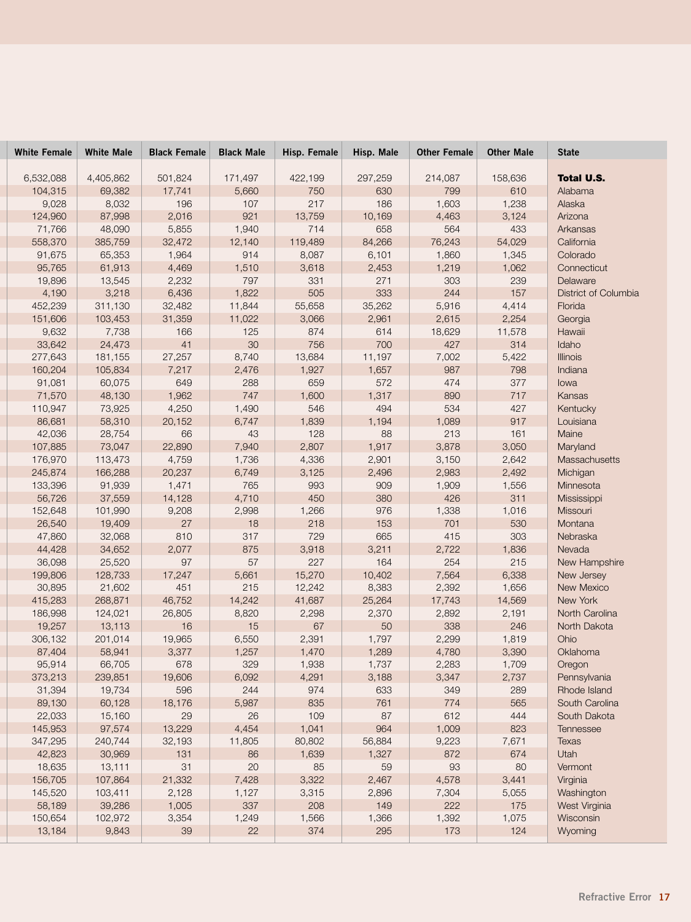| <b>White Female</b> | <b>White Male</b> | <b>Black Female</b> | <b>Black Male</b> | Hisp. Female | Hisp. Male | <b>Other Female</b> | <b>Other Male</b> | <b>State</b>         |
|---------------------|-------------------|---------------------|-------------------|--------------|------------|---------------------|-------------------|----------------------|
| 6,532,088           | 4,405,862         | 501,824             | 171,497           | 422,199      | 297,259    | 214,087             | 158,636           | <b>Total U.S.</b>    |
| 104,315             | 69,382            | 17,741              | 5,660             | 750          | 630        | 799                 | 610               | Alabama              |
| 9,028               | 8,032             | 196                 | 107               | 217          | 186        | 1,603               | 1,238             | Alaska               |
| 124,960             | 87,998            | 2,016               | 921               | 13,759       | 10,169     | 4,463               | 3,124             | Arizona              |
| 71,766              | 48,090            | 5,855               | 1,940             | 714          | 658        | 564                 | 433               | Arkansas             |
| 558,370             | 385,759           | 32,472              | 12,140            | 119,489      | 84,266     | 76,243              | 54,029            | California           |
| 91,675              | 65,353            | 1,964               | 914               | 8,087        | 6,101      | 1,860               | 1,345             | Colorado             |
| 95,765              | 61,913            | 4,469               | 1,510             | 3,618        | 2,453      | 1,219               | 1,062             | Connecticut          |
| 19,896              | 13,545            | 2,232               | 797               | 331          | 271        | 303                 | 239               | Delaware             |
| 4,190               | 3,218             | 6,436               | 1,822             | 505          | 333        | 244                 | 157               | District of Columbia |
| 452,239             | 311,130           | 32,482              | 11,844            | 55,658       | 35,262     | 5,916               | 4,414             | Florida              |
| 151,606             | 103,453           | 31,359              | 11,022            | 3,066        | 2,961      | 2,615               | 2,254             | Georgia              |
| 9,632               | 7,738             | 166                 | 125               | 874          | 614        | 18,629              | 11,578            | Hawaii               |
| 33,642              | 24,473            | 41                  | 30                | 756          | 700        | 427                 | 314               | Idaho                |
| 277,643             | 181,155           | 27,257              | 8,740             | 13,684       | 11,197     | 7,002               | 5,422             | <b>Illinois</b>      |
| 160,204             | 105,834           | 7,217               | 2,476             | 1,927        | 1,657      | 987                 | 798               | Indiana              |
| 91,081              | 60,075            | 649                 | 288               | 659          | 572        | 474                 | 377               | lowa                 |
| 71,570              | 48,130            | 1,962               | 747               | 1,600        | 1,317      | 890                 | 717               | Kansas               |
| 110,947             | 73,925            | 4,250               | 1,490             | 546          | 494        | 534                 | 427               | Kentucky             |
| 86,681              | 58,310            | 20,152              | 6,747             | 1,839        | 1,194      | 1,089               | 917               | Louisiana            |
| 42,036              | 28,754            | 66                  | 43                | 128          | 88         | 213                 | 161               | Maine                |
| 107,885             | 73,047            | 22,890              | 7,940             | 2,807        | 1,917      | 3,878               | 3,050             | Maryland             |
| 176,970             | 113,473           | 4,759               | 1,736             | 4,336        | 2,901      | 3,150               | 2,642             | Massachusetts        |
| 245,874             | 166,288           | 20,237              | 6,749             | 3,125        | 2,496      | 2,983               | 2,492             | Michigan             |
| 133,396             | 91,939            | 1,471               | 765               | 993          | 909        | 1,909               | 1,556             | Minnesota            |
| 56,726              | 37,559            | 14,128              | 4,710             | 450          | 380        | 426                 | 311               | Mississippi          |
| 152,648             | 101,990           | 9,208               | 2,998             | 1,266        | 976        | 1,338               | 1,016             | Missouri             |
| 26,540              | 19,409            | 27                  | 18                | 218          | 153        | 701                 | 530               | Montana              |
| 47,860              | 32,068            | 810                 | 317               | 729          | 665        | 415                 | 303               | Nebraska             |
| 44,428              | 34,652            | 2,077               | 875               | 3,918        | 3,211      | 2,722               | 1,836             | Nevada               |
| 36,098              | 25,520            | 97                  | 57                | 227          | 164        | 254                 | 215               | New Hampshire        |
| 199,806             | 128,733           | 17,247              | 5,661             | 15,270       | 10,402     | 7,564               | 6,338             | New Jersey           |
| 30,895              | 21,602            | 451                 | 215               | 12,242       | 8,383      | 2,392               | 1,656             | New Mexico           |
| 415,283             | 268,871           | 46,752              | 14,242            | 41,687       | 25,264     | 17,743              | 14,569            | New York             |
| 186,998             | 124,021           | 26,805              | 8,820             | 2,298        | 2,370      | 2,892               | 2,191             | North Carolina       |
| 19,257              | 13,113            | 16                  | 15                | 67           | 50         | 338                 | 246               | North Dakota         |
| 306,132             | 201,014           | 19,965              | 6,550             | 2,391        | 1,797      | 2,299               | 1,819             | Ohio                 |
| 87,404              | 58,941            | 3,377               | 1,257             | 1,470        | 1,289      | 4,780               | 3,390             | Oklahoma             |
| 95,914              | 66,705            | 678                 | 329               | 1,938        | 1,737      | 2,283               | 1,709             | Oregon               |
| 373,213             | 239,851           | 19,606              | 6,092             | 4,291        | 3,188      | 3,347               | 2,737             | Pennsylvania         |
| 31,394              | 19,734            | 596                 | 244               | 974          | 633        | 349                 | 289               | Rhode Island         |
| 89,130              | 60,128            | 18,176              | 5,987             | 835          | 761        | 774                 | 565               | South Carolina       |
| 22,033              | 15,160            | 29                  | 26                | 109          | 87         | 612                 | 444               | South Dakota         |
| 145,953             | 97,574            | 13,229              | 4,454             | 1,041        | 964        | 1,009               | 823               | Tennessee            |
| 347,295             | 240,744           | 32,193              | 11,805            | 80,802       | 56,884     | 9,223               | 7,671             | Texas                |
| 42,823              | 30,969            | 131                 | 86                | 1,639        | 1,327      | 872                 | 674               | Utah                 |
| 18,635              | 13,111            | 31                  | 20                | 85           | 59         | 93                  | 80                | Vermont              |
| 156,705             | 107,864           | 21,332              | 7,428             | 3,322        | 2,467      | 4,578               | 3,441             | Virginia             |
| 145,520             | 103,411           | 2,128               | 1,127             | 3,315        | 2,896      | 7,304               | 5,055             | Washington           |
| 58,189              | 39,286            | 1,005               | 337               | 208          | 149        | 222                 | 175               | West Virginia        |
| 150,654             | 102,972           | 3,354               | 1,249             | 1,566        | 1,366      | 1,392               | 1,075             | Wisconsin            |
| 13,184              | 9,843             | 39                  | 22                | 374          | 295        | 173                 | 124               | Wyoming              |
|                     |                   |                     |                   |              |            |                     |                   |                      |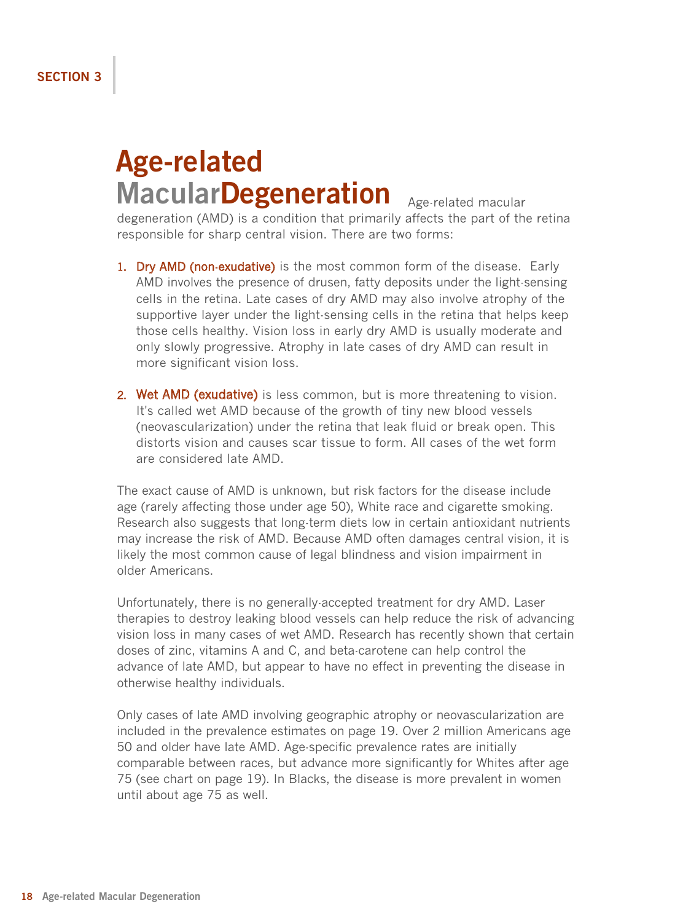#### **SECTION 3**

# **Age-related MacularDegeneration** Age-related macular

degeneration (AMD) is a condition that primarily affects the part of the retina responsible for sharp central vision. There are two forms:

- 1. Dry AMD (non-exudative) is the most common form of the disease. Early AMD involves the presence of drusen, fatty deposits under the light-sensing cells in the retina. Late cases of dry AMD may also involve atrophy of the supportive layer under the light-sensing cells in the retina that helps keep those cells healthy. Vision loss in early dry AMD is usually moderate and only slowly progressive. Atrophy in late cases of dry AMD can result in more significant vision loss.
- 2. Wet AMD (exudative) is less common, but is more threatening to vision. It's called wet AMD because of the growth of tiny new blood vessels (neovascularization) under the retina that leak fluid or break open. This distorts vision and causes scar tissue to form. All cases of the wet form are considered late AMD.

The exact cause of AMD is unknown, but risk factors for the disease include age (rarely affecting those under age 50), White race and cigarette smoking. Research also suggests that long-term diets low in certain antioxidant nutrients may increase the risk of AMD. Because AMD often damages central vision, it is likely the most common cause of legal blindness and vision impairment in older Americans.

Unfortunately, there is no generally-accepted treatment for dry AMD. Laser therapies to destroy leaking blood vessels can help reduce the risk of advancing vision loss in many cases of wet AMD. Research has recently shown that certain doses of zinc, vitamins A and C, and beta-carotene can help control the advance of late AMD, but appear to have no effect in preventing the disease in otherwise healthy individuals.

Only cases of late AMD involving geographic atrophy or neovascularization are included in the prevalence estimates on page 19. Over 2 million Americans age 50 and older have late AMD. Age-specific prevalence rates are initially comparable between races, but advance more significantly for Whites after age 75 (see chart on page 19). In Blacks, the disease is more prevalent in women until about age 75 as well.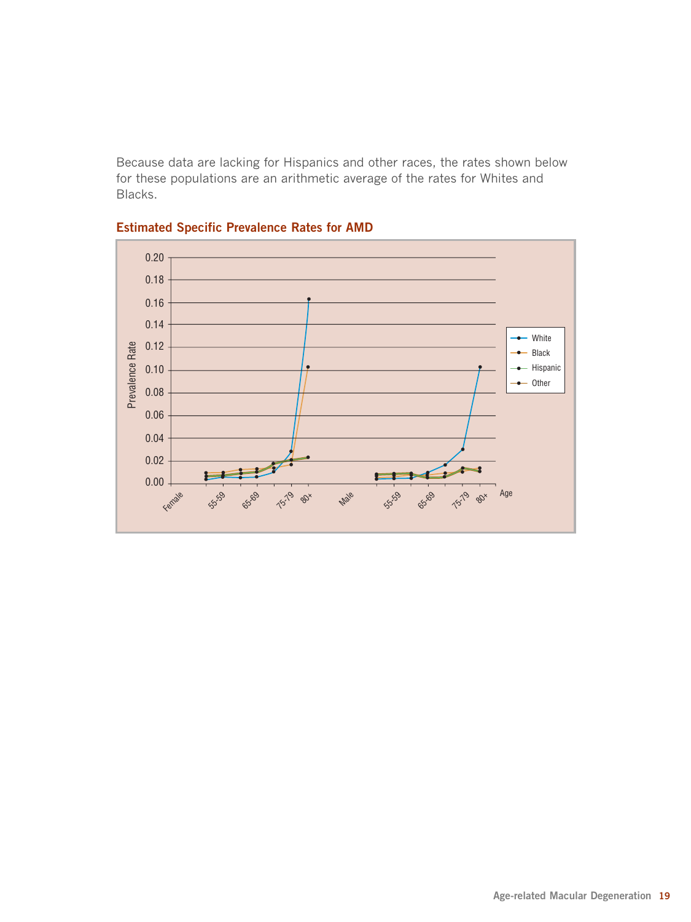Because data are lacking for Hispanics and other races, the rates shown below for these populations are an arithmetic average of the rates for Whites and Blacks.



#### **Estimated Specific Prevalence Rates for AMD**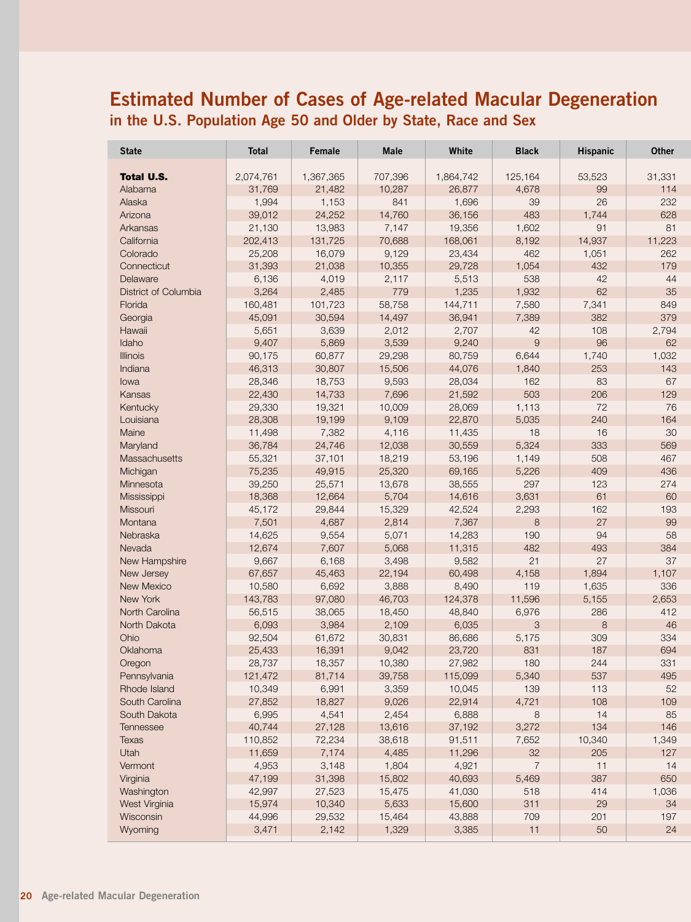#### **Estimated Number of Cases of Age-related Macular Degeneration in the U.S. Population Age 50 and Older by State, Race and Sex**

| <b>State</b>         | <b>Total</b> | <b>Female</b> | <b>Male</b> | White     | <b>Black</b>              | <b>Hispanic</b> | <b>Other</b> |
|----------------------|--------------|---------------|-------------|-----------|---------------------------|-----------------|--------------|
| <b>Total U.S.</b>    | 2,074,761    | 1,367,365     | 707,396     | 1,864,742 | 125,164                   | 53,523          | 31,331       |
| Alabama              | 31,769       | 21,482        | 10,287      | 26,877    | 4,678                     | 99              | 114          |
| Alaska               | 1,994        | 1,153         | 841         | 1,696     | 39                        | 26              | 232          |
| Arizona              | 39,012       | 24,252        | 14,760      | 36,156    | 483                       | 1,744           | 628          |
| Arkansas             | 21,130       | 13,983        | 7,147       | 19,356    | 1,602                     | 91              | 81           |
| California           | 202,413      | 131,725       | 70,688      | 168,061   | 8,192                     | 14,937          | 11,223       |
| Colorado             | 25,208       | 16,079        | 9,129       | 23,434    | 462                       | 1,051           | 262          |
| Connecticut          | 31,393       | 21,038        | 10,355      | 29,728    | 1,054                     | 432             | 179          |
| Delaware             | 6,136        | 4,019         | 2,117       | 5,513     | 538                       | 42              | 44           |
| District of Columbia | 3,264        | 2,485         | 779         | 1,235     | 1,932                     | 62              | 35           |
| Florida              | 160,481      | 101,723       | 58,758      | 144,711   | 7,580                     | 7,341           | 849          |
| Georgia              | 45,091       | 30,594        | 14,497      | 36,941    | 7,389                     | 382             | 379          |
| Hawaii               | 5,651        | 3,639         | 2,012       | 2,707     | 42                        | 108             | 2,794        |
| Idaho                | 9,407        | 5,869         | 3,539       | 9,240     | $\overline{9}$            | 96              | 62           |
| <b>Illinois</b>      | 90,175       | 60,877        | 29,298      | 80,759    | 6,644                     | 1,740           | 1,032        |
| Indiana              | 46,313       | 30,807        | 15,506      | 44,076    | 1,840                     | 253             | 143          |
| lowa                 | 28,346       | 18,753        | 9,593       | 28,034    | 162                       | 83              | 67           |
| Kansas               | 22,430       | 14,733        | 7,696       | 21,592    | 503                       | 206             | 129          |
| Kentucky             | 29,330       | 19,321        | 10,009      | 28,069    | 1,113                     | 72              | 76           |
| Louisiana            | 28,308       | 19,199        | 9,109       | 22,870    | 5,035                     | 240             | 164          |
| Maine                | 11,498       | 7,382         | 4,116       | 11,435    | 18                        | 16              | 30           |
| Maryland             | 36,784       | 24,746        | 12,038      | 30,559    | 5,324                     | 333             | 569          |
| Massachusetts        | 55,321       | 37,101        | 18,219      | 53,196    | 1,149                     | 508             | 467          |
| Michigan             | 75,235       | 49,915        | 25,320      | 69,165    | 5,226                     | 409             | 436          |
| Minnesota            | 39,250       | 25,571        | 13,678      | 38,555    | 297                       | 123             | 274          |
| Mississippi          | 18,368       | 12,664        | 5,704       | 14,616    | 3,631                     | 61              | 60           |
| Missouri             | 45,172       | 29,844        | 15,329      | 42,524    | 2,293                     | 162             | 193          |
| Montana              | 7,501        | 4,687         | 2,814       | 7,367     | 8                         | 27              | 99           |
| Nebraska             | 14,625       | 9,554         | 5,071       | 14,283    | 190                       | 94              | 58           |
| Nevada               | 12,674       | 7,607         | 5,068       | 11,315    | 482                       | 493             | 384          |
| New Hampshire        | 9,667        | 6,168         | 3,498       | 9,582     | 21                        | 27              | 37           |
| New Jersey           | 67,657       | 45,463        | 22,194      | 60,498    | 4,158                     | 1,894           | 1,107        |
| New Mexico           | 10,580       | 6,692         | 3,888       | 8,490     | 119                       | 1,635           | 336          |
| New York             | 143,783      | 97,080        | 46,703      | 124,378   | 11,596                    | 5,155           | 2,653        |
| North Carolina       | 56,515       | 38,065        | 18,450      | 48,840    | 6,976                     | 286             | 412          |
| North Dakota         | 6,093        | 3,984         | 2,109       | 6,035     | $\ensuremath{\mathsf{3}}$ | $\mathbf{8}$    | 46           |
| Ohio                 | 92,504       | 61,672        | 30,831      | 86,686    | 5,175                     | 309             | 334          |
| Oklahoma             | 25,433       | 16,391        | 9,042       | 23,720    | 831                       | 187             | 694          |
| Oregon               | 28,737       | 18,357        | 10,380      | 27,982    | 180                       | 244             | 331          |
| Pennsylvania         | 121,472      | 81,714        | 39,758      | 115,099   | 5,340                     | 537             | 495          |
| Rhode Island         | 10,349       | 6,991         | 3,359       | 10,045    | 139                       | 113             | 52           |
| South Carolina       | 27,852       | 18,827        | 9,026       | 22,914    | 4,721                     | 108             | 109          |
| South Dakota         | 6,995        | 4,541         | 2,454       | 6,888     | 8                         | 14              | 85           |
| Tennessee            | 40,744       | 27,128        | 13,616      | 37,192    | 3,272                     | 134             | 146          |
| <b>Texas</b>         | 110,852      | 72,234        | 38,618      | 91,511    | 7,652                     | 10,340          | 1,349        |
| Utah                 | 11,659       | 7,174         | 4,485       | 11,296    | 32                        | 205             | 127          |
| Vermont              | 4,953        | 3,148         | 1,804       | 4,921     | $\overline{7}$            | 11              | 14           |
| Virginia             | 47,199       | 31,398        | 15,802      | 40,693    | 5,469                     | 387             | 650          |
| Washington           | 42,997       | 27,523        | 15,475      | 41,030    | 518                       | 414             | 1,036        |
| West Virginia        | 15,974       | 10,340        | 5,633       | 15,600    | 311                       | 29              | 34           |
| Wisconsin            | 44,996       | 29,532        | 15,464      | 43,888    | 709                       | 201             | 197          |
| Wyoming              | 3,471        | 2,142         | 1,329       | 3,385     | 11                        | 50              | 24           |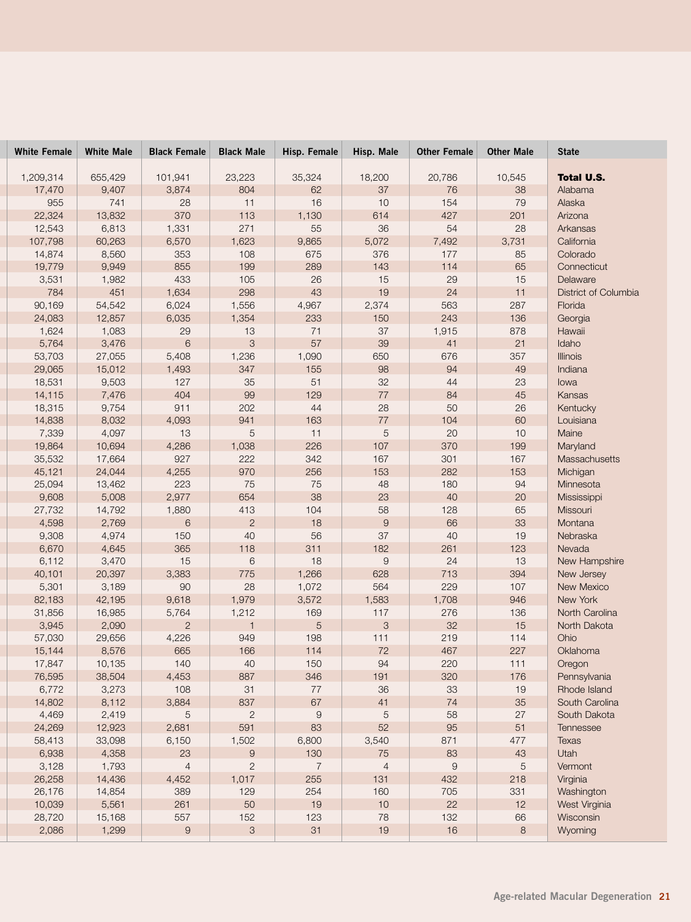| <b>White Female</b> | <b>White Male</b> | <b>Black Female</b> | <b>Black Male</b> | Hisp. Female   | Hisp. Male                | <b>Other Female</b> | <b>Other Male</b> | <b>State</b>         |
|---------------------|-------------------|---------------------|-------------------|----------------|---------------------------|---------------------|-------------------|----------------------|
| 1,209,314           | 655,429           | 101,941             | 23,223            | 35,324         | 18,200                    | 20,786              | 10,545            | <b>Total U.S.</b>    |
| 17,470              | 9,407             | 3,874               | 804               | 62             | 37                        | 76                  | 38                | Alabama              |
| 955                 | 741               | 28                  | 11                | 16             | 10                        | 154                 | 79                | Alaska               |
| 22,324              | 13,832            | 370                 | 113               | 1,130          | 614                       | 427                 | 201               | Arizona              |
| 12,543              | 6,813             | 1,331               | 271               | 55             | 36                        | 54                  | 28                | Arkansas             |
| 107,798             | 60,263            | 6,570               | 1,623             | 9,865          | 5,072                     | 7,492               | 3,731             | California           |
| 14,874              | 8,560             | 353                 | 108               | 675            | 376                       | 177                 | 85                | Colorado             |
| 19,779              | 9,949             | 855                 | 199               | 289            | 143                       | 114                 | 65                | Connecticut          |
| 3,531               | 1,982             | 433                 | 105               | 26             | 15                        | 29                  | 15                | Delaware             |
| 784                 | 451               | 1,634               | 298               | 43             | 19                        | 24                  | 11                | District of Columbia |
| 90,169              | 54,542            | 6,024               | 1,556             | 4,967          | 2,374                     | 563                 | 287               | Florida              |
| 24,083              | 12,857            | 6,035               | 1,354             | 233            | 150                       | 243                 | 136               | Georgia              |
| 1,624               | 1,083             | 29                  | 13                | 71             | 37                        | 1,915               | 878               | Hawaii               |
| 5,764               | 3,476             | $\,6\,$             | $\sqrt{3}$        | 57             | 39                        | 41                  | 21                | Idaho                |
| 53,703              | 27,055            | 5,408               | 1,236             | 1,090          | 650                       | 676                 | 357               | <b>Illinois</b>      |
|                     | 15,012            |                     | 347               | 155            | 98                        | 94                  | 49                | Indiana              |
| 29,065              | 9,503             | 1,493<br>127        | 35                | 51             | 32                        |                     |                   |                      |
| 18,531              |                   |                     |                   | 129            | 77                        | 44<br>84            | 23<br>45          | lowa                 |
| 14,115              | 7,476             | 404                 | 99                |                |                           |                     |                   | Kansas               |
| 18,315              | 9,754             | 911                 | 202               | 44             | 28                        | 50                  | 26                | Kentucky             |
| 14,838              | 8,032             | 4,093               | 941               | 163            | 77                        | 104                 | 60                | Louisiana            |
| 7,339               | 4,097             | 13                  | $\sqrt{5}$        | 11             | 5                         | 20                  | 10                | Maine                |
| 19,864              | 10,694            | 4,286               | 1,038             | 226            | 107                       | 370                 | 199               | Maryland             |
| 35,532              | 17,664            | 927                 | 222               | 342            | 167                       | 301                 | 167               | Massachusetts        |
| 45,121              | 24,044            | 4,255               | 970               | 256            | 153                       | 282                 | 153               | Michigan             |
| 25,094              | 13,462            | 223                 | 75                | 75             | 48                        | 180                 | 94                | Minnesota            |
| 9,608               | 5,008             | 2,977               | 654               | 38             | 23                        | 40                  | 20                | Mississippi          |
| 27,732              | 14,792            | 1,880               | 413               | 104            | 58                        | 128                 | 65                | Missouri             |
| 4,598               | 2,769             | $6\,$               | $\mathbf{2}$      | 18             | 9                         | 66                  | 33                | Montana              |
| 9,308               | 4,974             | 150                 | 40                | 56             | 37                        | 40                  | 19                | Nebraska             |
| 6,670               | 4,645             | 365                 | 118               | 311            | 182                       | 261                 | 123               | Nevada               |
| 6,112               | 3,470             | 15                  | $\,6$             | 18             | $\overline{9}$            | 24                  | 13                | New Hampshire        |
| 40,101              | 20,397            | 3,383               | 775               | 1,266          | 628                       | 713                 | 394               | New Jersey           |
| 5,301               | 3,189             | 90                  | 28                | 1,072          | 564                       | 229                 | 107               | New Mexico           |
| 82,183              | 42,195            | 9,618               | 1,979             | 3,572          | 1,583                     | 1,708               | 946               | New York             |
| 31,856              | 16,985            | 5,764               | 1,212             | 169            | 117                       | 276                 | 136               | North Carolina       |
| 3,945               | 2,090             | $\mathbf{2}$        | $\mathbf{1}$      | $\sqrt{5}$     | $\ensuremath{\mathsf{3}}$ | 32                  | 15                | North Dakota         |
| 57,030              | 29,656            | 4,226               | 949               | 198            | 111                       | 219                 | 114               | Ohio                 |
| 15,144              | 8,576             | 665                 | 166               | 114            | 72                        | 467                 | 227               | Oklahoma             |
| 17,847              | 10,135            | 140                 | 40                | 150            | 94                        | 220                 | 111               | Oregon               |
| 76,595              | 38,504            | 4,453               | 887               | 346            | 191                       | 320                 | 176               | Pennsylvania         |
| 6,772               | 3,273             | 108                 | 31                | $77\,$         | 36                        | 33                  | 19                | Rhode Island         |
| 14,802              | 8,112             | 3,884               | 837               | 67             | 41                        | 74                  | 35                | South Carolina       |
| 4,469               | 2,419             | 5                   | $\sqrt{2}$        | 9              | $\sqrt{5}$                | 58                  | 27                | South Dakota         |
| 24,269              | 12,923            | 2,681               | 591               | 83             | 52                        | 95                  | 51                | <b>Tennessee</b>     |
| 58,413              | 33,098            | 6,150               | 1,502             | 6,800          | 3,540                     | 871                 | 477               | <b>Texas</b>         |
| 6,938               | 4,358             | 23                  | $\boldsymbol{9}$  | 130            | 75                        | 83                  | 43                | Utah                 |
| 3,128               | 1,793             | $\overline{4}$      | $\overline{2}$    | $\overline{7}$ | $\overline{4}$            | $\Theta$            | 5                 | Vermont              |
| 26,258              | 14,436            | 4,452               | 1,017             | 255            | 131                       | 432                 | 218               | Virginia             |
| 26,176              | 14,854            | 389                 | 129               | 254            | 160                       | 705                 | 331               | Washington           |
| 10,039              | 5,561             | 261                 | 50                | 19             | $10$                      | 22                  | 12                | West Virginia        |
| 28,720              | 15,168            | 557                 | 152               | 123            | 78                        | 132                 | 66                | Wisconsin            |
| 2,086               | 1,299             | $\boldsymbol{9}$    | $\sqrt{3}$        | 31             | 19                        | 16                  | $\,8\,$           | Wyoming              |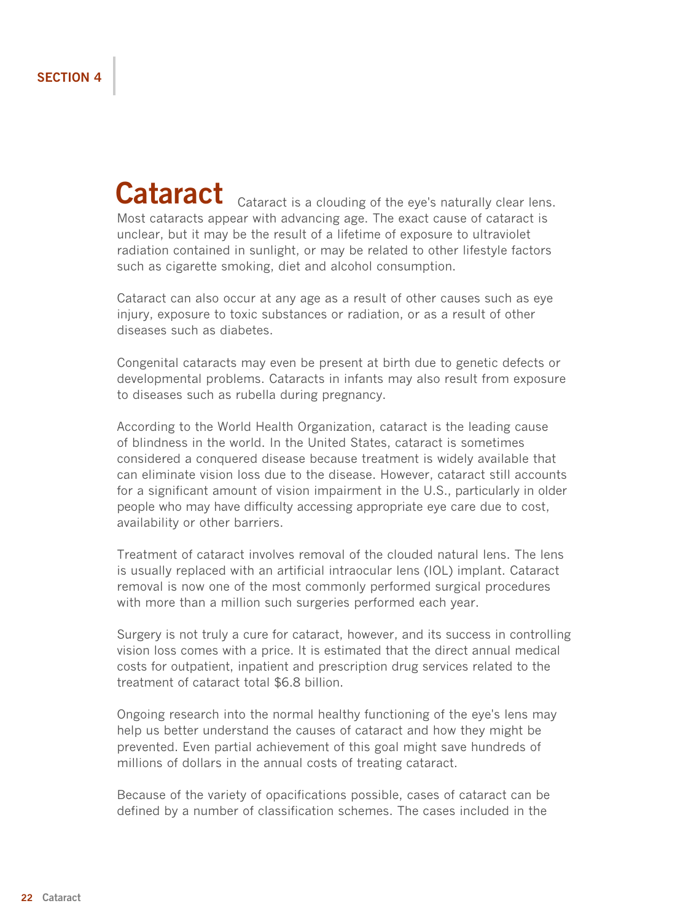#### Cataract is a clouding of the eye's naturally clear lens. Most cataracts appear with advancing age. The exact cause of cataract is unclear, but it may be the result of a lifetime of exposure to ultraviolet radiation contained in sunlight, or may be related to other lifestyle factors such as cigarette smoking, diet and alcohol consumption. **Cataract**

Cataract can also occur at any age as a result of other causes such as eye injury, exposure to toxic substances or radiation, or as a result of other diseases such as diabetes.

Congenital cataracts may even be present at birth due to genetic defects or developmental problems. Cataracts in infants may also result from exposure to diseases such as rubella during pregnancy.

According to the World Health Organization, cataract is the leading cause of blindness in the world. In the United States, cataract is sometimes considered a conquered disease because treatment is widely available that can eliminate vision loss due to the disease. However, cataract still accounts for a significant amount of vision impairment in the U.S., particularly in older people who may have difficulty accessing appropriate eye care due to cost, availability or other barriers.

Treatment of cataract involves removal of the clouded natural lens. The lens is usually replaced with an artificial intraocular lens (IOL) implant. Cataract removal is now one of the most commonly performed surgical procedures with more than a million such surgeries performed each year.

Surgery is not truly a cure for cataract, however, and its success in controlling vision loss comes with a price. It is estimated that the direct annual medical costs for outpatient, inpatient and prescription drug services related to the treatment of cataract total \$6.8 billion.

Ongoing research into the normal healthy functioning of the eye's lens may help us better understand the causes of cataract and how they might be prevented. Even partial achievement of this goal might save hundreds of millions of dollars in the annual costs of treating cataract.

Because of the variety of opacifications possible, cases of cataract can be defined by a number of classification schemes. The cases included in the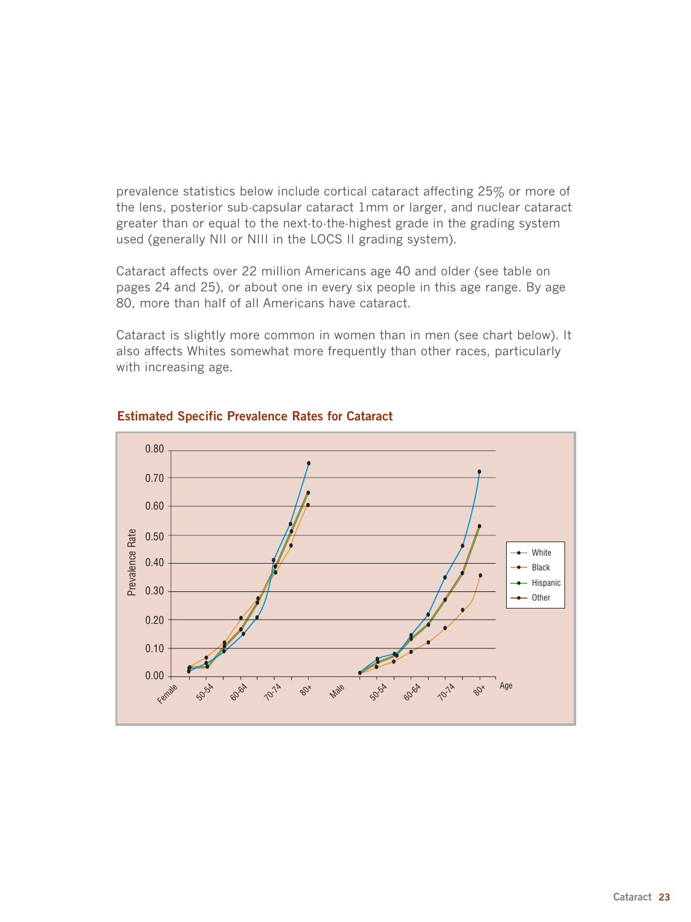prevalence statistics below include cortical cataract affecting 25% or more of the lens, posterior sub-capsular cataract 1mm or larger, and nuclear cataract greater than or equal to the next-to-the-highest grade in the grading system used (generally NII or NIII in the LOCS II grading system).

Cataract affects over 22 million Americans age 40 and older (see table on pages 24 and 25), or about one in every six people in this age range. By age 80, more than half of all Americans have cataract.

Cataract is slightly more common in women than in men (see chart below). It also affects Whites somewhat more frequently than other races, particularly with increasing age.



#### **Estimated Specific Prevalence Rates for Cataract**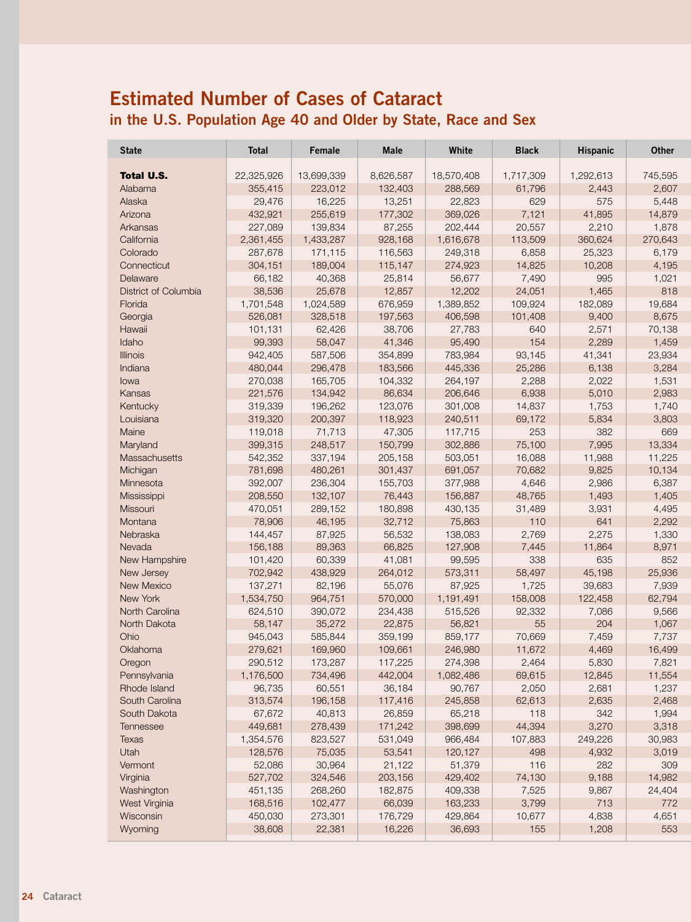#### **Estimated Number of Cases of Cataract**

#### **in the U.S. Population Age 40 and Older by State, Race and Sex**

| <b>Total U.S.</b><br>22,325,926<br>13,699,339<br>8,626,587<br>18,570,408<br>1,717,309<br>1,292,613<br>745,595<br>355,415<br>223,012<br>132,403<br>288,569<br>61,796<br>2,443<br>2,607<br>Alabama<br>29,476<br>16,225<br>13,251<br>22,823<br>629<br>575<br>5,448<br>Alaska<br>7,121<br>14,879<br>432,921<br>255,619<br>177,302<br>369,026<br>41,895<br>Arizona<br>227,089<br>139,834<br>87,255<br>202,444<br>20,557<br>2,210<br>1,878<br>Arkansas<br>California<br>2,361,455<br>1,433,287<br>928,168<br>1,616,678<br>113,509<br>360,624<br>270,643<br>Colorado<br>287,678<br>171,115<br>116,563<br>249,318<br>6,858<br>25,323<br>6,179<br>4,195<br>304,151<br>189,004<br>115,147<br>274,923<br>14,825<br>10,208<br>Connecticut<br>66,182<br>40,368<br>25,814<br>56,677<br>7,490<br>995<br>1,021<br>Delaware<br>25,678<br>12,857<br>12,202<br>1,465<br>818<br>District of Columbia<br>38,536<br>24,051<br>1,701,548<br>182,089<br>Florida<br>1,024,589<br>676,959<br>1,389,852<br>109,924<br>19,684<br>8,675<br>526,081<br>328,518<br>197,563<br>406,598<br>101,408<br>9,400<br>Georgia<br>101,131<br>62,426<br>38,706<br>27,783<br>640<br>2,571<br>70,138<br>Hawaii<br>95,490<br>154<br>2,289<br>1,459<br>Idaho<br>99,393<br>58,047<br>41,346<br>23,934<br>942,405<br>587,506<br>354,899<br>783,984<br>93,145<br>41,341<br><b>Illinois</b><br>445,336<br>25,286<br>6,138<br>3,284<br>Indiana<br>480,044<br>296,478<br>183,566<br>270,038<br>165,705<br>104,332<br>264,197<br>2,288<br>2,022<br>1,531<br>lowa<br>5,010<br>2,983<br>221,576<br>134,942<br>86,634<br>206,646<br>6,938<br>Kansas<br>1,740<br>319,339<br>196,262<br>123,076<br>301,008<br>14,837<br>1,753<br>Kentucky<br>319,320<br>200,397<br>118,923<br>240,511<br>69,172<br>5,834<br>3,803<br>Louisiana<br>71,713<br>Maine<br>119,018<br>47,305<br>117,715<br>253<br>382<br>669<br>399,315<br>248,517<br>150,799<br>302,886<br>75,100<br>7,995<br>13,334<br>Maryland<br>542,352<br>337,194<br>205,158<br>503,051<br>16,088<br>11,988<br>11,225<br>Massachusetts<br>9,825<br>781,698<br>480,261<br>301,437<br>691,057<br>70,682<br>10,134<br>Michigan<br>Minnesota<br>392,007<br>236,304<br>155,703<br>377,988<br>4,646<br>2,986<br>6,387<br>1,493<br>208,550<br>132,107<br>76,443<br>156,887<br>48,765<br>1,405<br>Mississippi<br>Missouri<br>470,051<br>289,152<br>180,898<br>430,135<br>31,489<br>3,931<br>4,495<br>32,712<br>110<br>641<br>2,292<br>78,906<br>46,195<br>75,863<br>Montana<br>144,457<br>87,925<br>56,532<br>138,083<br>2,275<br>1,330<br>Nebraska<br>2,769<br>Nevada<br>156,188<br>89,363<br>66,825<br>127,908<br>7,445<br>11,864<br>8,971<br>New Hampshire<br>101,420<br>60,339<br>41,081<br>99,595<br>338<br>635<br>852<br>702,942<br>438,929<br>264,012<br>573,311<br>58,497<br>45,198<br>25,936<br>New Jersey<br>New Mexico<br>137,271<br>82,196<br>55,076<br>87,925<br>1,725<br>39,683<br>7,939<br>New York<br>1,534,750<br>964,751<br>570,000<br>1,191,491<br>158,008<br>122,458<br>62,794<br>North Carolina<br>624,510<br>234,438<br>92,332<br>7,086<br>9,566<br>390,072<br>515,526<br>North Dakota<br>58,147<br>22,875<br>56,821<br>55<br>204<br>1,067<br>35,272<br>Ohio<br>945,043<br>585,844<br>359,199<br>859,177<br>70,669<br>7,459<br>7,737<br>11,672<br>4,469<br>Oklahoma<br>279,621<br>169,960<br>109,661<br>246,980<br>16,499<br>290,512<br>173,287<br>117,225<br>274,398<br>2,464<br>5,830<br>7,821<br>Oregon<br>1,176,500<br>734,496<br>442,004<br>1,082,486<br>69,615<br>12,845<br>11,554<br>Pennsylvania<br>96,735<br>60,551<br>36,184<br>90,767<br>2,050<br>2,681<br>1,237<br>Rhode Island<br>South Carolina<br>313,574<br>196,158<br>117,416<br>245,858<br>62,613<br>2,635<br>2,468<br>67,672<br>40,813<br>26,859<br>65,218<br>118<br>342<br>1,994<br>South Dakota<br>171,242<br>3,318<br>449,681<br>278,439<br>398,699<br>44,394<br>3,270<br>Tennessee<br>1,354,576<br>823,527<br>531,049<br>966,484<br>249,226<br>30,983<br><b>Texas</b><br>107,883<br>Utah<br>128,576<br>75,035<br>53,541<br>120,127<br>498<br>4,932<br>3,019<br>21,122<br>116<br>52,086<br>30,964<br>51,379<br>282<br>309<br>Vermont<br>527,702<br>324,546<br>203,156<br>429,402<br>74,130<br>9,188<br>14,982<br>Virginia<br>Washington<br>451,135<br>268,260<br>182,875<br>409,338<br>7,525<br>9,867<br>24,404<br>713<br>168,516<br>102,477<br>66,039<br>163,233<br>3,799<br>772<br>West Virginia<br>Wisconsin<br>450,030<br>273,301<br>176,729<br>429,864<br>10,677<br>4,838<br>4,651<br>Wyoming<br>38,608<br>22,381<br>16,226<br>36,693<br>155<br>1,208<br>553 | <b>State</b> | <b>Total</b> | <b>Female</b> | <b>Male</b> | White | <b>Black</b> | <b>Hispanic</b> | <b>Other</b> |
|---------------------------------------------------------------------------------------------------------------------------------------------------------------------------------------------------------------------------------------------------------------------------------------------------------------------------------------------------------------------------------------------------------------------------------------------------------------------------------------------------------------------------------------------------------------------------------------------------------------------------------------------------------------------------------------------------------------------------------------------------------------------------------------------------------------------------------------------------------------------------------------------------------------------------------------------------------------------------------------------------------------------------------------------------------------------------------------------------------------------------------------------------------------------------------------------------------------------------------------------------------------------------------------------------------------------------------------------------------------------------------------------------------------------------------------------------------------------------------------------------------------------------------------------------------------------------------------------------------------------------------------------------------------------------------------------------------------------------------------------------------------------------------------------------------------------------------------------------------------------------------------------------------------------------------------------------------------------------------------------------------------------------------------------------------------------------------------------------------------------------------------------------------------------------------------------------------------------------------------------------------------------------------------------------------------------------------------------------------------------------------------------------------------------------------------------------------------------------------------------------------------------------------------------------------------------------------------------------------------------------------------------------------------------------------------------------------------------------------------------------------------------------------------------------------------------------------------------------------------------------------------------------------------------------------------------------------------------------------------------------------------------------------------------------------------------------------------------------------------------------------------------------------------------------------------------------------------------------------------------------------------------------------------------------------------------------------------------------------------------------------------------------------------------------------------------------------------------------------------------------------------------------------------------------------------------------------------------------------------------------------------------------------------------------------------------------------------------------------------------------------------------------------------------------------------------------------------------------------------------------------------------------------------------------------------------------------------------------------------------------------------------------------------------------------------------------------------------------------------------------------------------------------------------------------------------------------------------------------------------------------------------------------------------------------------------------------------------------------------------------------------------------------------------------------------------------------------------------------------------------------------------------------------------|--------------|--------------|---------------|-------------|-------|--------------|-----------------|--------------|
|                                                                                                                                                                                                                                                                                                                                                                                                                                                                                                                                                                                                                                                                                                                                                                                                                                                                                                                                                                                                                                                                                                                                                                                                                                                                                                                                                                                                                                                                                                                                                                                                                                                                                                                                                                                                                                                                                                                                                                                                                                                                                                                                                                                                                                                                                                                                                                                                                                                                                                                                                                                                                                                                                                                                                                                                                                                                                                                                                                                                                                                                                                                                                                                                                                                                                                                                                                                                                                                                                                                                                                                                                                                                                                                                                                                                                                                                                                                                                                                                                                                                                                                                                                                                                                                                                                                                                                                                                                                                                                                                             |              |              |               |             |       |              |                 |              |
|                                                                                                                                                                                                                                                                                                                                                                                                                                                                                                                                                                                                                                                                                                                                                                                                                                                                                                                                                                                                                                                                                                                                                                                                                                                                                                                                                                                                                                                                                                                                                                                                                                                                                                                                                                                                                                                                                                                                                                                                                                                                                                                                                                                                                                                                                                                                                                                                                                                                                                                                                                                                                                                                                                                                                                                                                                                                                                                                                                                                                                                                                                                                                                                                                                                                                                                                                                                                                                                                                                                                                                                                                                                                                                                                                                                                                                                                                                                                                                                                                                                                                                                                                                                                                                                                                                                                                                                                                                                                                                                                             |              |              |               |             |       |              |                 |              |
|                                                                                                                                                                                                                                                                                                                                                                                                                                                                                                                                                                                                                                                                                                                                                                                                                                                                                                                                                                                                                                                                                                                                                                                                                                                                                                                                                                                                                                                                                                                                                                                                                                                                                                                                                                                                                                                                                                                                                                                                                                                                                                                                                                                                                                                                                                                                                                                                                                                                                                                                                                                                                                                                                                                                                                                                                                                                                                                                                                                                                                                                                                                                                                                                                                                                                                                                                                                                                                                                                                                                                                                                                                                                                                                                                                                                                                                                                                                                                                                                                                                                                                                                                                                                                                                                                                                                                                                                                                                                                                                                             |              |              |               |             |       |              |                 |              |
|                                                                                                                                                                                                                                                                                                                                                                                                                                                                                                                                                                                                                                                                                                                                                                                                                                                                                                                                                                                                                                                                                                                                                                                                                                                                                                                                                                                                                                                                                                                                                                                                                                                                                                                                                                                                                                                                                                                                                                                                                                                                                                                                                                                                                                                                                                                                                                                                                                                                                                                                                                                                                                                                                                                                                                                                                                                                                                                                                                                                                                                                                                                                                                                                                                                                                                                                                                                                                                                                                                                                                                                                                                                                                                                                                                                                                                                                                                                                                                                                                                                                                                                                                                                                                                                                                                                                                                                                                                                                                                                                             |              |              |               |             |       |              |                 |              |
|                                                                                                                                                                                                                                                                                                                                                                                                                                                                                                                                                                                                                                                                                                                                                                                                                                                                                                                                                                                                                                                                                                                                                                                                                                                                                                                                                                                                                                                                                                                                                                                                                                                                                                                                                                                                                                                                                                                                                                                                                                                                                                                                                                                                                                                                                                                                                                                                                                                                                                                                                                                                                                                                                                                                                                                                                                                                                                                                                                                                                                                                                                                                                                                                                                                                                                                                                                                                                                                                                                                                                                                                                                                                                                                                                                                                                                                                                                                                                                                                                                                                                                                                                                                                                                                                                                                                                                                                                                                                                                                                             |              |              |               |             |       |              |                 |              |
|                                                                                                                                                                                                                                                                                                                                                                                                                                                                                                                                                                                                                                                                                                                                                                                                                                                                                                                                                                                                                                                                                                                                                                                                                                                                                                                                                                                                                                                                                                                                                                                                                                                                                                                                                                                                                                                                                                                                                                                                                                                                                                                                                                                                                                                                                                                                                                                                                                                                                                                                                                                                                                                                                                                                                                                                                                                                                                                                                                                                                                                                                                                                                                                                                                                                                                                                                                                                                                                                                                                                                                                                                                                                                                                                                                                                                                                                                                                                                                                                                                                                                                                                                                                                                                                                                                                                                                                                                                                                                                                                             |              |              |               |             |       |              |                 |              |
|                                                                                                                                                                                                                                                                                                                                                                                                                                                                                                                                                                                                                                                                                                                                                                                                                                                                                                                                                                                                                                                                                                                                                                                                                                                                                                                                                                                                                                                                                                                                                                                                                                                                                                                                                                                                                                                                                                                                                                                                                                                                                                                                                                                                                                                                                                                                                                                                                                                                                                                                                                                                                                                                                                                                                                                                                                                                                                                                                                                                                                                                                                                                                                                                                                                                                                                                                                                                                                                                                                                                                                                                                                                                                                                                                                                                                                                                                                                                                                                                                                                                                                                                                                                                                                                                                                                                                                                                                                                                                                                                             |              |              |               |             |       |              |                 |              |
|                                                                                                                                                                                                                                                                                                                                                                                                                                                                                                                                                                                                                                                                                                                                                                                                                                                                                                                                                                                                                                                                                                                                                                                                                                                                                                                                                                                                                                                                                                                                                                                                                                                                                                                                                                                                                                                                                                                                                                                                                                                                                                                                                                                                                                                                                                                                                                                                                                                                                                                                                                                                                                                                                                                                                                                                                                                                                                                                                                                                                                                                                                                                                                                                                                                                                                                                                                                                                                                                                                                                                                                                                                                                                                                                                                                                                                                                                                                                                                                                                                                                                                                                                                                                                                                                                                                                                                                                                                                                                                                                             |              |              |               |             |       |              |                 |              |
|                                                                                                                                                                                                                                                                                                                                                                                                                                                                                                                                                                                                                                                                                                                                                                                                                                                                                                                                                                                                                                                                                                                                                                                                                                                                                                                                                                                                                                                                                                                                                                                                                                                                                                                                                                                                                                                                                                                                                                                                                                                                                                                                                                                                                                                                                                                                                                                                                                                                                                                                                                                                                                                                                                                                                                                                                                                                                                                                                                                                                                                                                                                                                                                                                                                                                                                                                                                                                                                                                                                                                                                                                                                                                                                                                                                                                                                                                                                                                                                                                                                                                                                                                                                                                                                                                                                                                                                                                                                                                                                                             |              |              |               |             |       |              |                 |              |
|                                                                                                                                                                                                                                                                                                                                                                                                                                                                                                                                                                                                                                                                                                                                                                                                                                                                                                                                                                                                                                                                                                                                                                                                                                                                                                                                                                                                                                                                                                                                                                                                                                                                                                                                                                                                                                                                                                                                                                                                                                                                                                                                                                                                                                                                                                                                                                                                                                                                                                                                                                                                                                                                                                                                                                                                                                                                                                                                                                                                                                                                                                                                                                                                                                                                                                                                                                                                                                                                                                                                                                                                                                                                                                                                                                                                                                                                                                                                                                                                                                                                                                                                                                                                                                                                                                                                                                                                                                                                                                                                             |              |              |               |             |       |              |                 |              |
|                                                                                                                                                                                                                                                                                                                                                                                                                                                                                                                                                                                                                                                                                                                                                                                                                                                                                                                                                                                                                                                                                                                                                                                                                                                                                                                                                                                                                                                                                                                                                                                                                                                                                                                                                                                                                                                                                                                                                                                                                                                                                                                                                                                                                                                                                                                                                                                                                                                                                                                                                                                                                                                                                                                                                                                                                                                                                                                                                                                                                                                                                                                                                                                                                                                                                                                                                                                                                                                                                                                                                                                                                                                                                                                                                                                                                                                                                                                                                                                                                                                                                                                                                                                                                                                                                                                                                                                                                                                                                                                                             |              |              |               |             |       |              |                 |              |
|                                                                                                                                                                                                                                                                                                                                                                                                                                                                                                                                                                                                                                                                                                                                                                                                                                                                                                                                                                                                                                                                                                                                                                                                                                                                                                                                                                                                                                                                                                                                                                                                                                                                                                                                                                                                                                                                                                                                                                                                                                                                                                                                                                                                                                                                                                                                                                                                                                                                                                                                                                                                                                                                                                                                                                                                                                                                                                                                                                                                                                                                                                                                                                                                                                                                                                                                                                                                                                                                                                                                                                                                                                                                                                                                                                                                                                                                                                                                                                                                                                                                                                                                                                                                                                                                                                                                                                                                                                                                                                                                             |              |              |               |             |       |              |                 |              |
|                                                                                                                                                                                                                                                                                                                                                                                                                                                                                                                                                                                                                                                                                                                                                                                                                                                                                                                                                                                                                                                                                                                                                                                                                                                                                                                                                                                                                                                                                                                                                                                                                                                                                                                                                                                                                                                                                                                                                                                                                                                                                                                                                                                                                                                                                                                                                                                                                                                                                                                                                                                                                                                                                                                                                                                                                                                                                                                                                                                                                                                                                                                                                                                                                                                                                                                                                                                                                                                                                                                                                                                                                                                                                                                                                                                                                                                                                                                                                                                                                                                                                                                                                                                                                                                                                                                                                                                                                                                                                                                                             |              |              |               |             |       |              |                 |              |
|                                                                                                                                                                                                                                                                                                                                                                                                                                                                                                                                                                                                                                                                                                                                                                                                                                                                                                                                                                                                                                                                                                                                                                                                                                                                                                                                                                                                                                                                                                                                                                                                                                                                                                                                                                                                                                                                                                                                                                                                                                                                                                                                                                                                                                                                                                                                                                                                                                                                                                                                                                                                                                                                                                                                                                                                                                                                                                                                                                                                                                                                                                                                                                                                                                                                                                                                                                                                                                                                                                                                                                                                                                                                                                                                                                                                                                                                                                                                                                                                                                                                                                                                                                                                                                                                                                                                                                                                                                                                                                                                             |              |              |               |             |       |              |                 |              |
|                                                                                                                                                                                                                                                                                                                                                                                                                                                                                                                                                                                                                                                                                                                                                                                                                                                                                                                                                                                                                                                                                                                                                                                                                                                                                                                                                                                                                                                                                                                                                                                                                                                                                                                                                                                                                                                                                                                                                                                                                                                                                                                                                                                                                                                                                                                                                                                                                                                                                                                                                                                                                                                                                                                                                                                                                                                                                                                                                                                                                                                                                                                                                                                                                                                                                                                                                                                                                                                                                                                                                                                                                                                                                                                                                                                                                                                                                                                                                                                                                                                                                                                                                                                                                                                                                                                                                                                                                                                                                                                                             |              |              |               |             |       |              |                 |              |
|                                                                                                                                                                                                                                                                                                                                                                                                                                                                                                                                                                                                                                                                                                                                                                                                                                                                                                                                                                                                                                                                                                                                                                                                                                                                                                                                                                                                                                                                                                                                                                                                                                                                                                                                                                                                                                                                                                                                                                                                                                                                                                                                                                                                                                                                                                                                                                                                                                                                                                                                                                                                                                                                                                                                                                                                                                                                                                                                                                                                                                                                                                                                                                                                                                                                                                                                                                                                                                                                                                                                                                                                                                                                                                                                                                                                                                                                                                                                                                                                                                                                                                                                                                                                                                                                                                                                                                                                                                                                                                                                             |              |              |               |             |       |              |                 |              |
|                                                                                                                                                                                                                                                                                                                                                                                                                                                                                                                                                                                                                                                                                                                                                                                                                                                                                                                                                                                                                                                                                                                                                                                                                                                                                                                                                                                                                                                                                                                                                                                                                                                                                                                                                                                                                                                                                                                                                                                                                                                                                                                                                                                                                                                                                                                                                                                                                                                                                                                                                                                                                                                                                                                                                                                                                                                                                                                                                                                                                                                                                                                                                                                                                                                                                                                                                                                                                                                                                                                                                                                                                                                                                                                                                                                                                                                                                                                                                                                                                                                                                                                                                                                                                                                                                                                                                                                                                                                                                                                                             |              |              |               |             |       |              |                 |              |
|                                                                                                                                                                                                                                                                                                                                                                                                                                                                                                                                                                                                                                                                                                                                                                                                                                                                                                                                                                                                                                                                                                                                                                                                                                                                                                                                                                                                                                                                                                                                                                                                                                                                                                                                                                                                                                                                                                                                                                                                                                                                                                                                                                                                                                                                                                                                                                                                                                                                                                                                                                                                                                                                                                                                                                                                                                                                                                                                                                                                                                                                                                                                                                                                                                                                                                                                                                                                                                                                                                                                                                                                                                                                                                                                                                                                                                                                                                                                                                                                                                                                                                                                                                                                                                                                                                                                                                                                                                                                                                                                             |              |              |               |             |       |              |                 |              |
|                                                                                                                                                                                                                                                                                                                                                                                                                                                                                                                                                                                                                                                                                                                                                                                                                                                                                                                                                                                                                                                                                                                                                                                                                                                                                                                                                                                                                                                                                                                                                                                                                                                                                                                                                                                                                                                                                                                                                                                                                                                                                                                                                                                                                                                                                                                                                                                                                                                                                                                                                                                                                                                                                                                                                                                                                                                                                                                                                                                                                                                                                                                                                                                                                                                                                                                                                                                                                                                                                                                                                                                                                                                                                                                                                                                                                                                                                                                                                                                                                                                                                                                                                                                                                                                                                                                                                                                                                                                                                                                                             |              |              |               |             |       |              |                 |              |
|                                                                                                                                                                                                                                                                                                                                                                                                                                                                                                                                                                                                                                                                                                                                                                                                                                                                                                                                                                                                                                                                                                                                                                                                                                                                                                                                                                                                                                                                                                                                                                                                                                                                                                                                                                                                                                                                                                                                                                                                                                                                                                                                                                                                                                                                                                                                                                                                                                                                                                                                                                                                                                                                                                                                                                                                                                                                                                                                                                                                                                                                                                                                                                                                                                                                                                                                                                                                                                                                                                                                                                                                                                                                                                                                                                                                                                                                                                                                                                                                                                                                                                                                                                                                                                                                                                                                                                                                                                                                                                                                             |              |              |               |             |       |              |                 |              |
|                                                                                                                                                                                                                                                                                                                                                                                                                                                                                                                                                                                                                                                                                                                                                                                                                                                                                                                                                                                                                                                                                                                                                                                                                                                                                                                                                                                                                                                                                                                                                                                                                                                                                                                                                                                                                                                                                                                                                                                                                                                                                                                                                                                                                                                                                                                                                                                                                                                                                                                                                                                                                                                                                                                                                                                                                                                                                                                                                                                                                                                                                                                                                                                                                                                                                                                                                                                                                                                                                                                                                                                                                                                                                                                                                                                                                                                                                                                                                                                                                                                                                                                                                                                                                                                                                                                                                                                                                                                                                                                                             |              |              |               |             |       |              |                 |              |
|                                                                                                                                                                                                                                                                                                                                                                                                                                                                                                                                                                                                                                                                                                                                                                                                                                                                                                                                                                                                                                                                                                                                                                                                                                                                                                                                                                                                                                                                                                                                                                                                                                                                                                                                                                                                                                                                                                                                                                                                                                                                                                                                                                                                                                                                                                                                                                                                                                                                                                                                                                                                                                                                                                                                                                                                                                                                                                                                                                                                                                                                                                                                                                                                                                                                                                                                                                                                                                                                                                                                                                                                                                                                                                                                                                                                                                                                                                                                                                                                                                                                                                                                                                                                                                                                                                                                                                                                                                                                                                                                             |              |              |               |             |       |              |                 |              |
|                                                                                                                                                                                                                                                                                                                                                                                                                                                                                                                                                                                                                                                                                                                                                                                                                                                                                                                                                                                                                                                                                                                                                                                                                                                                                                                                                                                                                                                                                                                                                                                                                                                                                                                                                                                                                                                                                                                                                                                                                                                                                                                                                                                                                                                                                                                                                                                                                                                                                                                                                                                                                                                                                                                                                                                                                                                                                                                                                                                                                                                                                                                                                                                                                                                                                                                                                                                                                                                                                                                                                                                                                                                                                                                                                                                                                                                                                                                                                                                                                                                                                                                                                                                                                                                                                                                                                                                                                                                                                                                                             |              |              |               |             |       |              |                 |              |
|                                                                                                                                                                                                                                                                                                                                                                                                                                                                                                                                                                                                                                                                                                                                                                                                                                                                                                                                                                                                                                                                                                                                                                                                                                                                                                                                                                                                                                                                                                                                                                                                                                                                                                                                                                                                                                                                                                                                                                                                                                                                                                                                                                                                                                                                                                                                                                                                                                                                                                                                                                                                                                                                                                                                                                                                                                                                                                                                                                                                                                                                                                                                                                                                                                                                                                                                                                                                                                                                                                                                                                                                                                                                                                                                                                                                                                                                                                                                                                                                                                                                                                                                                                                                                                                                                                                                                                                                                                                                                                                                             |              |              |               |             |       |              |                 |              |
|                                                                                                                                                                                                                                                                                                                                                                                                                                                                                                                                                                                                                                                                                                                                                                                                                                                                                                                                                                                                                                                                                                                                                                                                                                                                                                                                                                                                                                                                                                                                                                                                                                                                                                                                                                                                                                                                                                                                                                                                                                                                                                                                                                                                                                                                                                                                                                                                                                                                                                                                                                                                                                                                                                                                                                                                                                                                                                                                                                                                                                                                                                                                                                                                                                                                                                                                                                                                                                                                                                                                                                                                                                                                                                                                                                                                                                                                                                                                                                                                                                                                                                                                                                                                                                                                                                                                                                                                                                                                                                                                             |              |              |               |             |       |              |                 |              |
|                                                                                                                                                                                                                                                                                                                                                                                                                                                                                                                                                                                                                                                                                                                                                                                                                                                                                                                                                                                                                                                                                                                                                                                                                                                                                                                                                                                                                                                                                                                                                                                                                                                                                                                                                                                                                                                                                                                                                                                                                                                                                                                                                                                                                                                                                                                                                                                                                                                                                                                                                                                                                                                                                                                                                                                                                                                                                                                                                                                                                                                                                                                                                                                                                                                                                                                                                                                                                                                                                                                                                                                                                                                                                                                                                                                                                                                                                                                                                                                                                                                                                                                                                                                                                                                                                                                                                                                                                                                                                                                                             |              |              |               |             |       |              |                 |              |
|                                                                                                                                                                                                                                                                                                                                                                                                                                                                                                                                                                                                                                                                                                                                                                                                                                                                                                                                                                                                                                                                                                                                                                                                                                                                                                                                                                                                                                                                                                                                                                                                                                                                                                                                                                                                                                                                                                                                                                                                                                                                                                                                                                                                                                                                                                                                                                                                                                                                                                                                                                                                                                                                                                                                                                                                                                                                                                                                                                                                                                                                                                                                                                                                                                                                                                                                                                                                                                                                                                                                                                                                                                                                                                                                                                                                                                                                                                                                                                                                                                                                                                                                                                                                                                                                                                                                                                                                                                                                                                                                             |              |              |               |             |       |              |                 |              |
|                                                                                                                                                                                                                                                                                                                                                                                                                                                                                                                                                                                                                                                                                                                                                                                                                                                                                                                                                                                                                                                                                                                                                                                                                                                                                                                                                                                                                                                                                                                                                                                                                                                                                                                                                                                                                                                                                                                                                                                                                                                                                                                                                                                                                                                                                                                                                                                                                                                                                                                                                                                                                                                                                                                                                                                                                                                                                                                                                                                                                                                                                                                                                                                                                                                                                                                                                                                                                                                                                                                                                                                                                                                                                                                                                                                                                                                                                                                                                                                                                                                                                                                                                                                                                                                                                                                                                                                                                                                                                                                                             |              |              |               |             |       |              |                 |              |
|                                                                                                                                                                                                                                                                                                                                                                                                                                                                                                                                                                                                                                                                                                                                                                                                                                                                                                                                                                                                                                                                                                                                                                                                                                                                                                                                                                                                                                                                                                                                                                                                                                                                                                                                                                                                                                                                                                                                                                                                                                                                                                                                                                                                                                                                                                                                                                                                                                                                                                                                                                                                                                                                                                                                                                                                                                                                                                                                                                                                                                                                                                                                                                                                                                                                                                                                                                                                                                                                                                                                                                                                                                                                                                                                                                                                                                                                                                                                                                                                                                                                                                                                                                                                                                                                                                                                                                                                                                                                                                                                             |              |              |               |             |       |              |                 |              |
|                                                                                                                                                                                                                                                                                                                                                                                                                                                                                                                                                                                                                                                                                                                                                                                                                                                                                                                                                                                                                                                                                                                                                                                                                                                                                                                                                                                                                                                                                                                                                                                                                                                                                                                                                                                                                                                                                                                                                                                                                                                                                                                                                                                                                                                                                                                                                                                                                                                                                                                                                                                                                                                                                                                                                                                                                                                                                                                                                                                                                                                                                                                                                                                                                                                                                                                                                                                                                                                                                                                                                                                                                                                                                                                                                                                                                                                                                                                                                                                                                                                                                                                                                                                                                                                                                                                                                                                                                                                                                                                                             |              |              |               |             |       |              |                 |              |
|                                                                                                                                                                                                                                                                                                                                                                                                                                                                                                                                                                                                                                                                                                                                                                                                                                                                                                                                                                                                                                                                                                                                                                                                                                                                                                                                                                                                                                                                                                                                                                                                                                                                                                                                                                                                                                                                                                                                                                                                                                                                                                                                                                                                                                                                                                                                                                                                                                                                                                                                                                                                                                                                                                                                                                                                                                                                                                                                                                                                                                                                                                                                                                                                                                                                                                                                                                                                                                                                                                                                                                                                                                                                                                                                                                                                                                                                                                                                                                                                                                                                                                                                                                                                                                                                                                                                                                                                                                                                                                                                             |              |              |               |             |       |              |                 |              |
|                                                                                                                                                                                                                                                                                                                                                                                                                                                                                                                                                                                                                                                                                                                                                                                                                                                                                                                                                                                                                                                                                                                                                                                                                                                                                                                                                                                                                                                                                                                                                                                                                                                                                                                                                                                                                                                                                                                                                                                                                                                                                                                                                                                                                                                                                                                                                                                                                                                                                                                                                                                                                                                                                                                                                                                                                                                                                                                                                                                                                                                                                                                                                                                                                                                                                                                                                                                                                                                                                                                                                                                                                                                                                                                                                                                                                                                                                                                                                                                                                                                                                                                                                                                                                                                                                                                                                                                                                                                                                                                                             |              |              |               |             |       |              |                 |              |
|                                                                                                                                                                                                                                                                                                                                                                                                                                                                                                                                                                                                                                                                                                                                                                                                                                                                                                                                                                                                                                                                                                                                                                                                                                                                                                                                                                                                                                                                                                                                                                                                                                                                                                                                                                                                                                                                                                                                                                                                                                                                                                                                                                                                                                                                                                                                                                                                                                                                                                                                                                                                                                                                                                                                                                                                                                                                                                                                                                                                                                                                                                                                                                                                                                                                                                                                                                                                                                                                                                                                                                                                                                                                                                                                                                                                                                                                                                                                                                                                                                                                                                                                                                                                                                                                                                                                                                                                                                                                                                                                             |              |              |               |             |       |              |                 |              |
|                                                                                                                                                                                                                                                                                                                                                                                                                                                                                                                                                                                                                                                                                                                                                                                                                                                                                                                                                                                                                                                                                                                                                                                                                                                                                                                                                                                                                                                                                                                                                                                                                                                                                                                                                                                                                                                                                                                                                                                                                                                                                                                                                                                                                                                                                                                                                                                                                                                                                                                                                                                                                                                                                                                                                                                                                                                                                                                                                                                                                                                                                                                                                                                                                                                                                                                                                                                                                                                                                                                                                                                                                                                                                                                                                                                                                                                                                                                                                                                                                                                                                                                                                                                                                                                                                                                                                                                                                                                                                                                                             |              |              |               |             |       |              |                 |              |
|                                                                                                                                                                                                                                                                                                                                                                                                                                                                                                                                                                                                                                                                                                                                                                                                                                                                                                                                                                                                                                                                                                                                                                                                                                                                                                                                                                                                                                                                                                                                                                                                                                                                                                                                                                                                                                                                                                                                                                                                                                                                                                                                                                                                                                                                                                                                                                                                                                                                                                                                                                                                                                                                                                                                                                                                                                                                                                                                                                                                                                                                                                                                                                                                                                                                                                                                                                                                                                                                                                                                                                                                                                                                                                                                                                                                                                                                                                                                                                                                                                                                                                                                                                                                                                                                                                                                                                                                                                                                                                                                             |              |              |               |             |       |              |                 |              |
|                                                                                                                                                                                                                                                                                                                                                                                                                                                                                                                                                                                                                                                                                                                                                                                                                                                                                                                                                                                                                                                                                                                                                                                                                                                                                                                                                                                                                                                                                                                                                                                                                                                                                                                                                                                                                                                                                                                                                                                                                                                                                                                                                                                                                                                                                                                                                                                                                                                                                                                                                                                                                                                                                                                                                                                                                                                                                                                                                                                                                                                                                                                                                                                                                                                                                                                                                                                                                                                                                                                                                                                                                                                                                                                                                                                                                                                                                                                                                                                                                                                                                                                                                                                                                                                                                                                                                                                                                                                                                                                                             |              |              |               |             |       |              |                 |              |
|                                                                                                                                                                                                                                                                                                                                                                                                                                                                                                                                                                                                                                                                                                                                                                                                                                                                                                                                                                                                                                                                                                                                                                                                                                                                                                                                                                                                                                                                                                                                                                                                                                                                                                                                                                                                                                                                                                                                                                                                                                                                                                                                                                                                                                                                                                                                                                                                                                                                                                                                                                                                                                                                                                                                                                                                                                                                                                                                                                                                                                                                                                                                                                                                                                                                                                                                                                                                                                                                                                                                                                                                                                                                                                                                                                                                                                                                                                                                                                                                                                                                                                                                                                                                                                                                                                                                                                                                                                                                                                                                             |              |              |               |             |       |              |                 |              |
|                                                                                                                                                                                                                                                                                                                                                                                                                                                                                                                                                                                                                                                                                                                                                                                                                                                                                                                                                                                                                                                                                                                                                                                                                                                                                                                                                                                                                                                                                                                                                                                                                                                                                                                                                                                                                                                                                                                                                                                                                                                                                                                                                                                                                                                                                                                                                                                                                                                                                                                                                                                                                                                                                                                                                                                                                                                                                                                                                                                                                                                                                                                                                                                                                                                                                                                                                                                                                                                                                                                                                                                                                                                                                                                                                                                                                                                                                                                                                                                                                                                                                                                                                                                                                                                                                                                                                                                                                                                                                                                                             |              |              |               |             |       |              |                 |              |
|                                                                                                                                                                                                                                                                                                                                                                                                                                                                                                                                                                                                                                                                                                                                                                                                                                                                                                                                                                                                                                                                                                                                                                                                                                                                                                                                                                                                                                                                                                                                                                                                                                                                                                                                                                                                                                                                                                                                                                                                                                                                                                                                                                                                                                                                                                                                                                                                                                                                                                                                                                                                                                                                                                                                                                                                                                                                                                                                                                                                                                                                                                                                                                                                                                                                                                                                                                                                                                                                                                                                                                                                                                                                                                                                                                                                                                                                                                                                                                                                                                                                                                                                                                                                                                                                                                                                                                                                                                                                                                                                             |              |              |               |             |       |              |                 |              |
|                                                                                                                                                                                                                                                                                                                                                                                                                                                                                                                                                                                                                                                                                                                                                                                                                                                                                                                                                                                                                                                                                                                                                                                                                                                                                                                                                                                                                                                                                                                                                                                                                                                                                                                                                                                                                                                                                                                                                                                                                                                                                                                                                                                                                                                                                                                                                                                                                                                                                                                                                                                                                                                                                                                                                                                                                                                                                                                                                                                                                                                                                                                                                                                                                                                                                                                                                                                                                                                                                                                                                                                                                                                                                                                                                                                                                                                                                                                                                                                                                                                                                                                                                                                                                                                                                                                                                                                                                                                                                                                                             |              |              |               |             |       |              |                 |              |
|                                                                                                                                                                                                                                                                                                                                                                                                                                                                                                                                                                                                                                                                                                                                                                                                                                                                                                                                                                                                                                                                                                                                                                                                                                                                                                                                                                                                                                                                                                                                                                                                                                                                                                                                                                                                                                                                                                                                                                                                                                                                                                                                                                                                                                                                                                                                                                                                                                                                                                                                                                                                                                                                                                                                                                                                                                                                                                                                                                                                                                                                                                                                                                                                                                                                                                                                                                                                                                                                                                                                                                                                                                                                                                                                                                                                                                                                                                                                                                                                                                                                                                                                                                                                                                                                                                                                                                                                                                                                                                                                             |              |              |               |             |       |              |                 |              |
|                                                                                                                                                                                                                                                                                                                                                                                                                                                                                                                                                                                                                                                                                                                                                                                                                                                                                                                                                                                                                                                                                                                                                                                                                                                                                                                                                                                                                                                                                                                                                                                                                                                                                                                                                                                                                                                                                                                                                                                                                                                                                                                                                                                                                                                                                                                                                                                                                                                                                                                                                                                                                                                                                                                                                                                                                                                                                                                                                                                                                                                                                                                                                                                                                                                                                                                                                                                                                                                                                                                                                                                                                                                                                                                                                                                                                                                                                                                                                                                                                                                                                                                                                                                                                                                                                                                                                                                                                                                                                                                                             |              |              |               |             |       |              |                 |              |
|                                                                                                                                                                                                                                                                                                                                                                                                                                                                                                                                                                                                                                                                                                                                                                                                                                                                                                                                                                                                                                                                                                                                                                                                                                                                                                                                                                                                                                                                                                                                                                                                                                                                                                                                                                                                                                                                                                                                                                                                                                                                                                                                                                                                                                                                                                                                                                                                                                                                                                                                                                                                                                                                                                                                                                                                                                                                                                                                                                                                                                                                                                                                                                                                                                                                                                                                                                                                                                                                                                                                                                                                                                                                                                                                                                                                                                                                                                                                                                                                                                                                                                                                                                                                                                                                                                                                                                                                                                                                                                                                             |              |              |               |             |       |              |                 |              |
|                                                                                                                                                                                                                                                                                                                                                                                                                                                                                                                                                                                                                                                                                                                                                                                                                                                                                                                                                                                                                                                                                                                                                                                                                                                                                                                                                                                                                                                                                                                                                                                                                                                                                                                                                                                                                                                                                                                                                                                                                                                                                                                                                                                                                                                                                                                                                                                                                                                                                                                                                                                                                                                                                                                                                                                                                                                                                                                                                                                                                                                                                                                                                                                                                                                                                                                                                                                                                                                                                                                                                                                                                                                                                                                                                                                                                                                                                                                                                                                                                                                                                                                                                                                                                                                                                                                                                                                                                                                                                                                                             |              |              |               |             |       |              |                 |              |
|                                                                                                                                                                                                                                                                                                                                                                                                                                                                                                                                                                                                                                                                                                                                                                                                                                                                                                                                                                                                                                                                                                                                                                                                                                                                                                                                                                                                                                                                                                                                                                                                                                                                                                                                                                                                                                                                                                                                                                                                                                                                                                                                                                                                                                                                                                                                                                                                                                                                                                                                                                                                                                                                                                                                                                                                                                                                                                                                                                                                                                                                                                                                                                                                                                                                                                                                                                                                                                                                                                                                                                                                                                                                                                                                                                                                                                                                                                                                                                                                                                                                                                                                                                                                                                                                                                                                                                                                                                                                                                                                             |              |              |               |             |       |              |                 |              |
|                                                                                                                                                                                                                                                                                                                                                                                                                                                                                                                                                                                                                                                                                                                                                                                                                                                                                                                                                                                                                                                                                                                                                                                                                                                                                                                                                                                                                                                                                                                                                                                                                                                                                                                                                                                                                                                                                                                                                                                                                                                                                                                                                                                                                                                                                                                                                                                                                                                                                                                                                                                                                                                                                                                                                                                                                                                                                                                                                                                                                                                                                                                                                                                                                                                                                                                                                                                                                                                                                                                                                                                                                                                                                                                                                                                                                                                                                                                                                                                                                                                                                                                                                                                                                                                                                                                                                                                                                                                                                                                                             |              |              |               |             |       |              |                 |              |
|                                                                                                                                                                                                                                                                                                                                                                                                                                                                                                                                                                                                                                                                                                                                                                                                                                                                                                                                                                                                                                                                                                                                                                                                                                                                                                                                                                                                                                                                                                                                                                                                                                                                                                                                                                                                                                                                                                                                                                                                                                                                                                                                                                                                                                                                                                                                                                                                                                                                                                                                                                                                                                                                                                                                                                                                                                                                                                                                                                                                                                                                                                                                                                                                                                                                                                                                                                                                                                                                                                                                                                                                                                                                                                                                                                                                                                                                                                                                                                                                                                                                                                                                                                                                                                                                                                                                                                                                                                                                                                                                             |              |              |               |             |       |              |                 |              |
|                                                                                                                                                                                                                                                                                                                                                                                                                                                                                                                                                                                                                                                                                                                                                                                                                                                                                                                                                                                                                                                                                                                                                                                                                                                                                                                                                                                                                                                                                                                                                                                                                                                                                                                                                                                                                                                                                                                                                                                                                                                                                                                                                                                                                                                                                                                                                                                                                                                                                                                                                                                                                                                                                                                                                                                                                                                                                                                                                                                                                                                                                                                                                                                                                                                                                                                                                                                                                                                                                                                                                                                                                                                                                                                                                                                                                                                                                                                                                                                                                                                                                                                                                                                                                                                                                                                                                                                                                                                                                                                                             |              |              |               |             |       |              |                 |              |
|                                                                                                                                                                                                                                                                                                                                                                                                                                                                                                                                                                                                                                                                                                                                                                                                                                                                                                                                                                                                                                                                                                                                                                                                                                                                                                                                                                                                                                                                                                                                                                                                                                                                                                                                                                                                                                                                                                                                                                                                                                                                                                                                                                                                                                                                                                                                                                                                                                                                                                                                                                                                                                                                                                                                                                                                                                                                                                                                                                                                                                                                                                                                                                                                                                                                                                                                                                                                                                                                                                                                                                                                                                                                                                                                                                                                                                                                                                                                                                                                                                                                                                                                                                                                                                                                                                                                                                                                                                                                                                                                             |              |              |               |             |       |              |                 |              |
|                                                                                                                                                                                                                                                                                                                                                                                                                                                                                                                                                                                                                                                                                                                                                                                                                                                                                                                                                                                                                                                                                                                                                                                                                                                                                                                                                                                                                                                                                                                                                                                                                                                                                                                                                                                                                                                                                                                                                                                                                                                                                                                                                                                                                                                                                                                                                                                                                                                                                                                                                                                                                                                                                                                                                                                                                                                                                                                                                                                                                                                                                                                                                                                                                                                                                                                                                                                                                                                                                                                                                                                                                                                                                                                                                                                                                                                                                                                                                                                                                                                                                                                                                                                                                                                                                                                                                                                                                                                                                                                                             |              |              |               |             |       |              |                 |              |
|                                                                                                                                                                                                                                                                                                                                                                                                                                                                                                                                                                                                                                                                                                                                                                                                                                                                                                                                                                                                                                                                                                                                                                                                                                                                                                                                                                                                                                                                                                                                                                                                                                                                                                                                                                                                                                                                                                                                                                                                                                                                                                                                                                                                                                                                                                                                                                                                                                                                                                                                                                                                                                                                                                                                                                                                                                                                                                                                                                                                                                                                                                                                                                                                                                                                                                                                                                                                                                                                                                                                                                                                                                                                                                                                                                                                                                                                                                                                                                                                                                                                                                                                                                                                                                                                                                                                                                                                                                                                                                                                             |              |              |               |             |       |              |                 |              |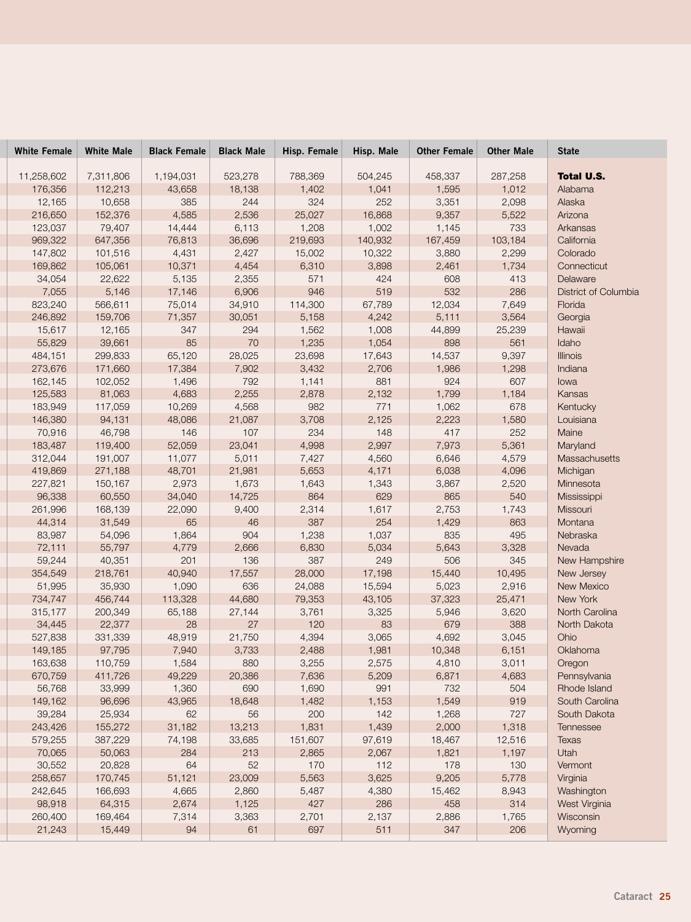| <b>White Female</b> | <b>White Male</b> | <b>Black Female</b> | <b>Black Male</b> | Hisp. Female | Hisp. Male | <b>Other Female</b> | <b>Other Male</b> | <b>State</b>         |
|---------------------|-------------------|---------------------|-------------------|--------------|------------|---------------------|-------------------|----------------------|
| 11,258,602          | 7,311,806         | 1,194,031           | 523,278           | 788,369      | 504,245    | 458,337             | 287,258           | <b>Total U.S.</b>    |
| 176,356             | 112,213           | 43,658              | 18,138            | 1,402        | 1,041      | 1,595               | 1,012             | Alabama              |
| 12,165              | 10,658            | 385                 | 244               | 324          | 252        | 3,351               | 2,098             | Alaska               |
| 216,650             | 152,376           | 4,585               | 2,536             | 25,027       | 16,868     | 9,357               | 5,522             | Arizona              |
| 123,037             | 79,407            | 14,444              | 6,113             | 1,208        | 1,002      | 1,145               | 733               | Arkansas             |
| 969,322             | 647,356           | 76,813              | 36,696            | 219,693      | 140,932    | 167,459             | 103,184           | California           |
| 147,802             | 101,516           | 4,431               | 2,427             | 15,002       | 10,322     | 3,880               | 2,299             | Colorado             |
| 169,862             | 105,061           | 10,371              | 4,454             | 6,310        | 3,898      | 2,461               | 1,734             | Connecticut          |
| 34,054              | 22,622            | 5,135               | 2,355             | 571          | 424        | 608                 | 413               | Delaware             |
| 7,055               | 5,146             | 17,146              | 6,906             | 946          | 519        | 532                 | 286               | District of Columbia |
| 823,240             | 566,611           | 75,014              | 34,910            | 114,300      | 67,789     | 12,034              | 7,649             | Florida              |
| 246,892             | 159,706           | 71,357              | 30,051            | 5,158        | 4,242      | 5,111               | 3,564             | Georgia              |
| 15,617              | 12,165            | 347                 | 294               | 1,562        | 1,008      | 44,899              | 25,239            | Hawaii               |
| 55,829              | 39,661            | 85                  | 70                | 1,235        | 1,054      | 898                 | 561               | Idaho                |
| 484,151             | 299,833           | 65,120              | 28,025            | 23,698       | 17,643     | 14,537              | 9,397             | <b>Illinois</b>      |
| 273,676             | 171,660           | 17,384              | 7,902             | 3,432        | 2,706      | 1,986               | 1,298             | Indiana              |
| 162,145             | 102,052           | 1,496               | 792               | 1,141        | 881        | 924                 | 607               | lowa                 |
| 125,583             | 81,063            | 4,683               | 2,255             | 2,878        | 2,132      | 1,799               | 1,184             | Kansas               |
| 183,949             | 117,059           | 10,269              | 4,568             | 982          | 771        | 1,062               | 678               | Kentucky             |
| 146,380             | 94,131            | 48,086              | 21,087            | 3,708        | 2,125      | 2,223               | 1,580             | Louisiana            |
| 70,916              | 46,798            | 146                 | 107               | 234          | 148        | 417                 | 252               | Maine                |
| 183,487             | 119,400           | 52,059              | 23,041            | 4,998        | 2,997      | 7,973               | 5,361             | Maryland             |
| 312,044             | 191,007           | 11,077              | 5,011             | 7,427        | 4,560      | 6,646               | 4,579             | Massachusetts        |
| 419,869             | 271,188           | 48,701              | 21,981            | 5,653        | 4,171      | 6,038               | 4,096             | Michigan             |
| 227,821             | 150,167           | 2,973               | 1,673             | 1,643        | 1,343      | 3,867               | 2,520             | Minnesota            |
| 96,338              | 60,550            | 34,040              | 14,725            | 864          | 629        | 865                 | 540               | Mississippi          |
| 261,996             | 168,139           | 22,090              | 9,400             | 2,314        | 1,617      | 2,753               | 1,743             | Missouri             |
| 44,314              | 31,549            | 65                  | 46                | 387          | 254        | 1,429               | 863               | Montana              |
| 83,987              | 54,096            | 1,864               | 904               | 1,238        | 1,037      | 835                 | 495               | Nebraska             |
| 72,111              | 55,797            | 4,779               | 2,666             | 6,830        | 5,034      | 5,643               | 3,328             | Nevada               |
| 59,244              | 40,351            | 201                 | 136               | 387          | 249        | 506                 | 345               | New Hampshire        |
| 354,549             | 218,761           | 40,940              | 17,557            | 28,000       | 17,198     | 15,440              | 10,495            | New Jersey           |
| 51,995              | 35,930            | 1,090               | 636               | 24,088       | 15,594     | 5,023               | 2,916             | New Mexico           |
| 734,747             | 456,744           | 113,328             | 44,680            | 79,353       | 43,105     | 37,323              | 25,471            | New York             |
| 315,177             | 200,349           | 65,188              | 27,144            | 3,761        | 3,325      | 5,946               | 3,620             | North Carolina       |
| 34,445              | 22,377            | 28                  | 27                | 120          | 83         | 679                 | 388               | North Dakota         |
| 527,838             | 331,339           | 48,919              | 21,750            | 4,394        | 3,065      | 4,692               | 3,045             | Ohio                 |
| 149,185             | 97,795            | 7,940               | 3,733             | 2,488        | 1,981      | 10,348              | 6,151             | Oklahoma             |
| 163,638             | 110,759           | 1,584               | 880               | 3,255        | 2,575      | 4,810               | 3,011             | Oregon               |
| 670,759             | 411,726           | 49,229              | 20,386            | 7,636        | 5,209      | 6,871               | 4,683             | Pennsylvania         |
| 56,768              | 33,999            | 1,360               | 690               | 1,690        | 991        | 732                 | 504               | Rhode Island         |
| 149,162             | 96,696            | 43,965              | 18,648            | 1,482        | 1,153      | 1,549               | 919               | South Carolina       |
| 39,284              | 25,934            | 62                  | 56                | 200          | 142        | 1,268               | 727               | South Dakota         |
| 243,426             | 155,272           | 31,182              | 13,213            | 1,831        | 1,439      | 2,000               | 1,318             | Tennessee            |
| 579,255             | 387,229           | 74,198              | 33,685            | 151,607      | 97,619     | 18,467              | 12,516            | Texas                |
| 70,065              | 50,063            | 284                 | 213               | 2,865        | 2,067      | 1,821               | 1,197             | Utah                 |
| 30,552              | 20,828            | 64                  | 52                | 170          | 112        | 178                 | 130               | Vermont              |
| 258,657             | 170,745           | 51,121              | 23,009            | 5,563        | 3,625      | 9,205               | 5,778             | Virginia             |
| 242,645             | 166,693           | 4,665               | 2,860             | 5,487        | 4,380      | 15,462              | 8,943             | Washington           |
| 98,918              | 64,315            | 2,674               | 1,125             | 427          | 286        | 458                 | 314               | West Virginia        |
| 260,400             | 169,464           | 7,314               | 3,363             | 2,701        | 2,137      | 2,886               | 1,765             | Wisconsin            |
| 21,243              | 15,449            | 94                  | 61                | 697          | 511        | 347                 | 206               | Wyoming              |
|                     |                   |                     |                   |              |            |                     |                   |                      |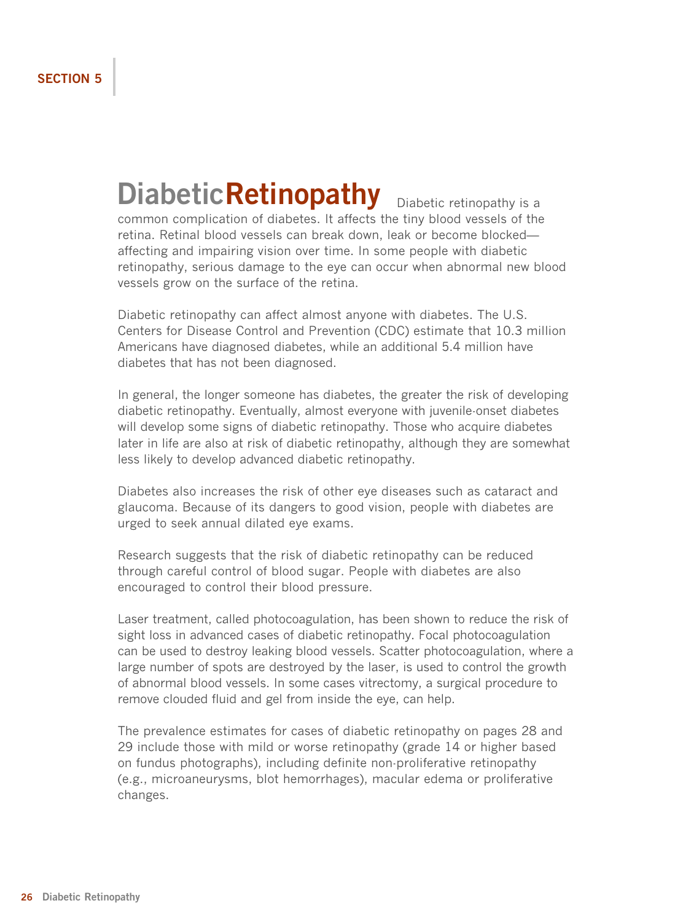#### **SECTION 5**

# **DiabeticRetinopathy**

Diabetic retinopathy is a common complication of diabetes. It affects the tiny blood vessels of the retina. Retinal blood vessels can break down, leak or become blocked affecting and impairing vision over time. In some people with diabetic retinopathy, serious damage to the eye can occur when abnormal new blood vessels grow on the surface of the retina.

Diabetic retinopathy can affect almost anyone with diabetes. The U.S. Centers for Disease Control and Prevention (CDC) estimate that 10.3 million Americans have diagnosed diabetes, while an additional 5.4 million have diabetes that has not been diagnosed.

In general, the longer someone has diabetes, the greater the risk of developing diabetic retinopathy. Eventually, almost everyone with juvenile-onset diabetes will develop some signs of diabetic retinopathy. Those who acquire diabetes later in life are also at risk of diabetic retinopathy, although they are somewhat less likely to develop advanced diabetic retinopathy.

Diabetes also increases the risk of other eye diseases such as cataract and glaucoma. Because of its dangers to good vision, people with diabetes are urged to seek annual dilated eye exams.

Research suggests that the risk of diabetic retinopathy can be reduced through careful control of blood sugar. People with diabetes are also encouraged to control their blood pressure.

Laser treatment, called photocoagulation, has been shown to reduce the risk of sight loss in advanced cases of diabetic retinopathy. Focal photocoagulation can be used to destroy leaking blood vessels. Scatter photocoagulation, where a large number of spots are destroyed by the laser, is used to control the growth of abnormal blood vessels. In some cases vitrectomy, a surgical procedure to remove clouded fluid and gel from inside the eye, can help.

The prevalence estimates for cases of diabetic retinopathy on pages 28 and 29 include those with mild or worse retinopathy (grade 14 or higher based on fundus photographs), including definite non-proliferative retinopathy (e.g., microaneurysms, blot hemorrhages), macular edema or proliferative changes.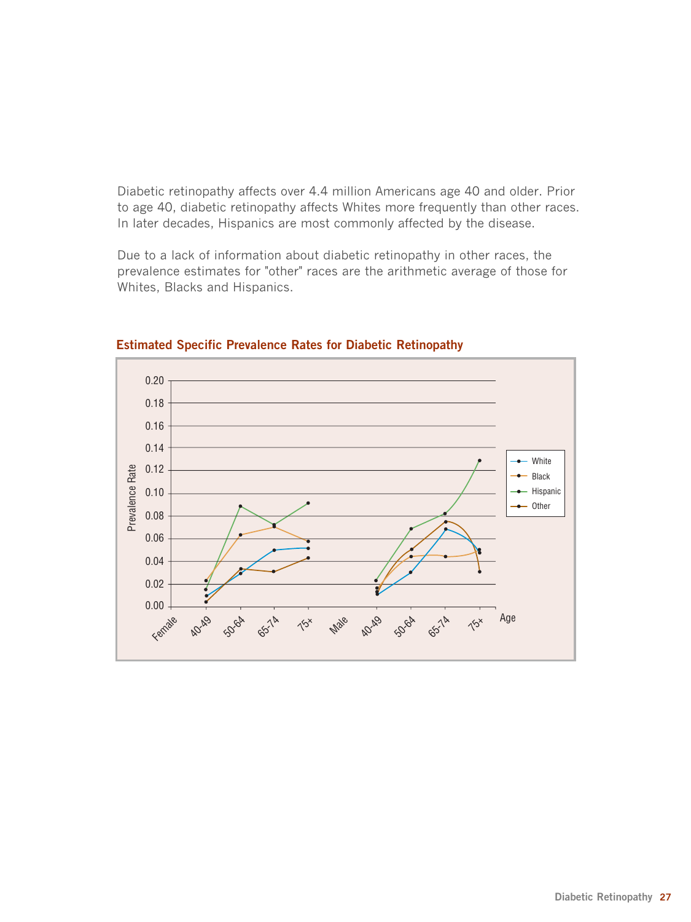Diabetic retinopathy affects over 4.4 million Americans age 40 and older. Prior to age 40, diabetic retinopathy affects Whites more frequently than other races. In later decades, Hispanics are most commonly affected by the disease.

Due to a lack of information about diabetic retinopathy in other races, the prevalence estimates for "other" races are the arithmetic average of those for Whites, Blacks and Hispanics.



**Estimated Specific Prevalence Rates for Diabetic Retinopathy**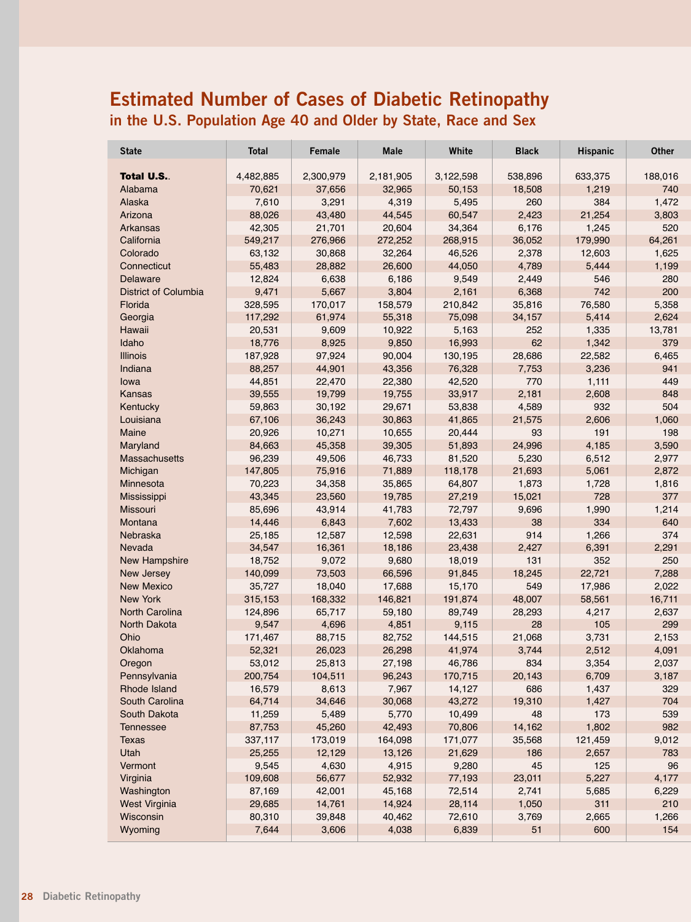#### **Estimated Number of Cases of Diabetic Retinopathy in the U.S. Population Age 40 and Older by State, Race and Sex**

| <b>State</b>          | <b>Total</b> | Female    | <b>Male</b> | White     | <b>Black</b> | <b>Hispanic</b> | <b>Other</b> |
|-----------------------|--------------|-----------|-------------|-----------|--------------|-----------------|--------------|
| <b>Total U.S.</b>     | 4,482,885    | 2,300,979 | 2,181,905   | 3,122,598 | 538,896      | 633,375         | 188,016      |
| Alabama               | 70,621       | 37,656    | 32,965      | 50,153    | 18,508       | 1,219           | 740          |
| Alaska                | 7,610        | 3,291     | 4,319       | 5,495     | 260          | 384             | 1,472        |
| Arizona               | 88,026       | 43,480    | 44,545      | 60,547    | 2,423        | 21,254          | 3,803        |
| Arkansas              | 42,305       | 21,701    | 20,604      | 34,364    | 6,176        | 1,245           | 520          |
| California            | 549,217      | 276,966   | 272,252     | 268,915   | 36,052       | 179,990         | 64,261       |
| Colorado              | 63,132       | 30,868    | 32,264      | 46,526    | 2,378        | 12,603          | 1,625        |
| Connecticut           | 55,483       | 28,882    | 26,600      | 44,050    | 4,789        | 5,444           | 1,199        |
| Delaware              | 12,824       | 6,638     | 6,186       | 9,549     | 2,449        | 546             | 280          |
| District of Columbia  | 9,471        | 5,667     | 3,804       | 2,161     | 6,368        | 742             | 200          |
| Florida               | 328,595      | 170,017   | 158,579     | 210,842   | 35,816       | 76,580          | 5,358        |
| Georgia               | 117,292      | 61,974    | 55,318      | 75,098    | 34,157       | 5,414           | 2,624        |
| Hawaii                | 20,531       | 9,609     | 10,922      | 5,163     | 252          | 1,335           | 13,781       |
| Idaho                 | 18,776       | 8,925     | 9,850       | 16,993    | 62           | 1,342           | 379          |
| <b>Illinois</b>       | 187,928      | 97,924    | 90,004      | 130,195   | 28,686       | 22,582          | 6,465        |
| Indiana               | 88,257       | 44,901    | 43,356      | 76,328    | 7,753        | 3,236           | 941          |
| lowa                  | 44,851       | 22,470    | 22,380      | 42,520    | 770          | 1,111           | 449          |
| Kansas                | 39,555       | 19,799    | 19,755      | 33,917    | 2,181        | 2,608           | 848          |
| Kentucky              | 59,863       | 30,192    | 29,671      | 53,838    | 4,589        | 932             | 504          |
| Louisiana             | 67,106       | 36,243    | 30,863      | 41,865    | 21,575       | 2,606           | 1,060        |
| Maine                 | 20,926       | 10,271    | 10,655      | 20,444    | 93           | 191             | 198          |
| Maryland              | 84,663       | 45,358    | 39,305      | 51,893    | 24,996       | 4,185           | 3,590        |
| <b>Massachusetts</b>  | 96,239       | 49,506    | 46,733      | 81,520    | 5,230        | 6,512           | 2,977        |
| Michigan              | 147,805      | 75,916    | 71,889      | 118,178   | 21,693       | 5,061           | 2,872        |
| Minnesota             | 70,223       | 34,358    | 35,865      | 64,807    | 1,873        | 1,728           | 1,816        |
| Mississippi           | 43,345       | 23,560    | 19,785      | 27,219    | 15,021       | 728             | 377          |
| <b>Missouri</b>       | 85,696       | 43,914    | 41,783      | 72,797    | 9,696        | 1,990           | 1,214        |
| Montana               | 14,446       | 6,843     | 7,602       | 13,433    | 38           | 334             | 640          |
| Nebraska              | 25,185       | 12,587    | 12,598      | 22,631    | 914          | 1,266           | 374          |
| Nevada                | 34,547       | 16,361    | 18,186      | 23,438    | 2,427        | 6,391           | 2,291        |
| New Hampshire         | 18,752       | 9,072     | 9,680       | 18,019    | 131          | 352             | 250          |
| New Jersey            | 140,099      | 73,503    | 66,596      | 91,845    | 18,245       | 22,721          | 7,288        |
| <b>New Mexico</b>     | 35,727       | 18,040    | 17,688      | 15,170    | 549          | 17,986          | 2,022        |
| <b>New York</b>       | 315,153      | 168,332   | 146,821     | 191,874   | 48,007       | 58,561          | 16,711       |
| <b>North Carolina</b> | 124,896      | 65,717    | 59,180      | 89,749    | 28,293       | 4,217           | 2,637        |
| North Dakota          | 9,547        | 4,696     | 4,851       | 9,115     | 28           | 105             | 299          |
| Ohio                  | 171,467      | 88,715    | 82,752      | 144,515   | 21,068       | 3,731           | 2,153        |
| Oklahoma              | 52,321       | 26,023    | 26,298      | 41,974    | 3,744        | 2,512           | 4,091        |
| Oregon                | 53,012       | 25,813    | 27,198      | 46,786    | 834          | 3,354           | 2,037        |
| Pennsylvania          | 200,754      | 104,511   | 96,243      | 170,715   | 20,143       | 6,709           | 3,187        |
| Rhode Island          | 16,579       | 8,613     | 7,967       | 14,127    | 686          | 1,437           | 329          |
| South Carolina        | 64,714       | 34,646    | 30,068      | 43,272    | 19,310       | 1,427           | 704          |
| South Dakota          | 11,259       | 5,489     | 5,770       | 10,499    | 48           | 173             | 539          |
| <b>Tennessee</b>      | 87,753       | 45,260    | 42,493      | 70,806    | 14,162       | 1,802           | 982          |
| <b>Texas</b>          | 337,117      | 173,019   | 164,098     | 171,077   | 35,568       | 121,459         | 9,012        |
| Utah                  | 25,255       | 12,129    | 13,126      | 21,629    | 186          | 2,657           | 783          |
| Vermont               | 9,545        | 4,630     | 4,915       | 9,280     | 45           | 125             | 96           |
| Virginia              | 109,608      | 56,677    | 52,932      | 77,193    | 23,011       | 5,227           | 4,177        |
| Washington            | 87,169       | 42,001    | 45,168      | 72,514    | 2,741        | 5,685           | 6,229        |
| <b>West Virginia</b>  | 29,685       | 14,761    | 14,924      | 28,114    | 1,050        | 311             | 210          |
| Wisconsin             | 80,310       | 39,848    | 40,462      | 72,610    | 3,769        | 2,665           | 1,266        |
| Wyoming               | 7,644        | 3,606     | 4,038       | 6,839     | 51           | 600             | 154          |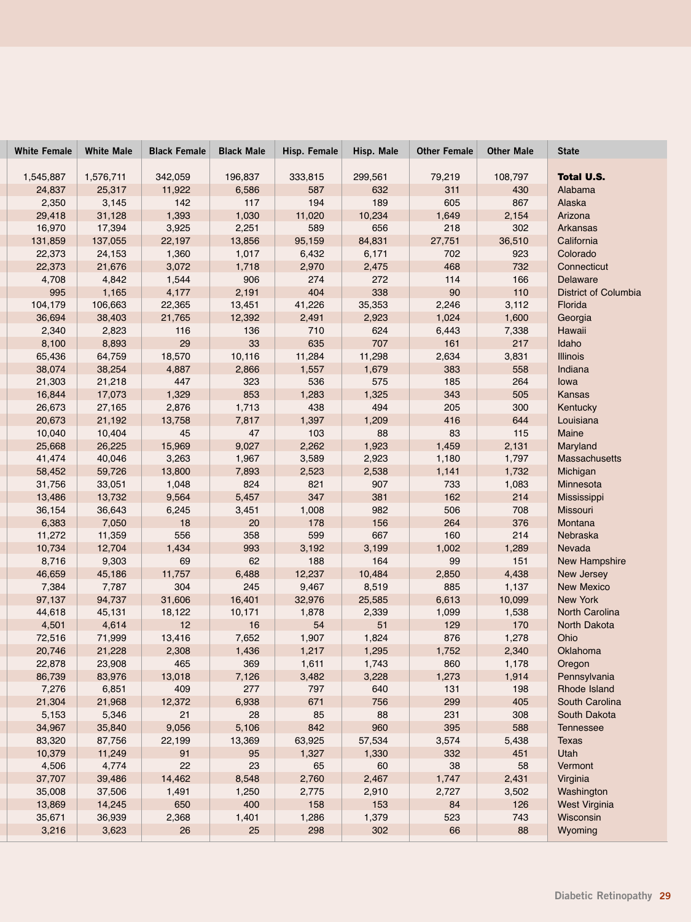| <b>White Female</b> | <b>White Male</b> | <b>Black Female</b> | <b>Black Male</b> | Hisp. Female | Hisp. Male | <b>Other Female</b> | <b>Other Male</b> | <b>State</b>         |
|---------------------|-------------------|---------------------|-------------------|--------------|------------|---------------------|-------------------|----------------------|
|                     |                   |                     |                   |              |            |                     |                   |                      |
| 1,545,887           | 1,576,711         | 342,059             | 196,837           | 333,815      | 299,561    | 79,219              | 108,797           | <b>Total U.S.</b>    |
| 24,837              | 25,317            | 11,922              | 6,586             | 587          | 632        | 311                 | 430               | Alabama              |
| 2,350               | 3,145             | 142                 | 117               | 194          | 189        | 605                 | 867               | Alaska               |
| 29,418              | 31,128            | 1,393               | 1,030             | 11,020       | 10,234     | 1,649               | 2,154             | Arizona              |
| 16,970              | 17,394            | 3,925               | 2,251             | 589          | 656        | 218                 | 302               | Arkansas             |
| 131,859             | 137,055           | 22,197              | 13,856            | 95,159       | 84,831     | 27,751              | 36,510            | California           |
| 22,373              | 24,153            | 1,360               | 1,017             | 6,432        | 6,171      | 702                 | 923               | Colorado             |
| 22,373              | 21,676            | 3,072               | 1,718             | 2,970        | 2,475      | 468                 | 732               | Connecticut          |
| 4,708               | 4,842             | 1,544               | 906               | 274          | 272        | 114                 | 166               | Delaware             |
| 995                 | 1,165             | 4,177               | 2,191             | 404          | 338        | 90                  | 110               | District of Columbia |
| 104,179             | 106,663           | 22,365              | 13,451            | 41,226       | 35,353     | 2,246               | 3,112             | Florida              |
| 36,694              | 38,403            | 21,765              | 12,392            | 2,491        | 2,923      | 1,024               | 1,600             | Georgia              |
| 2,340               | 2,823             | 116                 | 136               | 710          | 624        | 6,443               | 7,338             | Hawaii               |
| 8,100               | 8,893             | 29                  | 33                | 635          | 707        | 161                 | 217               | Idaho                |
| 65,436              | 64,759            | 18,570              | 10,116            | 11,284       | 11,298     | 2,634               | 3,831             | <b>Illinois</b>      |
| 38,074              | 38,254            | 4,887               | 2,866             | 1,557        | 1,679      | 383                 | 558               | Indiana              |
| 21,303              | 21,218            | 447                 | 323               | 536          | 575        | 185                 | 264               | lowa                 |
| 16,844              | 17,073            | 1,329               | 853               | 1,283        | 1,325      | 343                 | 505               | Kansas               |
| 26,673              | 27,165            | 2,876               | 1,713             | 438          | 494        | 205                 | 300               | Kentucky             |
| 20,673              | 21,192            | 13,758              | 7,817             | 1,397        | 1,209      | 416                 | 644               | Louisiana            |
| 10,040              | 10,404            | 45                  | 47                | 103          | 88         | 83                  | 115               | Maine                |
| 25,668              | 26,225            | 15,969              | 9,027             | 2,262        | 1,923      | 1,459               | 2,131             | Maryland             |
| 41,474              | 40,046            | 3,263               | 1,967             | 3,589        | 2,923      | 1,180               | 1,797             | Massachusetts        |
| 58,452              | 59,726            | 13,800              | 7,893             | 2,523        | 2,538      | 1,141               | 1,732             | Michigan             |
| 31,756              | 33,051            | 1,048               | 824               | 821          | 907        | 733                 | 1,083             | Minnesota            |
| 13,486              | 13,732            | 9,564               | 5,457             | 347          | 381        | 162                 | 214               | Mississippi          |
| 36,154              | 36,643            | 6,245               | 3,451             | 1,008        | 982        | 506                 | 708               | Missouri             |
| 6,383               | 7,050             | 18                  | 20                | 178          | 156        | 264                 | 376               | Montana              |
| 11,272              | 11,359            | 556                 | 358               | 599          | 667        | 160                 | 214               | Nebraska             |
| 10,734              | 12,704            | 1,434               | 993               | 3,192        | 3,199      | 1,002               | 1,289             | Nevada               |
| 8,716               | 9,303             | 69                  | 62                | 188          | 164        | 99                  | 151               | New Hampshire        |
| 46,659              | 45,186            | 11,757              | 6,488             | 12,237       | 10,484     | 2,850               | 4,438             | New Jersey           |
| 7,384               | 7,787             | 304                 | 245               | 9,467        | 8,519      | 885                 | 1,137             | <b>New Mexico</b>    |
| 97,137              | 94,737            | 31,606              | 16,401            | 32,976       | 25,585     | 6,613               | 10,099            | New York             |
| 44,618              | 45,131            | 18,122              | 10,171            | 1,878        | 2,339      | 1,099               | 1,538             | North Carolina       |
| 4,501               | 4,614             | 12                  | 16                | 54           | 51         | 129                 | 170               | North Dakota         |
| 72,516              | 71,999            | 13,416              | 7,652             | 1,907        | 1,824      | 876                 | 1,278             | Ohio                 |
| 20,746              | 21,228            | 2,308               | 1,436             | 1,217        | 1,295      | 1,752               | 2,340             | Oklahoma             |
| 22,878              | 23,908            | 465                 | 369               | 1,611        | 1,743      | 860                 | 1,178             | Oregon               |
| 86,739              | 83,976            | 13,018              | 7,126             | 3,482        | 3,228      | 1,273               | 1,914             | Pennsylvania         |
| 7,276               | 6,851             | 409                 | 277               | 797          | 640        | 131                 | 198               | Rhode Island         |
| 21,304              | 21,968            | 12,372              | 6,938             | 671          | 756        | 299                 | 405               | South Carolina       |
| 5,153               | 5,346             | 21                  | 28                | 85           | 88         | 231                 | 308               | South Dakota         |
| 34,967              | 35,840            | 9,056               | 5,106             | 842          | 960        | 395                 | 588               | Tennessee            |
| 83,320              | 87,756            | 22,199              | 13,369            | 63,925       | 57,534     | 3,574               | 5,438             | <b>Texas</b>         |
| 10,379              | 11,249            | 91                  | 95                | 1,327        | 1,330      | 332                 | 451               | Utah                 |
| 4,506               | 4,774             | 22                  | 23                | 65           | 60         | 38                  | 58                | Vermont              |
| 37,707              | 39,486            | 14,462              | 8,548             | 2,760        | 2,467      | 1,747               | 2,431             | Virginia             |
| 35,008              | 37,506            | 1,491               | 1,250             | 2,775        | 2,910      | 2,727               | 3,502             | Washington           |
| 13,869              | 14,245            | 650                 | 400               | 158          | 153        | 84                  | 126               | <b>West Virginia</b> |
| 35,671              | 36,939            | 2,368               | 1,401             | 1,286        | 1,379      | 523                 | 743               | Wisconsin            |
| 3,216               | 3,623             | 26                  | 25                | 298          | 302        | 66                  | 88                | Wyoming              |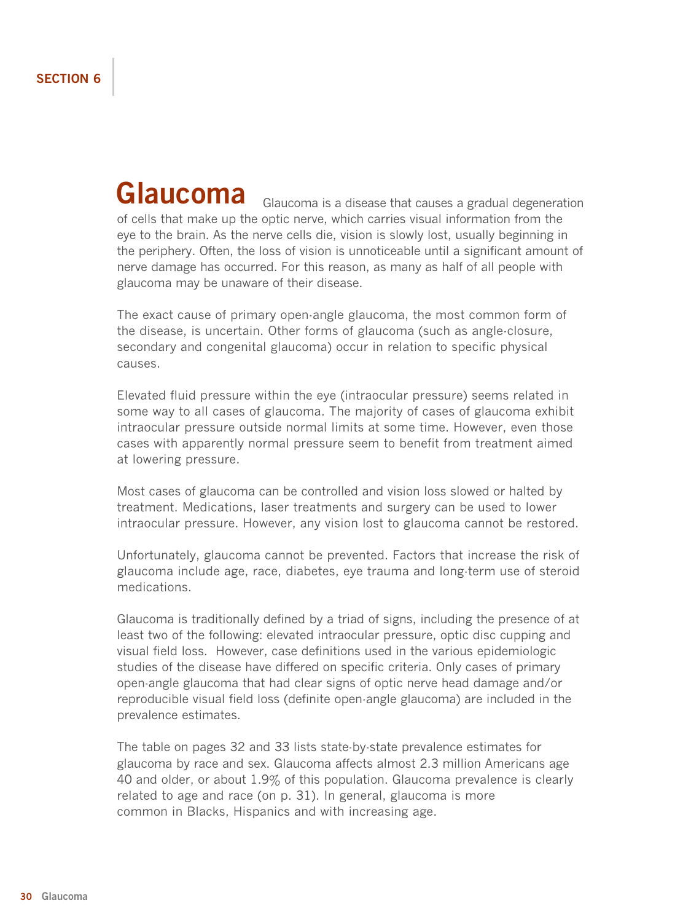# **Glaucoma**

Glaucoma is a disease that causes a gradual degeneration of cells that make up the optic nerve, which carries visual information from the eye to the brain. As the nerve cells die, vision is slowly lost, usually beginning in the periphery. Often, the loss of vision is unnoticeable until a significant amount of nerve damage has occurred. For this reason, as many as half of all people with glaucoma may be unaware of their disease.

The exact cause of primary open-angle glaucoma, the most common form of the disease, is uncertain. Other forms of glaucoma (such as angle-closure, secondary and congenital glaucoma) occur in relation to specific physical causes.

Elevated fluid pressure within the eye (intraocular pressure) seems related in some way to all cases of glaucoma. The majority of cases of glaucoma exhibit intraocular pressure outside normal limits at some time. However, even those cases with apparently normal pressure seem to benefit from treatment aimed at lowering pressure.

Most cases of glaucoma can be controlled and vision loss slowed or halted by treatment. Medications, laser treatments and surgery can be used to lower intraocular pressure. However, any vision lost to glaucoma cannot be restored.

Unfortunately, glaucoma cannot be prevented. Factors that increase the risk of glaucoma include age, race, diabetes, eye trauma and long-term use of steroid medications.

Glaucoma is traditionally defined by a triad of signs, including the presence of at least two of the following: elevated intraocular pressure, optic disc cupping and visual field loss. However, case definitions used in the various epidemiologic studies of the disease have differed on specific criteria. Only cases of primary open-angle glaucoma that had clear signs of optic nerve head damage and/or reproducible visual field loss (definite open-angle glaucoma) are included in the prevalence estimates.

The table on pages 32 and 33 lists state-by-state prevalence estimates for glaucoma by race and sex. Glaucoma affects almost 2.3 million Americans age 40 and older, or about 1.9% of this population. Glaucoma prevalence is clearly related to age and race (on p. 31). In general, glaucoma is more common in Blacks, Hispanics and with increasing age.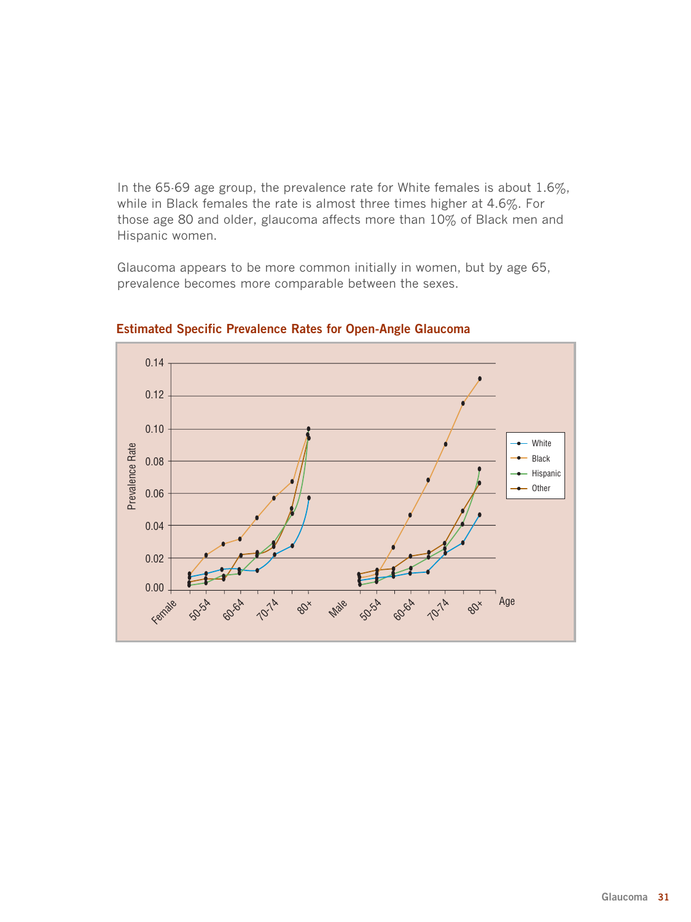In the 65-69 age group, the prevalence rate for White females is about 1.6%, while in Black females the rate is almost three times higher at 4.6%. For those age 80 and older, glaucoma affects more than 10% of Black men and Hispanic women.

Glaucoma appears to be more common initially in women, but by age 65, prevalence becomes more comparable between the sexes.



**Estimated Specific Prevalence Rates for Open-Angle Glaucoma**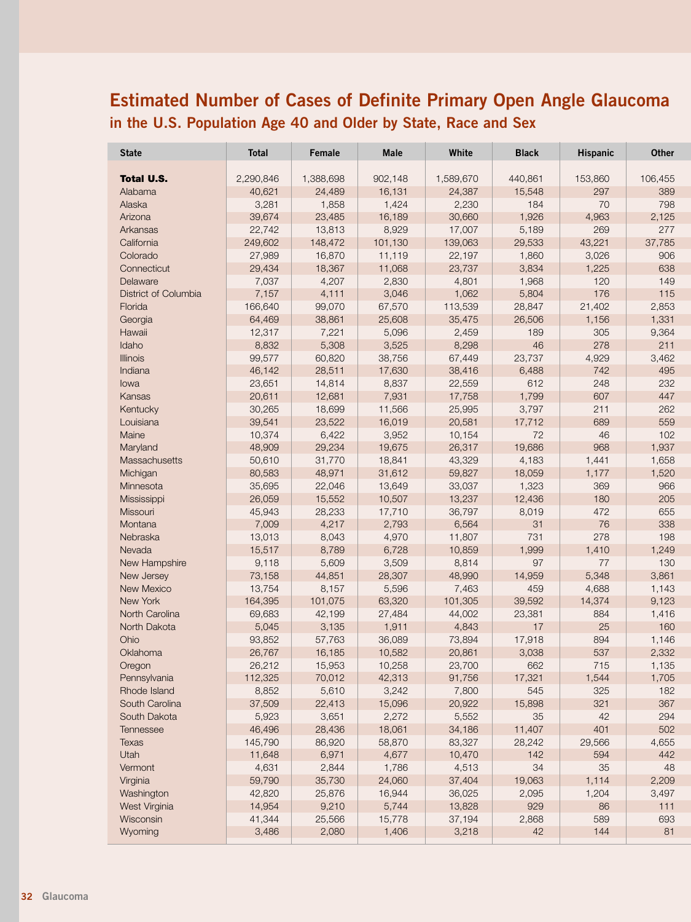#### **Estimated Number of Cases of Definite Primary Open Angle Glaucoma in the U.S. Population Age 40 and Older by State, Race and Sex**

| <b>State</b>                   | <b>Total</b>    | <b>Female</b>   | <b>Male</b>     | White           | <b>Black</b> | <b>Hispanic</b> | <b>Other</b> |
|--------------------------------|-----------------|-----------------|-----------------|-----------------|--------------|-----------------|--------------|
| <b>Total U.S.</b>              | 2,290,846       | 1,388,698       | 902,148         | 1,589,670       | 440,861      | 153,860         | 106,455      |
| Alabama                        | 40,621          | 24,489          | 16,131          | 24,387          | 15,548       | 297             | 389          |
| Alaska                         | 3,281           | 1,858           | 1,424           | 2,230           | 184          | 70              | 798          |
| Arizona                        | 39,674          | 23,485          | 16,189          | 30,660          | 1,926        | 4,963           | 2,125        |
| Arkansas                       | 22,742          | 13,813          | 8,929           | 17,007          | 5,189        | 269             | 277          |
| California                     | 249,602         | 148,472         | 101,130         | 139,063         | 29,533       | 43,221          | 37,785       |
| Colorado                       | 27,989          | 16,870          | 11,119          | 22,197          | 1,860        | 3,026           | 906          |
| Connecticut                    | 29,434          | 18,367          | 11,068          | 23,737          | 3,834        | 1,225           | 638          |
| Delaware                       | 7,037           | 4,207           | 2,830           | 4,801           | 1,968        | 120             | 149          |
| District of Columbia           | 7,157           | 4,111           | 3,046           | 1,062           | 5,804        | 176             | 115          |
| Florida                        | 166,640         | 99,070          | 67,570          | 113,539         | 28,847       | 21,402          | 2,853        |
| Georgia                        | 64,469          | 38,861          | 25,608          | 35,475          | 26,506       | 1,156           | 1,331        |
| Hawaii                         | 12,317          | 7,221           | 5,096           | 2,459           | 189          | 305             | 9,364        |
| Idaho                          | 8,832           | 5,308           | 3,525           | 8,298           | 46           | 278             | 211          |
| <b>Illinois</b>                | 99,577          | 60,820          | 38,756          | 67,449          | 23,737       | 4,929           | 3,462        |
| Indiana                        | 46,142          | 28,511          | 17,630          | 38,416          | 6,488        | 742             | 495          |
| lowa                           | 23,651          | 14,814          | 8,837           | 22,559          | 612          | 248             | 232          |
| Kansas                         | 20,611          | 12,681          | 7,931           | 17,758          | 1,799        | 607             | 447          |
| Kentucky                       | 30,265          | 18,699          | 11,566          | 25,995          | 3,797        | 211             | 262          |
| Louisiana                      | 39,541          | 23,522          | 16,019          | 20,581          | 17,712       | 689             | 559          |
| Maine                          | 10,374          | 6,422           | 3,952           | 10,154          | 72           | 46              | 102          |
| Maryland                       | 48,909          | 29,234          | 19,675          | 26,317          | 19,686       | 968             | 1,937        |
| Massachusetts                  | 50,610          | 31,770          | 18,841          | 43,329          | 4,183        | 1,441           | 1,658        |
| Michigan                       | 80,583          | 48,971          | 31,612          | 59,827          | 18,059       | 1,177           | 1,520        |
| Minnesota                      | 35,695          | 22,046          | 13,649          | 33,037          | 1,323        | 369             | 966          |
| Mississippi                    | 26,059          | 15,552          | 10,507          | 13,237          | 12,436       | 180             | 205          |
| Missouri                       | 45,943          | 28,233          | 17,710          | 36,797          | 8,019        | 472             | 655          |
| Montana                        | 7,009           | 4,217           | 2,793           | 6,564           | 31           | 76              | 338          |
| Nebraska                       | 13,013          | 8,043           | 4,970           | 11,807          | 731          | 278             | 198          |
| Nevada                         | 15,517          | 8,789           | 6,728           | 10,859          | 1,999        | 1,410           | 1,249        |
| New Hampshire                  | 9,118           | 5,609           | 3,509           | 8,814           | 97           | 77              | 130          |
| New Jersey                     | 73,158          | 44,851          | 28,307          | 48,990          | 14,959       | 5,348           | 3,861        |
| New Mexico                     | 13,754          | 8,157           | 5,596           | 7,463           | 459          | 4,688           | 1,143        |
| New York                       | 164,395         | 101,075         | 63,320          | 101,305         | 39,592       | 14,374          | 9,123        |
| North Carolina                 | 69,683          | 42,199          | 27,484          | 44,002          | 23,381       | 884             | 1,416        |
| North Dakota                   | 5,045           | 3,135           | 1,911           | 4,843           | 17           | 25              | 160          |
| Ohio                           | 93,852          | 57,763          | 36,089          | 73,894          | 17,918       | 894             | 1,146        |
| Oklahoma                       | 26,767          | 16,185          | 10,582          | 20,861          | 3,038        | 537             | 2,332        |
| Oregon                         | 26,212          | 15,953          | 10,258          | 23,700          | 662          | 715             | 1,135        |
| Pennsylvania                   | 112,325         | 70,012          | 42,313          | 91,756          | 17,321       | 1,544           | 1,705        |
| Rhode Island                   | 8,852           | 5,610           | 3,242           | 7,800           | 545          | 325<br>321      | 182          |
| South Carolina<br>South Dakota | 37,509          | 22,413          | 15,096          | 20,922          | 15,898<br>35 | 42              | 367<br>294   |
| Tennessee                      | 5,923<br>46,496 | 3,651<br>28,436 | 2,272<br>18,061 | 5,552<br>34,186 | 11,407       | 401             | 502          |
|                                | 145,790         | 86,920          | 58,870          | 83,327          | 28,242       | 29,566          | 4,655        |
| <b>Texas</b><br>Utah           | 11,648          | 6,971           | 4,677           | 10,470          | 142          | 594             | 442          |
| Vermont                        | 4,631           | 2,844           | 1,786           | 4,513           | 34           | 35              | 48           |
| Virginia                       | 59,790          | 35,730          | 24,060          | 37,404          | 19,063       | 1,114           | 2,209        |
| Washington                     | 42,820          | 25,876          | 16,944          | 36,025          | 2,095        | 1,204           | 3,497        |
| West Virginia                  | 14,954          | 9,210           | 5,744           | 13,828          | 929          | 86              | $111$        |
| Wisconsin                      | 41,344          | 25,566          | 15,778          | 37,194          | 2,868        | 589             | 693          |
| Wyoming                        | 3,486           | 2,080           | 1,406           | 3,218           | 42           | 144             | 81           |
|                                |                 |                 |                 |                 |              |                 |              |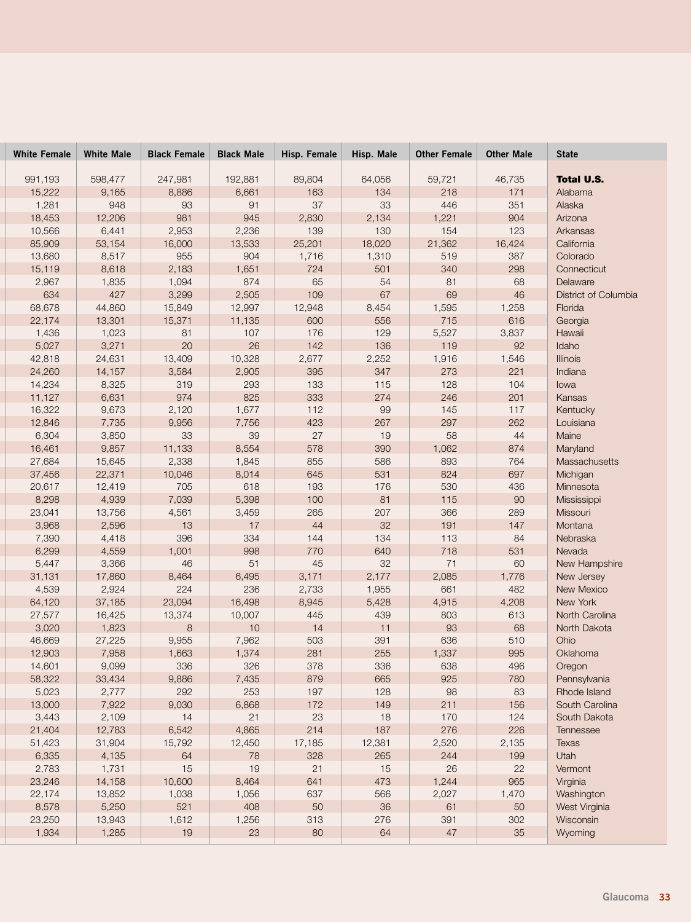| <b>White Female</b> | <b>White Male</b> | <b>Black Female</b> | <b>Black Male</b> | Hisp. Female | Hisp. Male | <b>Other Female</b> | <b>Other Male</b> | <b>State</b>         |
|---------------------|-------------------|---------------------|-------------------|--------------|------------|---------------------|-------------------|----------------------|
|                     |                   |                     |                   |              |            |                     |                   |                      |
| 991,193             | 598,477           | 247,981             | 192,881           | 89,804       | 64,056     | 59,721              | 46,735            | <b>Total U.S.</b>    |
| 15,222              | 9,165             | 8,886               | 6,661             | 163          | 134        | 218                 | 171               | Alabama              |
| 1,281               | 948               | 93                  | 91                | 37           | 33         | 446                 | 351               | Alaska               |
| 18,453              | 12,206            | 981                 | 945               | 2,830        | 2,134      | 1,221               | 904               | Arizona              |
| 10,566              | 6,441             | 2,953               | 2,236             | 139          | 130        | 154                 | 123               | Arkansas             |
| 85,909              | 53,154            | 16,000              | 13,533            | 25,201       | 18,020     | 21,362              | 16,424            | California           |
| 13,680              | 8,517             | 955                 | 904               | 1,716        | 1,310      | 519                 | 387               | Colorado             |
| 15,119              | 8,618             | 2,183               | 1,651             | 724          | 501        | 340                 | 298               | Connecticut          |
| 2,967               | 1,835             | 1,094               | 874               | 65           | 54         | 81                  | 68                | Delaware             |
| 634                 | 427               | 3,299               | 2,505             | 109          | 67         | 69                  | 46                | District of Columbia |
| 68,678              | 44,860            | 15,849              | 12,997            | 12,948       | 8,454      | 1,595               | 1,258             | Florida              |
| 22,174              | 13,301            | 15,371              | 11,135            | 600          | 556        | 715                 | 616               | Georgia              |
| 1,436               | 1,023             | 81                  | 107               | 176          | 129        | 5,527               | 3,837             | Hawaii               |
| 5,027               | 3,271             | 20                  | 26                | 142          | 136        | 119                 | 92                | Idaho                |
| 42,818              | 24,631            | 13,409              | 10,328            | 2,677        | 2,252      | 1,916               | 1,546             | <b>Illinois</b>      |
| 24,260              | 14,157            | 3,584               | 2,905             | 395          | 347        | 273                 | 221               | Indiana              |
| 14,234              | 8,325             | 319                 | 293               | 133          | 115        | 128                 | 104               | lowa                 |
| 11,127              | 6,631             | 974                 | 825               | 333          | 274        | 246                 | 201               | Kansas               |
| 16,322              | 9,673             | 2,120               | 1,677             | 112          | 99         | 145                 | 117               | Kentucky             |
| 12,846              | 7,735             | 9,956               | 7,756             | 423          | 267        | 297                 | 262               | Louisiana            |
| 6,304               | 3,850             | 33                  | 39                | 27           | 19         | 58                  | 44                | Maine                |
| 16,461              | 9,857             | 11,133              | 8,554             | 578          | 390        | 1,062               | 874               | Maryland             |
| 27,684              | 15,645            | 2,338               | 1,845             | 855          | 586        | 893                 | 764               | Massachusetts        |
| 37,456              | 22,371            | 10,046              | 8,014             | 645          | 531        | 824                 | 697               | Michigan             |
| 20,617              | 12,419            | 705                 | 618               | 193          | 176        | 530                 | 436               | Minnesota            |
| 8,298               | 4,939             | 7,039               | 5,398             | 100          | 81         | 115                 | 90                | Mississippi          |
| 23,041              | 13,756            | 4,561               | 3,459             | 265          | 207        | 366                 | 289               | Missouri             |
| 3,968               | 2,596             | 13                  | 17                | 44           | 32         | 191                 | 147               | Montana              |
| 7,390               | 4,418             | 396                 | 334               | 144          | 134        | 113                 | 84                | Nebraska             |
| 6,299               | 4,559             | 1,001               | 998               | 770          | 640        | 718                 | 531               | Nevada               |
| 5,447               | 3,366             | 46                  | 51                | 45           | 32         | 71                  | 60                | New Hampshire        |
| 31,131              | 17,860            | 8,464               | 6,495             | 3,171        | 2,177      | 2,085               | 1,776             | New Jersey           |
| 4,539               | 2,924             | 224                 | 236               | 2,733        | 1,955      | 661                 | 482               | New Mexico           |
| 64,120              | 37,185            | 23,094              | 16,498            | 8,945        | 5,428      | 4,915               | 4,208             | New York             |
| 27,577              | 16,425            | 13,374              | 10,007            | 445          | 439        | 803                 | 613               | North Carolina       |
| 3,020               | 1,823             | 8                   | 10                | 14           | 11         | 93                  | 68                | North Dakota         |
| 46,669              | 27,225            | 9,955               | 7,962             | 503          | 391        | 636                 | 510               | Ohio                 |
| 12,903              | 7,958             | 1,663               | 1,374             | 281          | 255        | 1,337               | 995               | Oklahoma             |
| 14,601              | 9,099             | 336                 | 326               | 378          | 336        | 638                 | 496               | Oregon               |
| 58,322              | 33,434            | 9,886               | 7,435             | 879          | 665        | 925                 | 780               | Pennsylvania         |
| 5,023               | 2,777             | 292                 | 253               | 197          | 128        | 98                  | 83                | Rhode Island         |
| 13,000              | 7,922             | 9,030               | 6,868             | 172          | 149        | 211                 | 156               | South Carolina       |
| 3,443               | 2,109             | 14                  | 21                | 23           | 18         | 170                 | 124               | South Dakota         |
| 21,404              | 12,783            | 6,542               | 4,865             | 214          | 187        | 276                 | 226               | Tennessee            |
| 51,423              | 31,904            | 15,792              | 12,450            | 17,185       | 12,381     | 2,520               | 2,135             | <b>Texas</b>         |
| 6,335               | 4,135             | 64                  | 78                | 328          | 265        | 244                 | 199               | Utah                 |
| 2,783               | 1,731             | 15                  | 19                | 21           | 15         | 26                  | 22                | Vermont              |
| 23,246              | 14,158            | 10,600              | 8,464             | 641          | 473        | 1,244               | 965               | Virginia             |
| 22,174              | 13,852            | 1,038               | 1,056             | 637          | 566        | 2,027               | 1,470             | Washington           |
| 8,578               | 5,250             | 521                 | 408               | 50           | 36         | 61                  | 50                | West Virginia        |
| 23,250              | 13,943            | 1,612               | 1,256             | 313          | 276        | 391                 | 302               | Wisconsin            |
| 1,934               | 1,285             | 19                  | 23                | 80           | 64         | 47                  | 35                | Wyoming              |
|                     |                   |                     |                   |              |            |                     |                   |                      |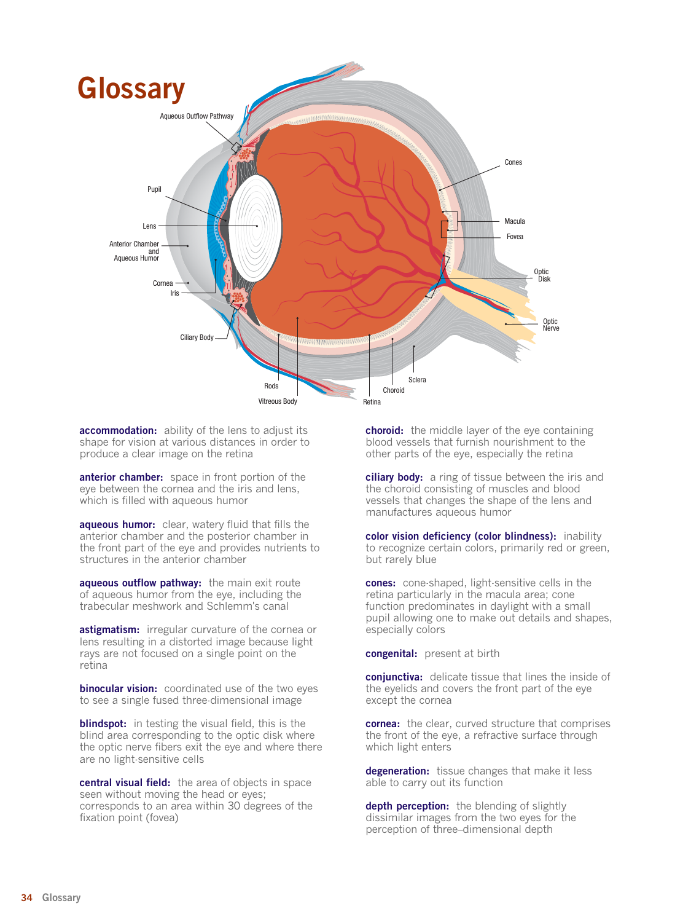

**accommodation:** ability of the lens to adjust its shape for vision at various distances in order to produce a clear image on the retina

**anterior chamber:** space in front portion of the eye between the cornea and the iris and lens, which is filled with aqueous humor

**aqueous humor:** clear, watery fluid that fills the anterior chamber and the posterior chamber in the front part of the eye and provides nutrients to structures in the anterior chamber

**aqueous outflow pathway:** the main exit route of aqueous humor from the eye, including the trabecular meshwork and Schlemm's canal

**astigmatism:** irregular curvature of the cornea or lens resulting in a distorted image because light rays are not focused on a single point on the retina

**binocular vision:** coordinated use of the two eyes to see a single fused three-dimensional image

**blindspot:** in testing the visual field, this is the blind area corresponding to the optic disk where the optic nerve fibers exit the eye and where there are no light-sensitive cells

**central visual field:** the area of objects in space seen without moving the head or eyes; corresponds to an area within 30 degrees of the fixation point (fovea)

**choroid:** the middle layer of the eye containing blood vessels that furnish nourishment to the other parts of the eye, especially the retina

**ciliary body:** a ring of tissue between the iris and the choroid consisting of muscles and blood vessels that changes the shape of the lens and manufactures aqueous humor

**color vision deficiency (color blindness):** inability to recognize certain colors, primarily red or green, but rarely blue

**cones:** cone-shaped, light-sensitive cells in the retina particularly in the macula area; cone function predominates in daylight with a small pupil allowing one to make out details and shapes, especially colors

**congenital:** present at birth

**conjunctiva:** delicate tissue that lines the inside of the eyelids and covers the front part of the eye except the cornea

**cornea:** the clear, curved structure that comprises the front of the eye, a refractive surface through which light enters

**degeneration:** tissue changes that make it less able to carry out its function

**depth perception:** the blending of slightly dissimilar images from the two eyes for the perception of three–dimensional depth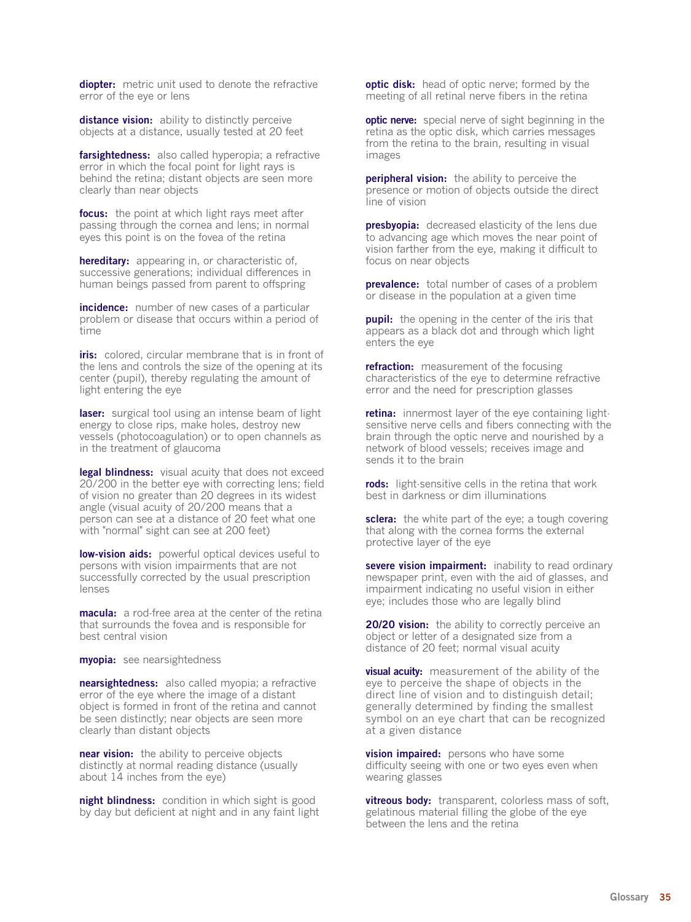**diopter:** metric unit used to denote the refractive error of the eye or lens

**distance vision:** ability to distinctly perceive objects at a distance, usually tested at 20 feet

**farsightedness:** also called hyperopia; a refractive error in which the focal point for light rays is behind the retina; distant objects are seen more clearly than near objects

**focus:** the point at which light rays meet after passing through the cornea and lens; in normal eyes this point is on the fovea of the retina

**hereditary:** appearing in, or characteristic of, successive generations; individual differences in human beings passed from parent to offspring

**incidence:** number of new cases of a particular problem or disease that occurs within a period of time

**iris:** colored, circular membrane that is in front of the lens and controls the size of the opening at its center (pupil), thereby regulating the amount of light entering the eye

**laser:** surgical tool using an intense beam of light energy to close rips, make holes, destroy new vessels (photocoagulation) or to open channels as in the treatment of glaucoma

**legal blindness:** visual acuity that does not exceed 20/200 in the better eye with correcting lens; field of vision no greater than 20 degrees in its widest angle (visual acuity of 20/200 means that a person can see at a distance of 20 feet what one with "normal" sight can see at 200 feet)

**low-vision aids:** powerful optical devices useful to persons with vision impairments that are not successfully corrected by the usual prescription lenses

**macula:** a rod-free area at the center of the retina that surrounds the fovea and is responsible for best central vision

**myopia:** see nearsightedness

**nearsightedness:** also called myopia; a refractive error of the eye where the image of a distant object is formed in front of the retina and cannot be seen distinctly; near objects are seen more clearly than distant objects

**near vision:** the ability to perceive objects distinctly at normal reading distance (usually about 14 inches from the eye)

**night blindness:** condition in which sight is good by day but deficient at night and in any faint light **optic disk:** head of optic nerve; formed by the meeting of all retinal nerve fibers in the retina

**optic nerve:** special nerve of sight beginning in the retina as the optic disk, which carries messages from the retina to the brain, resulting in visual images

**peripheral vision:** the ability to perceive the presence or motion of objects outside the direct line of vision

**presbyopia:** decreased elasticity of the lens due to advancing age which moves the near point of vision farther from the eye, making it difficult to focus on near objects

**prevalence:** total number of cases of a problem or disease in the population at a given time

**pupil:** the opening in the center of the iris that appears as a black dot and through which light enters the eye

**refraction:** measurement of the focusing characteristics of the eye to determine refractive error and the need for prescription glasses

**retina:** innermost layer of the eye containing lightsensitive nerve cells and fibers connecting with the brain through the optic nerve and nourished by a network of blood vessels; receives image and sends it to the brain

**rods:** light-sensitive cells in the retina that work best in darkness or dim illuminations

**sclera:** the white part of the eye; a tough covering that along with the cornea forms the external protective layer of the eye

severe vision impairment: inability to read ordinary newspaper print, even with the aid of glasses, and impairment indicating no useful vision in either eye; includes those who are legally blind

**20/20 vision:** the ability to correctly perceive an object or letter of a designated size from a distance of 20 feet; normal visual acuity

**visual acuity:** measurement of the ability of the eye to perceive the shape of objects in the direct line of vision and to distinguish detail; generally determined by finding the smallest symbol on an eye chart that can be recognized at a given distance

**vision impaired:** persons who have some difficulty seeing with one or two eyes even when wearing glasses

**vitreous body:** transparent, colorless mass of soft, gelatinous material filling the globe of the eye between the lens and the retina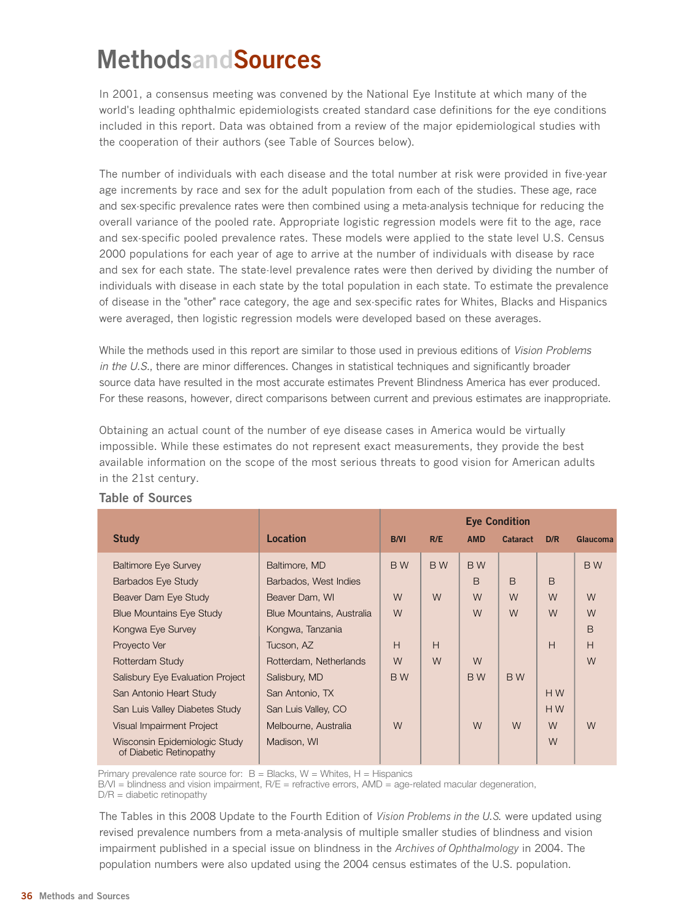## **MethodsandSources**

In 2001, a consensus meeting was convened by the National Eye Institute at which many of the world's leading ophthalmic epidemiologists created standard case definitions for the eye conditions included in this report. Data was obtained from a review of the major epidemiological studies with the cooperation of their authors (see Table of Sources below).

The number of individuals with each disease and the total number at risk were provided in five-year age increments by race and sex for the adult population from each of the studies. These age, race and sex-specific prevalence rates were then combined using a meta-analysis technique for reducing the overall variance of the pooled rate. Appropriate logistic regression models were fit to the age, race and sex-specific pooled prevalence rates. These models were applied to the state level U.S. Census 2000 populations for each year of age to arrive at the number of individuals with disease by race and sex for each state. The state-level prevalence rates were then derived by dividing the number of individuals with disease in each state by the total population in each state. To estimate the prevalence of disease in the "other" race category, the age and sex-specific rates for Whites, Blacks and Hispanics were averaged, then logistic regression models were developed based on these averages.

While the methods used in this report are similar to those used in previous editions of Vision Problems in the U.S., there are minor differences. Changes in statistical techniques and significantly broader source data have resulted in the most accurate estimates Prevent Blindness America has ever produced. For these reasons, however, direct comparisons between current and previous estimates are inappropriate.

Obtaining an actual count of the number of eye disease cases in America would be virtually impossible. While these estimates do not represent exact measurements, they provide the best available information on the scope of the most serious threats to good vision for American adults in the 21st century.

|                                                          |                                  |             |     |            | <b>Eye Condition</b> |              |          |
|----------------------------------------------------------|----------------------------------|-------------|-----|------------|----------------------|--------------|----------|
| <b>Study</b>                                             | <b>Location</b>                  | <b>B/VI</b> | R/E | <b>AMD</b> | Cataract             | D/R          | Glaucoma |
| <b>Baltimore Eye Survey</b>                              | Baltimore, MD                    | B W         | B W | B W        |                      |              | B W      |
| Barbados Eye Study                                       | Barbados, West Indies            |             |     | B          | $\overline{B}$       | <sub>B</sub> |          |
| Beaver Dam Eye Study                                     | Beaver Dam, WI                   | W           | W   | W          | W                    | W            | W        |
| <b>Blue Mountains Eye Study</b>                          | <b>Blue Mountains, Australia</b> | W           |     | W          | W                    | W            | W        |
| Kongwa Eye Survey                                        | Kongwa, Tanzania                 |             |     |            |                      |              | B        |
| Proyecto Ver                                             | Tucson, AZ                       | H           | H   |            |                      | H            | H        |
| Rotterdam Study                                          | Rotterdam, Netherlands           | W           | W   | W          |                      |              | W        |
| <b>Salisbury Eye Evaluation Project</b>                  | Salisbury, MD                    | B W         |     | <b>BW</b>  | B W                  |              |          |
| San Antonio Heart Study                                  | San Antonio, TX                  |             |     |            |                      | HW           |          |
| San Luis Valley Diabetes Study                           | San Luis Valley, CO              |             |     |            |                      | H W          |          |
| Visual Impairment Project                                | Melbourne, Australia             | W           |     | W          | W                    | W            | W        |
| Wisconsin Epidemiologic Study<br>of Diabetic Retinopathy | Madison, WI                      |             |     |            |                      | W            |          |

#### **Table of Sources**

Primary prevalence rate source for:  $B =$  Blacks, W = Whites, H = Hispanics

 $B/VI = 0$  blindness and vision impairment,  $R/E =$  refractive errors,  $AMD = age$ -related macular degeneration,

 $D/R =$  diabetic retinopathy

The Tables in this 2008 Update to the Fourth Edition of *Vision Problems in the U.S.* were updated using revised prevalence numbers from a meta-analysis of multiple smaller studies of blindness and vision impairment published in a special issue on blindness in the *Archives of Ophthalmology* in 2004. The population numbers were also updated using the 2004 census estimates of the U.S. population.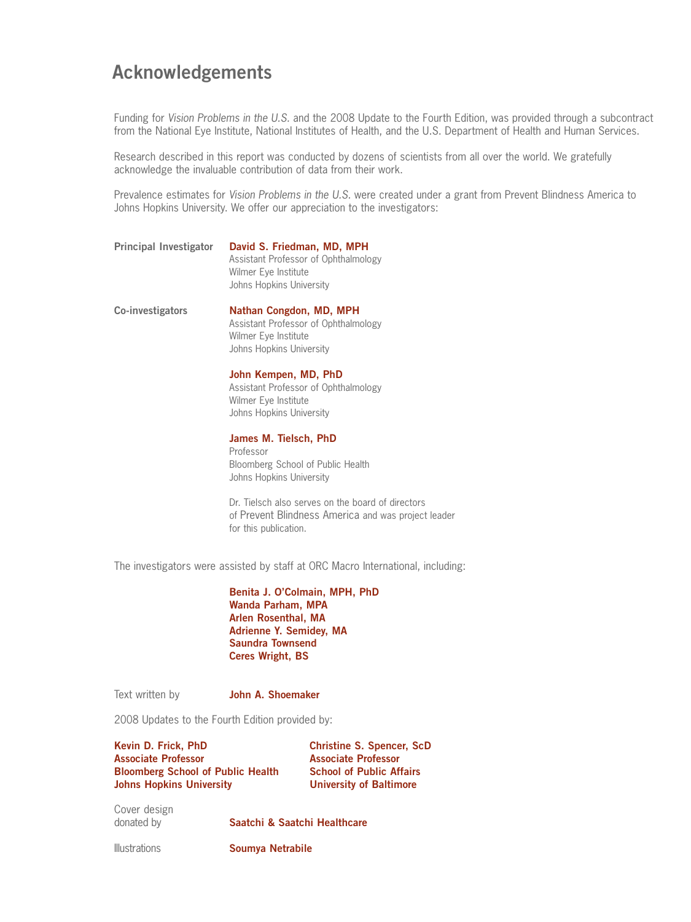#### **Acknowledgements**

Funding for Vision Problems in the U.S. and the 2008 Update to the Fourth Edition, was provided through a subcontract from the National Eye Institute, National Institutes of Health, and the U.S. Department of Health and Human Services.

Research described in this report was conducted by dozens of scientists from all over the world. We gratefully acknowledge the invaluable contribution of data from their work.

Prevalence estimates for Vision Problems in the U.S. were created under a grant from Prevent Blindness America to Johns Hopkins University. We offer our appreciation to the investigators:

| <b>Principal Investigator</b> | David S. Friedman, MD, MPH<br>Assistant Professor of Ophthalmology<br>Wilmer Eye Institute<br>Johns Hopkins University |
|-------------------------------|------------------------------------------------------------------------------------------------------------------------|
| Co-investigators              | Nathan Congdon, MD, MPH                                                                                                |

Assistant Professor of Ophthalmology Wilmer Eye Institute Johns Hopkins University

**John Kempen, MD, PhD** Assistant Professor of Ophthalmology Wilmer Eye Institute Johns Hopkins University

**James M. Tielsch, PhD** Professor Bloomberg School of Public Health Johns Hopkins University

Dr. Tielsch also serves on the board of directors of Prevent Blindness America and was project leader for this publication.

The investigators were assisted by staff at ORC Macro International, including:

**Benita J. O'Colmain, MPH, PhD Wanda Parham, MPA Arlen Rosenthal, MA Adrienne Y. Semidey, MA Saundra Townsend Ceres Wright, BS**

Text written by **John A. Shoemaker**

2008 Updates to the Fourth Edition provided by:

**Kevin D. Frick, PhD Christine S. Spencer, ScD** Associate Professor **Associate Professor Bloomberg School of Public Health School of Public Affairs Johns Hopkins University University of Baltimore**

Cover design

donated by **Saatchi & Saatchi Healthcare** 

Illustrations **Soumya Netrabile**